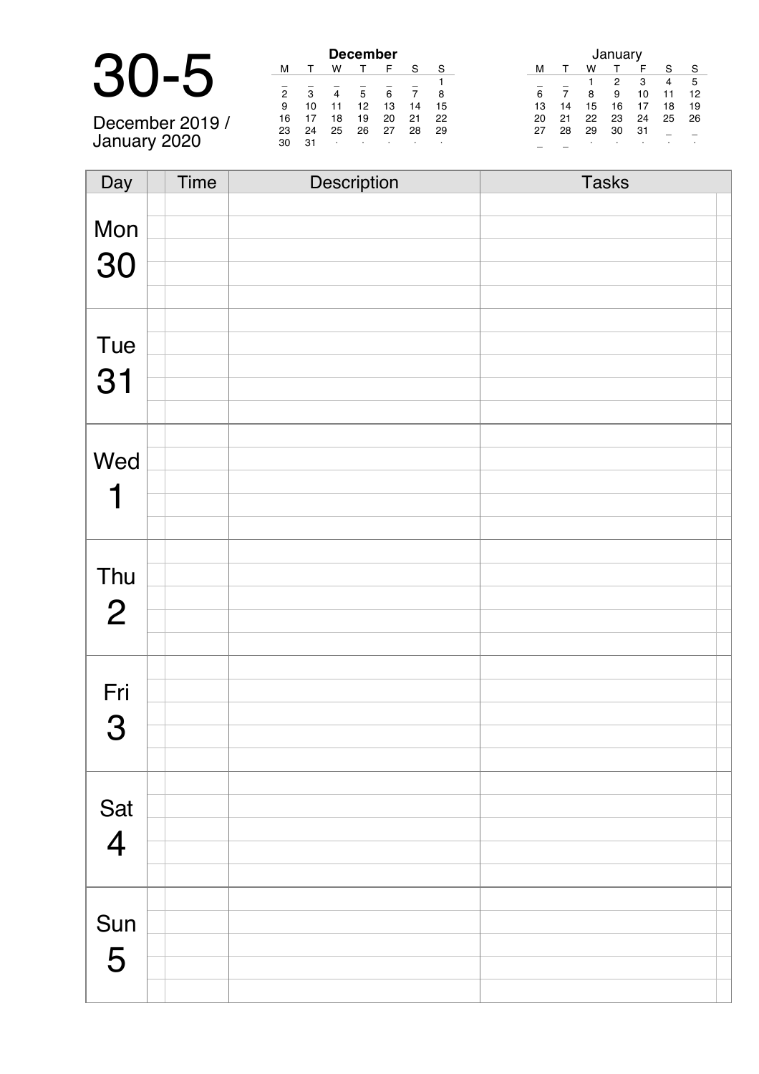|                | <b>December</b> |     |                         |         |    |                | January |                                          |
|----------------|-----------------|-----|-------------------------|---------|----|----------------|---------|------------------------------------------|
| $\blacksquare$ | M               |     | W                       |         |    | S.             | S       | -S<br>S<br>w<br>м                        |
|                |                 |     |                         |         |    |                |         | 5<br>з<br>4                              |
|                | $\mathcal{P}$   | 3   | $\overline{\mathbf{A}}$ | 5       | 6  | $\overline{7}$ | 8       | ĥ.<br>8<br>9<br>12<br>10<br>11           |
|                | 9               | 10  |                         | 12      | 13 | 14             | 15      | 16<br>18<br>19<br>15<br>13<br>14         |
| December 2019  | 16              |     | 18                      | 19      | 20 | 21             | 22      | - 26<br>24<br>22<br>25<br>21<br>23<br>20 |
|                | 23              | 24  | 25                      | 26      | 27 | 28             | 29      | 31<br>30<br>29<br>28<br>27               |
| January 2020   | 30              | -31 | $\cdot$                 | $\cdot$ |    |                |         |                                          |

| Day            | Time | Description | <b>Tasks</b> |
|----------------|------|-------------|--------------|
|                |      |             |              |
| Mon            |      |             |              |
| 30             |      |             |              |
|                |      |             |              |
|                |      |             |              |
|                |      |             |              |
| Tue            |      |             |              |
| 31             |      |             |              |
|                |      |             |              |
|                |      |             |              |
| Wed            |      |             |              |
|                |      |             |              |
| 1              |      |             |              |
|                |      |             |              |
|                |      |             |              |
| Thu            |      |             |              |
| $\overline{2}$ |      |             |              |
|                |      |             |              |
|                |      |             |              |
|                |      |             |              |
| Fri            |      |             |              |
| 3              |      |             |              |
|                |      |             |              |
|                |      |             |              |
|                |      |             |              |
| Sat<br>4       |      |             |              |
|                |      |             |              |
|                |      |             |              |
|                |      |             |              |
| Sun            |      |             |              |
| 5              |      |             |              |
|                |      |             |              |
|                |      |             |              |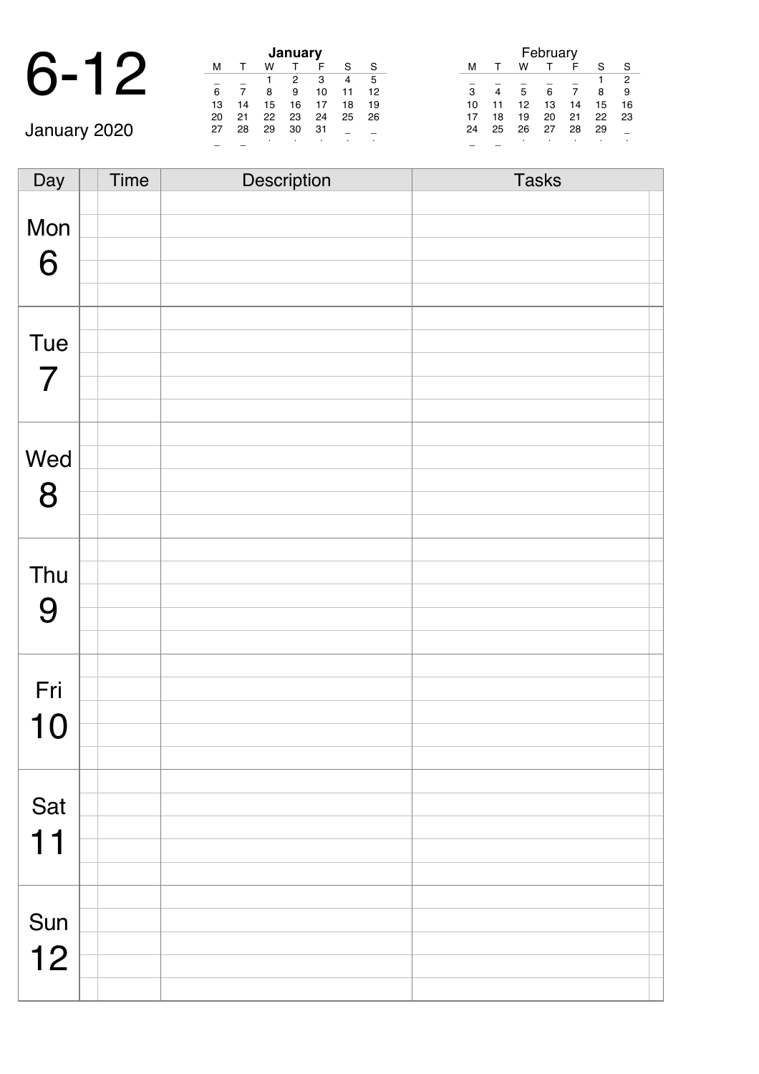# 6-12 **January**

|    |    |    | January |    |    |    |
|----|----|----|---------|----|----|----|
| м  |    | w  |         | F  | S  | S  |
|    |    |    | 2       | 3  | 4  | 5  |
| 6  |    | 8  | 9       | 10 | 11 | 12 |
| 13 | 14 | 15 | 16      | 17 | 18 | 19 |
| 20 | 21 | 22 | 23      | 24 | 25 | 26 |
| 27 | 28 | 29 | 30      | 31 |    |    |
|    |    |    |         |    |    |    |

|    |    |    | February |    |    |                |
|----|----|----|----------|----|----|----------------|
| м  |    | w  |          | F  | S  | S              |
|    |    |    |          |    |    | $\overline{2}$ |
| 3  | 4  | 5  | 6        | 7  | 8  | 9              |
| 10 | 11 | 12 | 13       | 14 | 15 | 16             |
| 17 | 18 | 19 | 20       | 21 | 22 | 23             |
| 24 | 25 | 26 | 27       | 28 | 29 |                |
|    |    | ٠  |          |    |    |                |

January 2020

| Day            | Time | Description | <b>Tasks</b> |
|----------------|------|-------------|--------------|
|                |      |             |              |
| Mon            |      |             |              |
| 6              |      |             |              |
|                |      |             |              |
|                |      |             |              |
| Tue            |      |             |              |
|                |      |             |              |
| $\overline{7}$ |      |             |              |
|                |      |             |              |
|                |      |             |              |
| Wed            |      |             |              |
| 8              |      |             |              |
|                |      |             |              |
|                |      |             |              |
| Thu            |      |             |              |
|                |      |             |              |
| 9              |      |             |              |
|                |      |             |              |
|                |      |             |              |
| Fri            |      |             |              |
| 10             |      |             |              |
|                |      |             |              |
|                |      |             |              |
| Sat            |      |             |              |
|                |      |             |              |
| 11             |      |             |              |
|                |      |             |              |
|                |      |             |              |
| Sun            |      |             |              |
| 12             |      |             |              |
|                |      |             |              |
|                |      |             |              |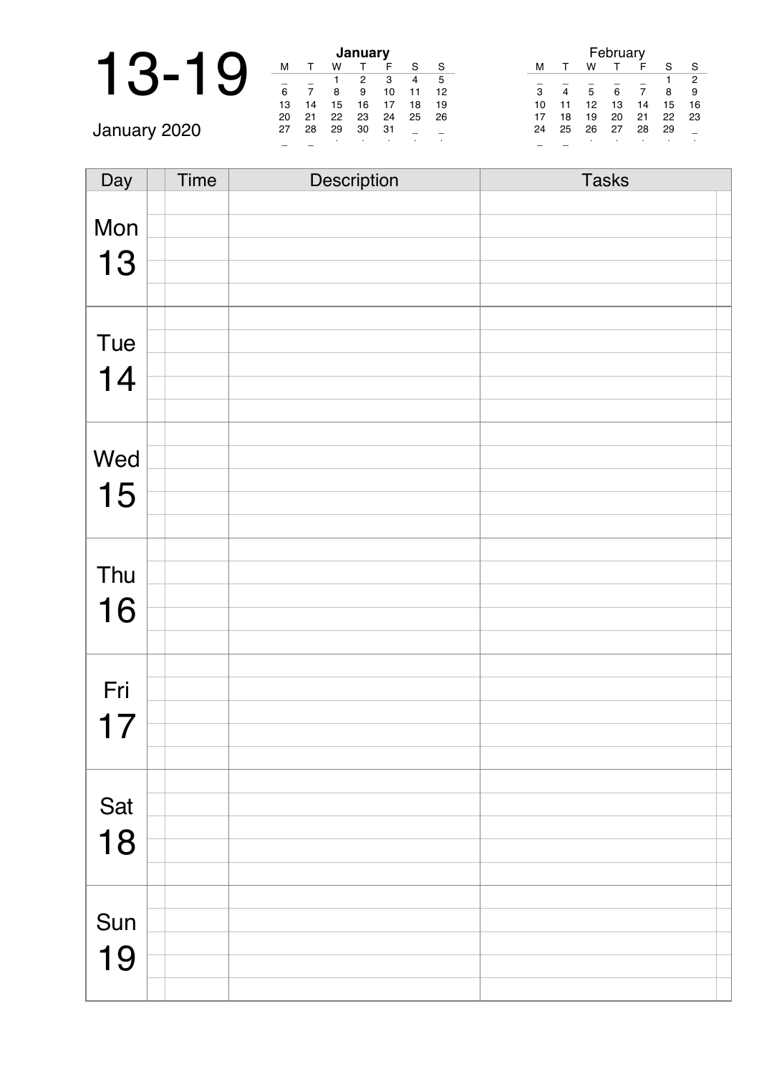|              |    |    |    | January |    |    |    |
|--------------|----|----|----|---------|----|----|----|
|              | М  |    |    |         |    | c  | S  |
|              |    |    |    | 2       | 3  | 4  | 5  |
|              | 6  |    |    | 9       | 10 |    | 12 |
|              | 13 | 14 | 15 | 16      |    | 18 | 19 |
|              | 20 | 21 | 22 | 23      | 24 | 25 | 26 |
| January 2020 | 27 | 28 | 29 | 30      | 31 |    |    |
|              |    |    |    |         |    |    |    |

| Day | Time | Description | <b>Tasks</b> |
|-----|------|-------------|--------------|
|     |      |             |              |
| Mon |      |             |              |
| 13  |      |             |              |
|     |      |             |              |
|     |      |             |              |
|     |      |             |              |
| Tue |      |             |              |
| 14  |      |             |              |
|     |      |             |              |
|     |      |             |              |
| Wed |      |             |              |
|     |      |             |              |
| 15  |      |             |              |
|     |      |             |              |
|     |      |             |              |
| Thu |      |             |              |
|     |      |             |              |
| 16  |      |             |              |
|     |      |             |              |
|     |      |             |              |
| Fri |      |             |              |
| 17  |      |             |              |
|     |      |             |              |
|     |      |             |              |
|     |      |             |              |
| Sat |      |             |              |
| 18  |      |             |              |
|     |      |             |              |
|     |      |             |              |
| Sun |      |             |              |
|     |      |             |              |
| 19  |      |             |              |
|     |      |             |              |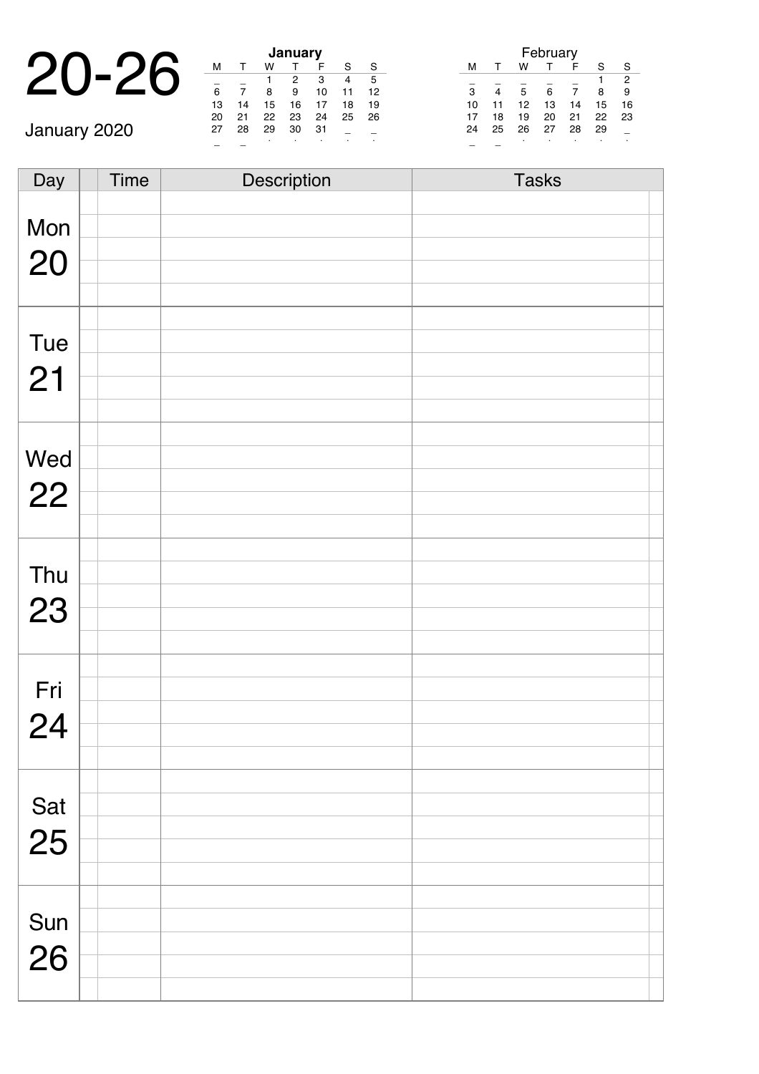|          |    |    |    | January |  |
|----------|----|----|----|---------|--|
| $\Omega$ |    |    |    |         |  |
|          |    |    |    |         |  |
|          | 6  |    |    |         |  |
|          | 13 | 14 | 15 | 16      |  |
|          |    |    |    |         |  |

January 2020

|    |    |    | January |    |    |    |
|----|----|----|---------|----|----|----|
| м  |    | w  |         | F  | S  | S  |
|    |    |    | 2       | 3  |    | 5  |
| 6  |    | 8  | 9       | 10 | 11 | 12 |
| 13 | 14 | 15 | 16      | 17 | 18 | 19 |
| 20 | 21 | 22 | 23      | 24 | 25 | 26 |
| 27 | 28 | 29 | 30      | 31 |    |    |
|    |    |    | ٠       |    |    |    |

|    |    |    | February |    |    |    |
|----|----|----|----------|----|----|----|
| м  | т  | w  |          | F  | S  | S  |
|    |    |    |          |    |    | 2  |
| 3  | 4  | 5  | 6        | 7  | 8  | 9  |
| 10 | 11 | 12 | 13       | 14 | 15 | 16 |
| 17 | 18 | 19 | 20       | 21 | 22 | 23 |
| 24 | 25 | 26 | 27       | 28 | 29 |    |
|    |    | ٠  |          | ٠  |    |    |

Day Time Description Tasks Mon 20 Tue 21 Wed 22 Thu 23 Fri 24 Sat 25 Sun 26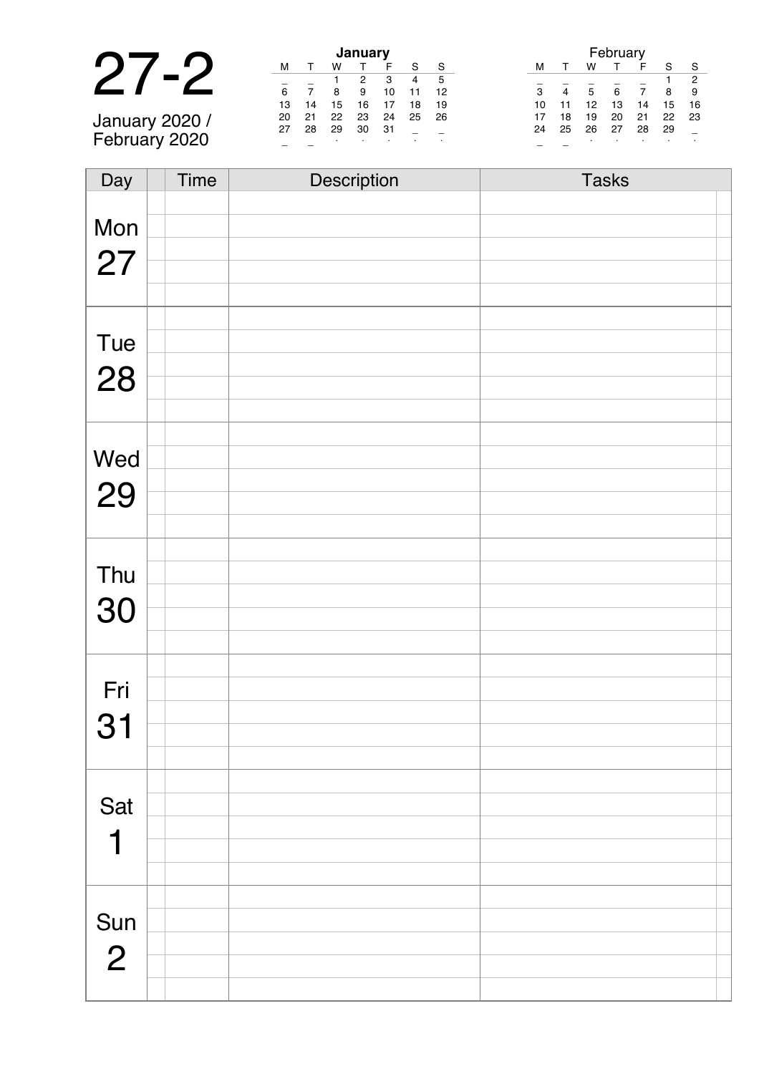|                |    |    |    | January |   |
|----------------|----|----|----|---------|---|
|                | м  |    | w  |         |   |
|                |    |    |    |         |   |
|                | 6  |    | 8  |         | 1 |
|                | 13 | 14 | 15 | 16      |   |
| January 2020 / | 20 |    | 22 | 23      | 2 |
|                | 27 | 28 | 29 | 30      | 3 |
| February 2020  |    |    |    |         |   |

| January |    |    |    |    |    |    |  |  |
|---------|----|----|----|----|----|----|--|--|
| м       |    | w  |    |    | S  | S  |  |  |
|         |    |    | 2  | 3  | 4  | 5  |  |  |
| 6       |    | 8  | 9  | 10 | 11 | 12 |  |  |
| 13      | 14 | 15 | 16 | 17 | 18 | 19 |  |  |
| 20      | 21 | 22 | 23 | 24 | 25 | 26 |  |  |
| 27      | 28 | 29 | 30 | 31 |    |    |  |  |
|         |    | ٠  |    |    |    |    |  |  |

|    |    |    | February |    |    |    |
|----|----|----|----------|----|----|----|
| м  |    | w  |          | F  | S  |    |
|    |    |    |          |    |    | 2  |
| 3  |    | 5  | 6        | 7  | 8  | 9  |
| 10 | 11 | 12 | 13       | 14 | 15 | 16 |
| 17 | 18 | 19 | 20       | 21 | 22 | 23 |
| 24 | 25 | 26 | 27       | 28 | 29 |    |
|    |    | ٠  | ٠        | ٠  | ٠  |    |

| Day            | <b>Time</b> | Description | <b>Tasks</b> |
|----------------|-------------|-------------|--------------|
|                |             |             |              |
| Mon            |             |             |              |
|                |             |             |              |
| 27             |             |             |              |
|                |             |             |              |
|                |             |             |              |
| Tue            |             |             |              |
|                |             |             |              |
| 28             |             |             |              |
|                |             |             |              |
|                |             |             |              |
|                |             |             |              |
| Wed            |             |             |              |
| 29             |             |             |              |
|                |             |             |              |
|                |             |             |              |
|                |             |             |              |
| Thu            |             |             |              |
| 30             |             |             |              |
|                |             |             |              |
|                |             |             |              |
|                |             |             |              |
| Fri            |             |             |              |
|                |             |             |              |
| 31             |             |             |              |
|                |             |             |              |
|                |             |             |              |
| Sat            |             |             |              |
|                |             |             |              |
| 1              |             |             |              |
|                |             |             |              |
|                |             |             |              |
| Sun            |             |             |              |
|                |             |             |              |
| $\overline{2}$ |             |             |              |
|                |             |             |              |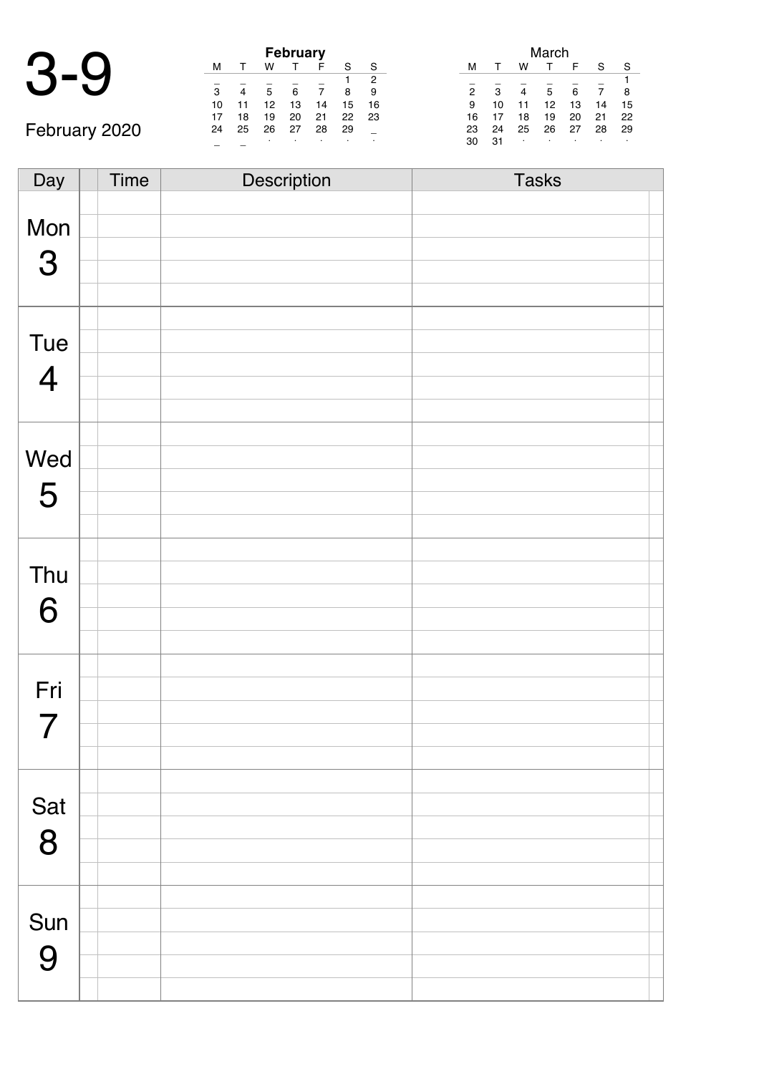|               | <b>February</b> |    |    |    |    |    |    |  |  |
|---------------|-----------------|----|----|----|----|----|----|--|--|
|               | м               |    | w  |    |    |    | S  |  |  |
|               |                 |    |    |    |    |    | 2  |  |  |
|               | 3               | 4  | 5  | 6  |    | 8  | 9  |  |  |
|               | 10              |    | 12 | 13 | 14 | 15 | 16 |  |  |
|               |                 | 18 | 19 | 20 | 21 | 22 | 23 |  |  |
| February 2020 | 24              | 25 | 26 | 27 | 28 | 29 |    |  |  |
|               |                 |    | ٠  |    |    |    |    |  |  |

|                |    |    | March |    |    |    |
|----------------|----|----|-------|----|----|----|
| м              |    | w  |       | F  | S  | S  |
|                |    |    |       |    |    | 1  |
| $\overline{2}$ | 3  | 4  | 5     | 6  |    | 8  |
| 9              | 10 | 11 | 12    | 13 | 14 | 15 |
| 16             | 17 | 18 | 19    | 20 | 21 | 22 |
| 23             | 24 | 25 | 26    | 27 | 28 | 29 |
| 30             | 31 | ٠  | ٠     |    | ٠  | ٠  |

| Day            | Time | Description | <b>Tasks</b> |  |
|----------------|------|-------------|--------------|--|
|                |      |             |              |  |
| Mon            |      |             |              |  |
|                |      |             |              |  |
| $\mathbf{3}$   |      |             |              |  |
|                |      |             |              |  |
|                |      |             |              |  |
| Tue            |      |             |              |  |
| $\overline{4}$ |      |             |              |  |
|                |      |             |              |  |
|                |      |             |              |  |
|                |      |             |              |  |
| Wed            |      |             |              |  |
| 5              |      |             |              |  |
|                |      |             |              |  |
|                |      |             |              |  |
|                |      |             |              |  |
| Thu            |      |             |              |  |
| 6              |      |             |              |  |
|                |      |             |              |  |
|                |      |             |              |  |
|                |      |             |              |  |
| Fri            |      |             |              |  |
| 7              |      |             |              |  |
|                |      |             |              |  |
|                |      |             |              |  |
|                |      |             |              |  |
| Sat            |      |             |              |  |
| 8              |      |             |              |  |
|                |      |             |              |  |
|                |      |             |              |  |
|                |      |             |              |  |
| Sun            |      |             |              |  |
| 9              |      |             |              |  |
|                |      |             |              |  |
|                |      |             |              |  |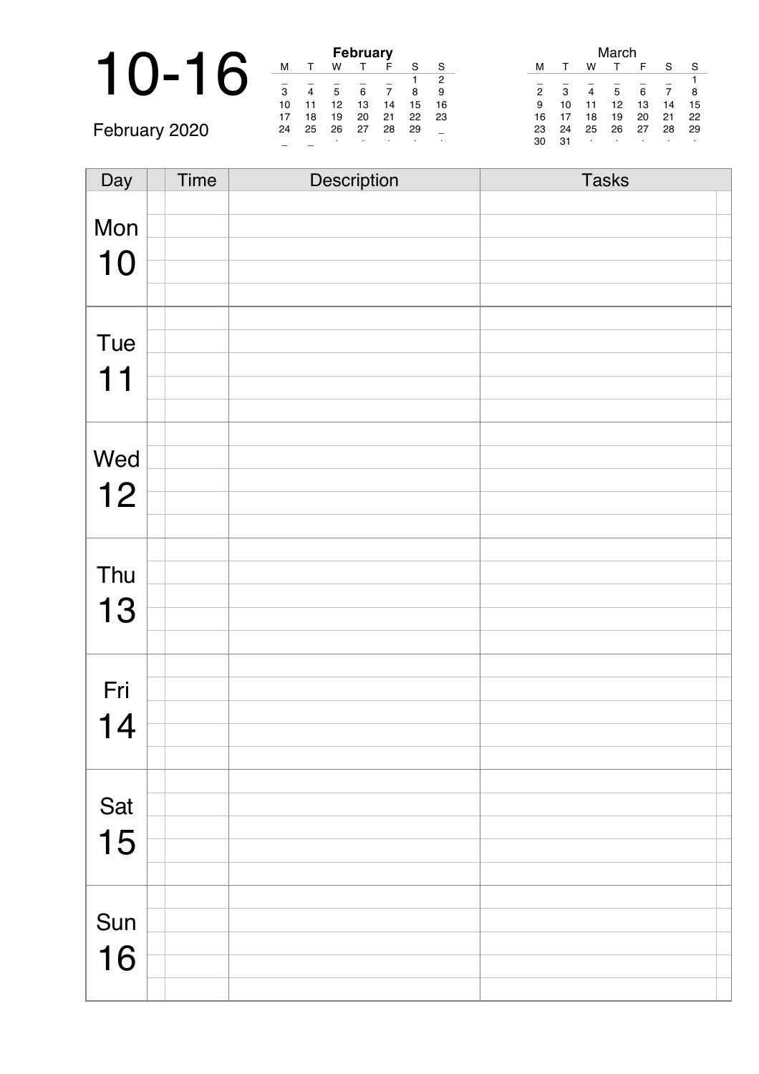|               |                          |                |         | <b>February</b> |    |    |    |               |    |                | March |    |    |    |
|---------------|--------------------------|----------------|---------|-----------------|----|----|----|---------------|----|----------------|-------|----|----|----|
|               | M                        |                | W       |                 |    | S  | S  |               |    | W              |       |    |    | -S |
|               | $\overline{\phantom{0}}$ |                |         |                 |    |    | 2  |               |    |                |       |    |    |    |
|               | 3                        | $\overline{4}$ | 5       | 6               |    | 8  | 9  | $\mathcal{P}$ | 3  | $\overline{4}$ | 5     | 6  |    | 8  |
|               | 10                       | 11             | 12      | 13              | 14 | 15 | 16 | 9             | 10 | 11             | 12    |    | 14 | 15 |
|               | 17                       | 18             | 19      | 20              | 21 | 22 | 23 | 16            |    | 18             | 19    | 20 | 21 | 22 |
| February 2020 | 24                       | 25             | 26      | 27              | 28 | 29 |    | 23            | 24 | 25             | 26    | 27 | 28 | 29 |
|               |                          |                | $\cdot$ |                 |    |    |    | 30            | 31 |                |       |    |    |    |

| Day | Time | Description | <b>Tasks</b> |
|-----|------|-------------|--------------|
|     |      |             |              |
| Mon |      |             |              |
| 10  |      |             |              |
|     |      |             |              |
|     |      |             |              |
|     |      |             |              |
| Tue |      |             |              |
| 11  |      |             |              |
|     |      |             |              |
|     |      |             |              |
|     |      |             |              |
| Wed |      |             |              |
| 12  |      |             |              |
|     |      |             |              |
|     |      |             |              |
|     |      |             |              |
| Thu |      |             |              |
| 13  |      |             |              |
|     |      |             |              |
|     |      |             |              |
|     |      |             |              |
| Fri |      |             |              |
| 14  |      |             |              |
|     |      |             |              |
|     |      |             |              |
| Sat |      |             |              |
|     |      |             |              |
| 15  |      |             |              |
|     |      |             |              |
|     |      |             |              |
| Sun |      |             |              |
|     |      |             |              |
| 16  |      |             |              |
|     |      |             |              |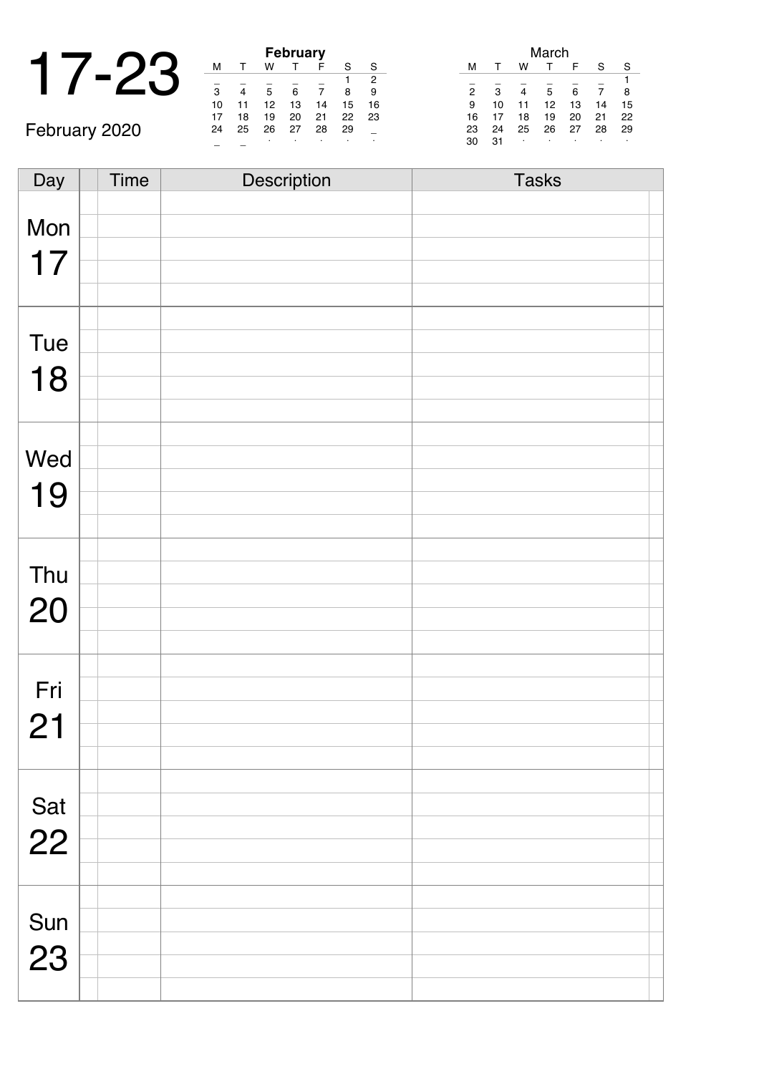|  |    |    | February |     |
|--|----|----|----------|-----|
|  |    |    |          |     |
|  | ີ  |    |          |     |
|  | 10 | Ω. | 13       | ا ۷ |

|    |    |    | <b>February</b> |    |    |    |
|----|----|----|-----------------|----|----|----|
| м  |    | w  |                 | F  | S  | S  |
|    |    |    |                 |    |    | 2  |
| 3  |    | 5  | 6               |    | 8  | 9  |
| 10 | 11 | 12 | 13              | 14 | 15 | 16 |
| 17 | 18 | 19 | 20              | 21 | 22 | 23 |
| 24 | 25 | 26 | 27              | 28 | 29 |    |
|    |    | ٠  | ٠               |    |    | ٠  |

|    |    |    | March |    |    |    |
|----|----|----|-------|----|----|----|
| м  |    | w  |       | F  | S  | S  |
|    |    |    |       |    |    |    |
| 2  | 3  |    | 5     | 6  |    | 8  |
| 9  | 10 | 11 | 12    | 13 | 14 | 15 |
| 16 | 17 | 18 | 19    | 20 | 21 | 22 |
| 23 | 24 | 25 | 26    | 27 | 28 | 29 |
| 30 | 31 | ٠  | ٠     | ٠  | ٠  | ٠  |

February 2020

| Day | <b>Time</b> | Description | <b>Tasks</b> |
|-----|-------------|-------------|--------------|
|     |             |             |              |
| Mon |             |             |              |
| 17  |             |             |              |
|     |             |             |              |
|     |             |             |              |
|     |             |             |              |
| Tue |             |             |              |
| 18  |             |             |              |
|     |             |             |              |
|     |             |             |              |
|     |             |             |              |
| Wed |             |             |              |
| 19  |             |             |              |
|     |             |             |              |
|     |             |             |              |
| Thu |             |             |              |
|     |             |             |              |
| 20  |             |             |              |
|     |             |             |              |
|     |             |             |              |
| Fri |             |             |              |
| 21  |             |             |              |
|     |             |             |              |
|     |             |             |              |
|     |             |             |              |
| Sat |             |             |              |
| 22  |             |             |              |
|     |             |             |              |
|     |             |             |              |
|     |             |             |              |
| Sun |             |             |              |
| 23  |             |             |              |
|     |             |             |              |
|     |             |             |              |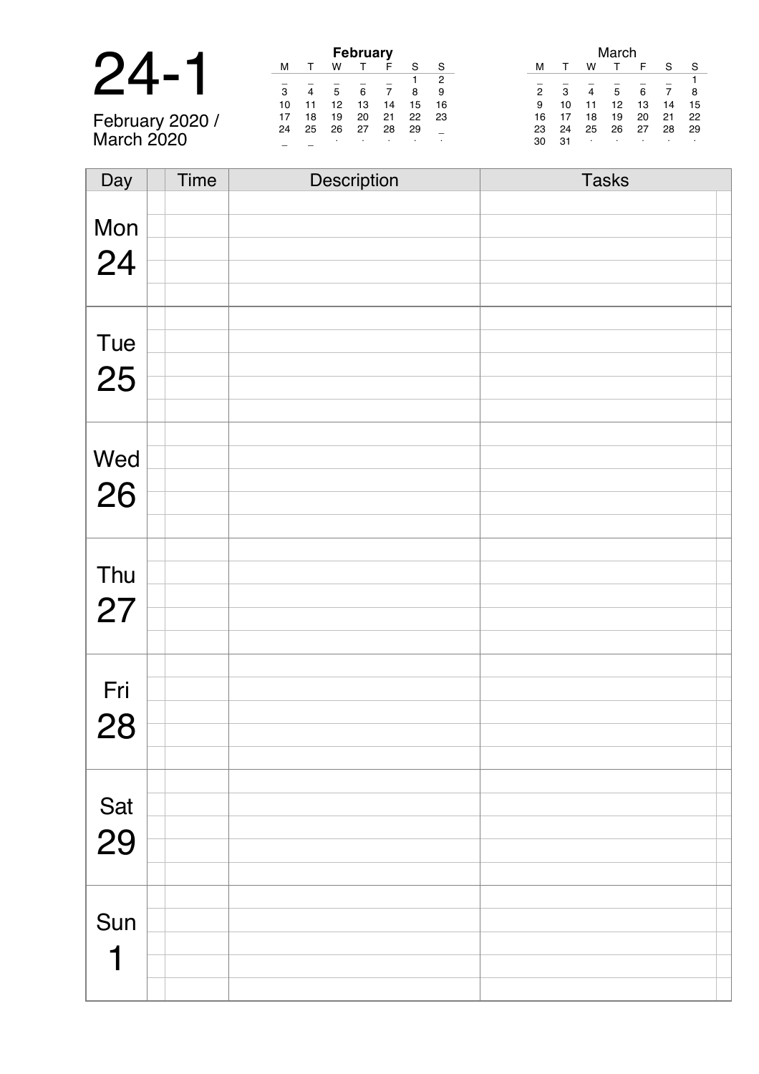|                                                                                 |    |    |    | <b>February</b> |    |
|---------------------------------------------------------------------------------|----|----|----|-----------------|----|
| 24                                                                              |    |    |    |                 | F  |
|                                                                                 |    |    |    |                 |    |
|                                                                                 | 10 |    | 12 | 13              | 14 |
| $T_{\alpha}$ $F_{\alpha}$ $F_{\alpha}$ $F_{\alpha}$ , $T_{\alpha}$ $T_{\alpha}$ |    | 18 | 19 | 20              | 21 |

February 2020 / March 2020

| <b>February</b> |    |    |    |    |    |    |  |  |  |
|-----------------|----|----|----|----|----|----|--|--|--|
| М               |    | w  |    | F  | S  | S  |  |  |  |
| 2               |    |    |    |    |    |    |  |  |  |
| 3               | 4  | 5  | 6  | 7  | 8  | 9  |  |  |  |
| 10              | 11 | 12 | 13 | 14 | 15 | 16 |  |  |  |
| 17              | 18 | 19 | 20 | 21 | 22 | 23 |  |  |  |
| 24              | 25 | 26 | 27 | 28 | 29 |    |  |  |  |
|                 |    |    |    |    |    |    |  |  |  |

| March          |    |    |    |    |    |    |
|----------------|----|----|----|----|----|----|
| м              |    | w  |    | F  | S  | S  |
|                |    |    |    |    |    |    |
| $\overline{2}$ | 3  | 4  | 5  | 6  | 7  | 8  |
| 9              | 10 | 11 | 12 | 13 | 14 | 15 |
| 16             | 17 | 18 | 19 | 20 | 21 | 22 |
| 23             | 24 | 25 | 26 | 27 | 28 | 29 |
| 30             | 31 | ٠  | ٠  |    |    |    |

| Day       | <b>Time</b> | Description | <b>Tasks</b> |
|-----------|-------------|-------------|--------------|
|           |             |             |              |
| Mon       |             |             |              |
|           |             |             |              |
| 24        |             |             |              |
|           |             |             |              |
|           |             |             |              |
|           |             |             |              |
| Tue       |             |             |              |
| 25        |             |             |              |
|           |             |             |              |
|           |             |             |              |
|           |             |             |              |
| Wed       |             |             |              |
| 26        |             |             |              |
|           |             |             |              |
|           |             |             |              |
|           |             |             |              |
| Thu       |             |             |              |
|           |             |             |              |
| 27        |             |             |              |
|           |             |             |              |
|           |             |             |              |
| Fri       |             |             |              |
|           |             |             |              |
| 28        |             |             |              |
|           |             |             |              |
|           |             |             |              |
|           |             |             |              |
| Sat<br>29 |             |             |              |
|           |             |             |              |
|           |             |             |              |
|           |             |             |              |
| Sun       |             |             |              |
|           |             |             |              |
| ┥         |             |             |              |
|           |             |             |              |
|           |             |             |              |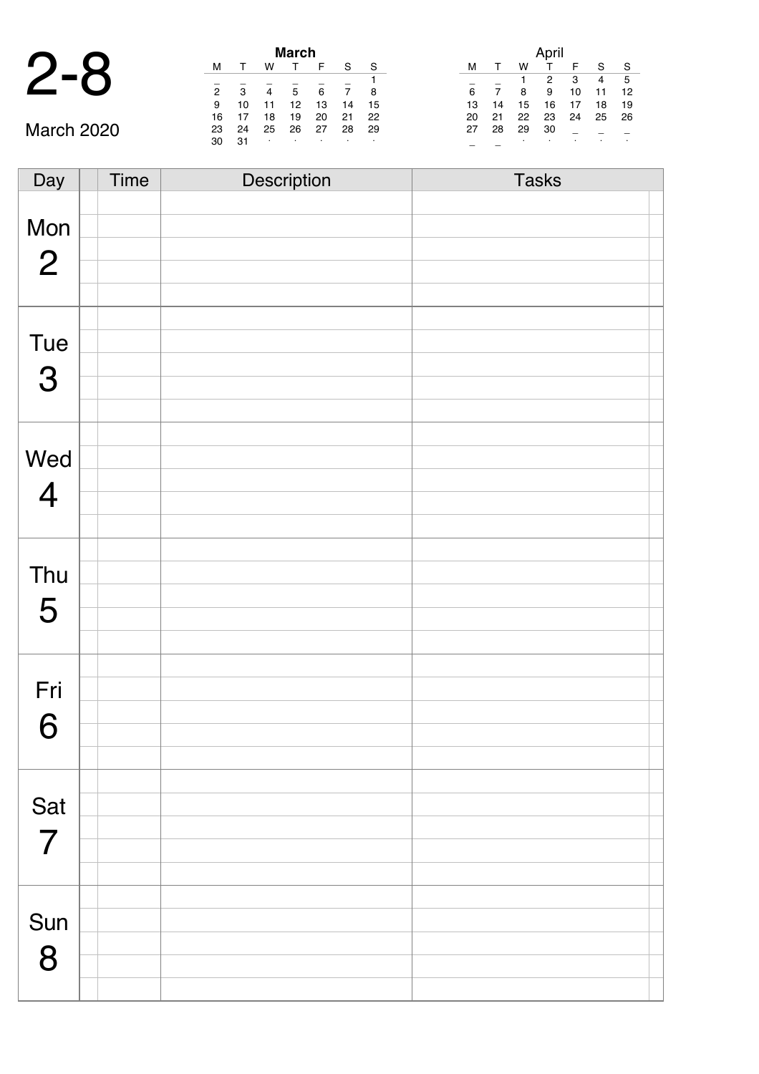| March 2020 |  |
|------------|--|

÷

|                   | <b>March</b> |    |                |    |    |    |    |  |
|-------------------|--------------|----|----------------|----|----|----|----|--|
|                   | м            |    | w              |    | F  | S  | S  |  |
|                   |              |    |                |    |    |    |    |  |
|                   | 2            | 3  | $\overline{4}$ | 5  | 6  |    | 8  |  |
|                   | 9            | 10 | 11             | 12 | 13 | 14 | 15 |  |
|                   | 16           |    | 18             | 19 | 20 | 21 | 22 |  |
| <b>March 2020</b> | 23           | 24 | 25             | 26 | 27 | 28 | 29 |  |
|                   | 30           | 31 | ٠              |    |    |    | ٠  |  |
|                   |              |    |                |    |    |    |    |  |

|    |    |    | April |    |    |    |
|----|----|----|-------|----|----|----|
| м  |    | w  |       | F  | S  | S  |
|    |    | 1  | 2     | 3  | 4  | 5  |
| 6  | 7  | 8  | 9     | 10 | 11 | 12 |
| 13 | 14 | 15 | 16    | 17 | 18 | 19 |
| 20 | 21 | 22 | 23    | 24 | 25 | 26 |
| 27 | 28 | 29 | 30    |    |    |    |
|    |    | ٠  | ٠     | ٠  |    |    |

| Day            | Time | Description | <b>Tasks</b> |
|----------------|------|-------------|--------------|
|                |      |             |              |
| Mon            |      |             |              |
|                |      |             |              |
| $\overline{2}$ |      |             |              |
|                |      |             |              |
|                |      |             |              |
| Tue            |      |             |              |
|                |      |             |              |
| 3              |      |             |              |
|                |      |             |              |
|                |      |             |              |
|                |      |             |              |
| Wed            |      |             |              |
| $\overline{4}$ |      |             |              |
|                |      |             |              |
|                |      |             |              |
|                |      |             |              |
| Thu            |      |             |              |
| 5              |      |             |              |
|                |      |             |              |
|                |      |             |              |
|                |      |             |              |
| Fri            |      |             |              |
|                |      |             |              |
| 6              |      |             |              |
|                |      |             |              |
|                |      |             |              |
| Sat            |      |             |              |
|                |      |             |              |
| $\overline{7}$ |      |             |              |
|                |      |             |              |
|                |      |             |              |
|                |      |             |              |
| Sun            |      |             |              |
| 8              |      |             |              |
|                |      |             |              |
|                |      |             |              |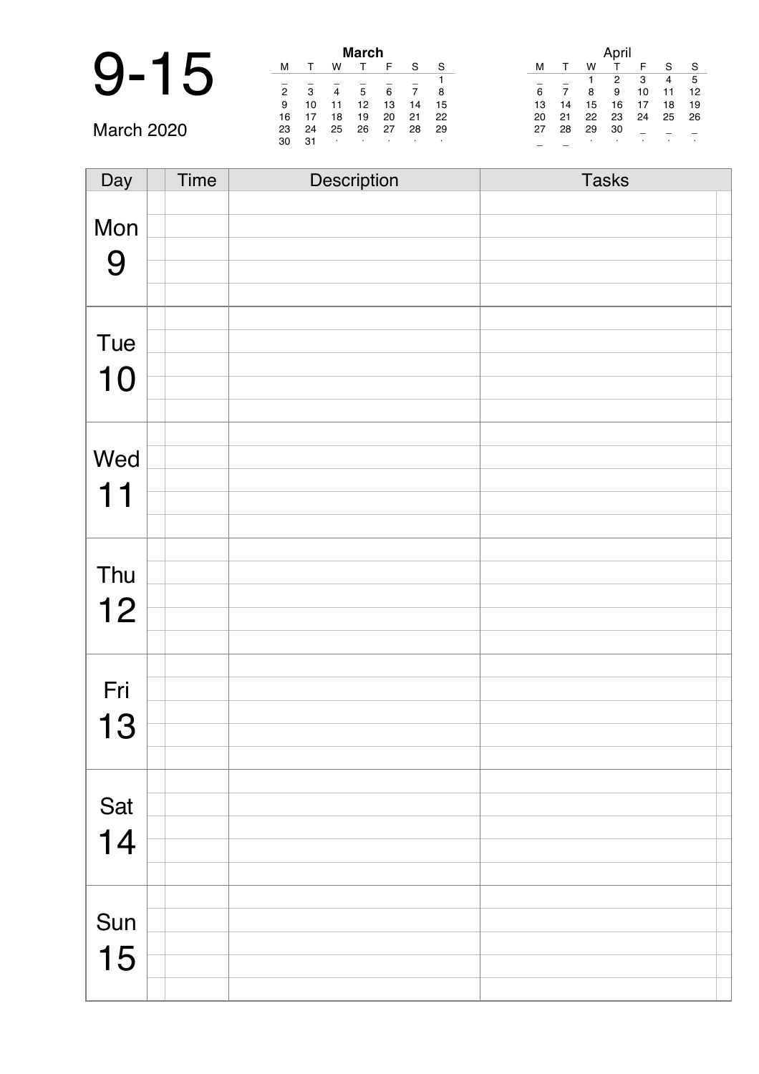|               |   |    | <b>March</b> |  |
|---------------|---|----|--------------|--|
| $\Omega$<br>4 |   |    |              |  |
|               | 2 | ۰  | 5            |  |
|               | 9 | 10 | 12           |  |

March 2020

| March          |    |    |    |    |    |    |
|----------------|----|----|----|----|----|----|
| м              |    | w  | т  | F  | S  | S  |
|                |    |    |    |    |    |    |
| $\overline{2}$ | 3  | 4  | 5  | 6  | 7  | 8  |
| 9              | 10 | 11 | 12 | 13 | 14 | 15 |
| 16             | 17 | 18 | 19 | 20 | 21 | 22 |
| 23             | 24 | 25 | 26 | 27 | 28 | 29 |
| 30             | 31 | ٠  | ٠  | ٠  | ٠  | ٠  |

|    |    |    | April |    |    |    |
|----|----|----|-------|----|----|----|
| м  |    | w  |       | F  | S  | S  |
|    |    |    | 2     | 3  | 4  | 5  |
| 6  | 7  | 8  | 9     | 10 | 11 | 12 |
| 13 | 14 | 15 | 16    | 17 | 18 | 19 |
| 20 | 21 | 22 | 23    | 24 | 25 | 26 |
| 27 | 28 | 29 | 30    |    |    |    |
|    |    | ٠  |       |    | ٠  | ٠  |

| Day | Time | Description | <b>Tasks</b> |
|-----|------|-------------|--------------|
|     |      |             |              |
| Mon |      |             |              |
|     |      |             |              |
| 9   |      |             |              |
|     |      |             |              |
|     |      |             |              |
| Tue |      |             |              |
|     |      |             |              |
| 10  |      |             |              |
|     |      |             |              |
|     |      |             |              |
| Wed |      |             |              |
|     |      |             |              |
| 11  |      |             |              |
|     |      |             |              |
|     |      |             |              |
| Thu |      |             |              |
|     |      |             |              |
| 12  |      |             |              |
|     |      |             |              |
|     |      |             |              |
| Fri |      |             |              |
|     |      |             |              |
| 13  |      |             |              |
|     |      |             |              |
|     |      |             |              |
| Sat |      |             |              |
|     |      |             |              |
| 14  |      |             |              |
|     |      |             |              |
|     |      |             |              |
| Sun |      |             |              |
|     |      |             |              |
| 15  |      |             |              |
|     |      |             |              |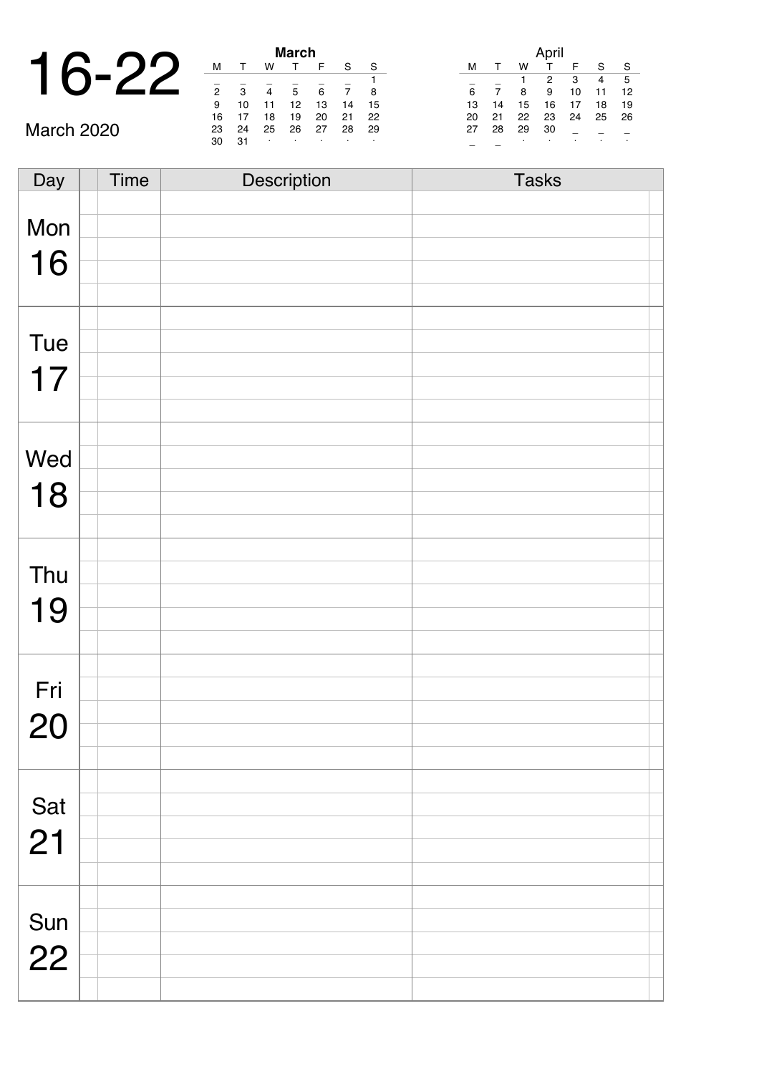| ◥                    |   |   | <b>March</b> |  |
|----------------------|---|---|--------------|--|
| $\blacktriangleleft$ |   |   |              |  |
|                      | 0 | ຈ | 5            |  |
|                      | 9 |   | 12           |  |

March 2020

| March          |    |    |    |    |    |    |  |  |  |
|----------------|----|----|----|----|----|----|--|--|--|
| м              |    | w  |    | F  | S  | S  |  |  |  |
|                |    |    |    |    |    | 1  |  |  |  |
| $\overline{2}$ | 3  |    | 5  | 6  |    | 8  |  |  |  |
| 9              | 10 | 11 | 12 | 13 | 14 | 15 |  |  |  |
| 16             | 17 | 18 | 19 | 20 | 21 | 22 |  |  |  |
| 23             | 24 | 25 | 26 | 27 | 28 | 29 |  |  |  |
| 30             | 31 | ٠  |    | ٠  | ٠  |    |  |  |  |

|    |              |    | April |    |    |    |
|----|--------------|----|-------|----|----|----|
| м  | $\mathsf{T}$ | w  |       | F  | S  | S  |
|    |              |    | 2     | 3  | 4  | 5  |
| 6  |              | 8  | 9     | 10 | 11 | 12 |
| 13 | 14           | 15 | 16    | 17 | 18 | 19 |
| 20 | 21           | 22 | 23    | 24 | 25 | 26 |
| 27 | 28           | 29 | 30    |    |    |    |
|    |              | ٠  |       |    |    |    |

| Day | <b>Time</b> | Description | <b>Tasks</b> |
|-----|-------------|-------------|--------------|
|     |             |             |              |
| Mon |             |             |              |
|     |             |             |              |
| 16  |             |             |              |
|     |             |             |              |
|     |             |             |              |
|     |             |             |              |
| Tue |             |             |              |
|     |             |             |              |
| 17  |             |             |              |
|     |             |             |              |
|     |             |             |              |
| Wed |             |             |              |
|     |             |             |              |
| 18  |             |             |              |
|     |             |             |              |
|     |             |             |              |
|     |             |             |              |
| Thu |             |             |              |
|     |             |             |              |
| 19  |             |             |              |
|     |             |             |              |
|     |             |             |              |
| Fri |             |             |              |
|     |             |             |              |
| 20  |             |             |              |
|     |             |             |              |
|     |             |             |              |
|     |             |             |              |
| Sat |             |             |              |
| 21  |             |             |              |
|     |             |             |              |
|     |             |             |              |
|     |             |             |              |
| Sun |             |             |              |
|     |             |             |              |
| 22  |             |             |              |
|     |             |             |              |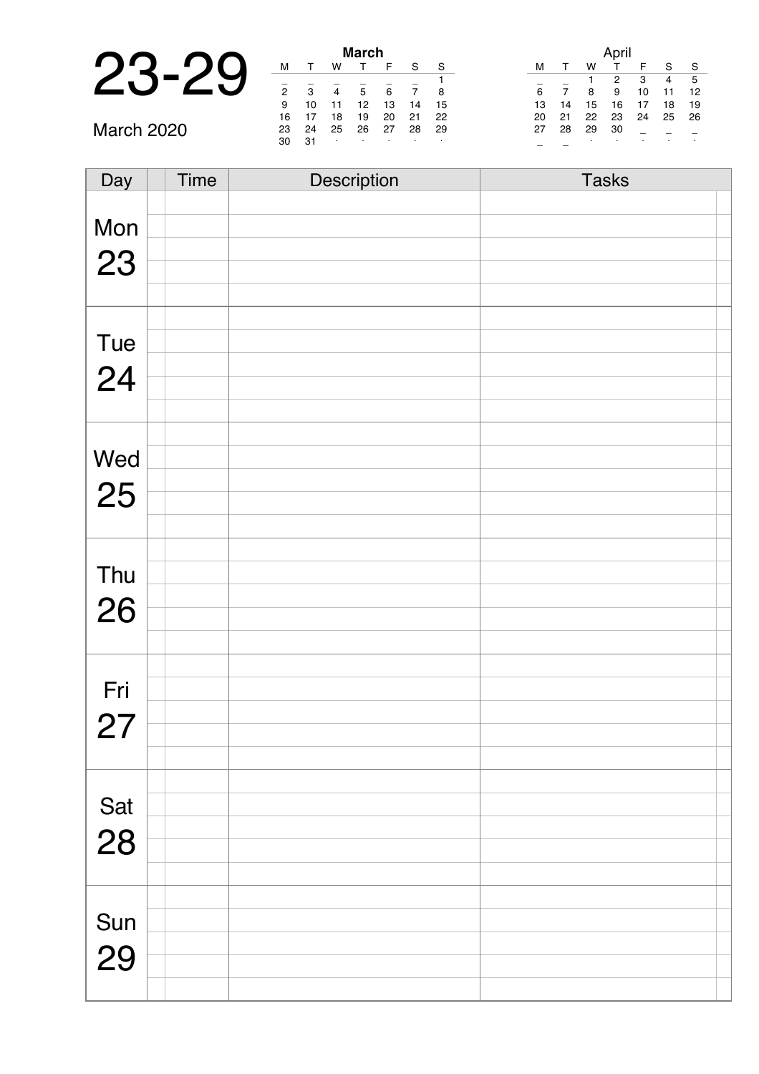| л                      |        |    |        | <b>March</b> |  |
|------------------------|--------|----|--------|--------------|--|
| $\Gamma$<br>$\sqrt{C}$ |        |    |        |              |  |
|                        |        |    |        |              |  |
|                        | っ      | ີ  |        | 5            |  |
|                        | 9      | 10 |        | 12           |  |
|                        | $\sim$ | -  | $\sim$ | $\sim$       |  |

March 2020

| March |    |    |    |    |    |    |  |  |
|-------|----|----|----|----|----|----|--|--|
| м     |    | w  |    | F  | S  | S  |  |  |
|       |    |    |    |    |    |    |  |  |
| 2     | з  |    | 5  | 6  |    | 8  |  |  |
| 9     | 10 | 11 | 12 | 13 | 14 | 15 |  |  |
| 16    | 17 | 18 | 19 | 20 | 21 | 22 |  |  |
| 23    | 24 | 25 | 26 | 27 | 28 | 29 |  |  |
| 30    | 31 | ٠  | ٠  | ٠  | ٠  | ٠  |  |  |

|    |    |    | April |    |    |    |
|----|----|----|-------|----|----|----|
| м  | т  | w  | т     | F  | S  | S  |
|    |    | 1  | 2     | 3  | 4  | 5  |
| 6  | 7  | 8  | 9     | 10 | 11 | 12 |
| 13 | 14 | 15 | 16    | 17 | 18 | 19 |
| 20 | 21 | 22 | 23    | 24 | 25 | 26 |
| 27 | 28 | 29 | 30    |    |    |    |
|    |    | ٠  | ٠     |    |    | ٠  |

| Day | Time | Description | <b>Tasks</b> |
|-----|------|-------------|--------------|
|     |      |             |              |
| Mon |      |             |              |
|     |      |             |              |
| 23  |      |             |              |
|     |      |             |              |
|     |      |             |              |
| Tue |      |             |              |
|     |      |             |              |
| 24  |      |             |              |
|     |      |             |              |
|     |      |             |              |
| Wed |      |             |              |
|     |      |             |              |
| 25  |      |             |              |
|     |      |             |              |
|     |      |             |              |
| Thu |      |             |              |
|     |      |             |              |
| 26  |      |             |              |
|     |      |             |              |
|     |      |             |              |
| Fri |      |             |              |
|     |      |             |              |
| 27  |      |             |              |
|     |      |             |              |
|     |      |             |              |
| Sat |      |             |              |
|     |      |             |              |
| 28  |      |             |              |
|     |      |             |              |
|     |      |             |              |
| Sun |      |             |              |
|     |      |             |              |
| 29  |      |             |              |
|     |      |             |              |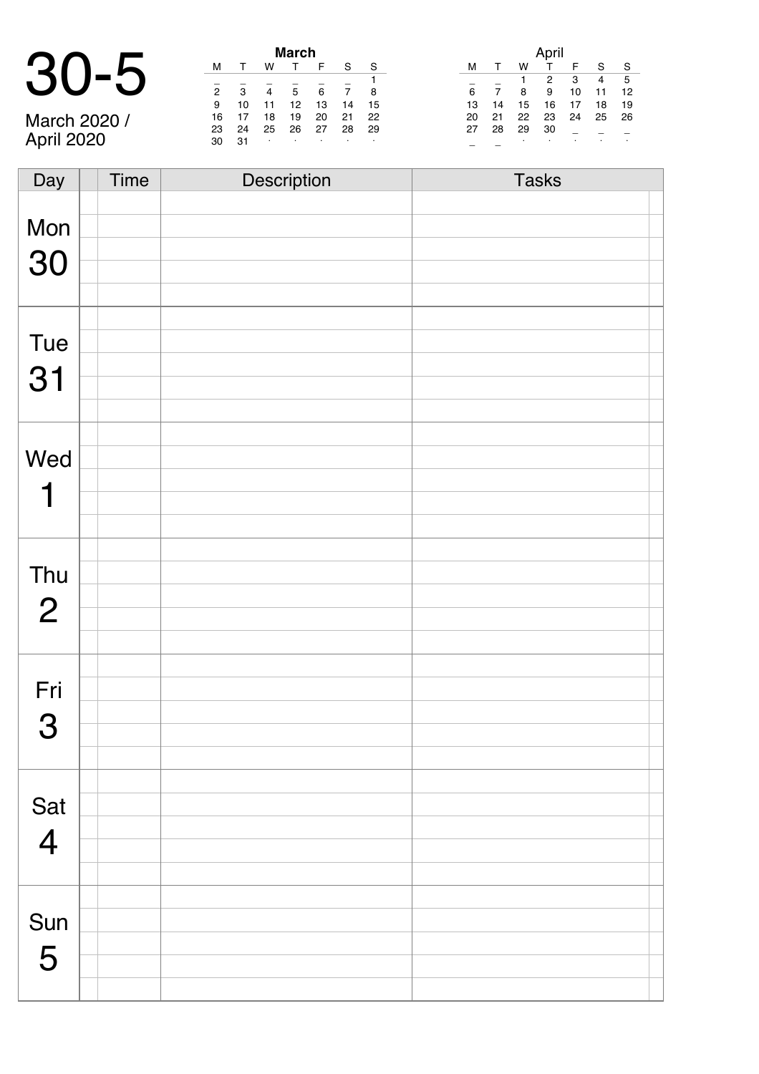# 30-5 **March**

March 2020 / April 2020

| March          |    |    |    |    |    |    |  |  |  |
|----------------|----|----|----|----|----|----|--|--|--|
| м              |    | w  |    | F  | S  | S  |  |  |  |
|                |    |    |    |    |    |    |  |  |  |
| $\overline{2}$ | 3  |    | 5  | 6  |    | 8  |  |  |  |
| 9              | 10 | 11 | 12 | 13 | 14 | 15 |  |  |  |
| 16             | 17 | 18 | 19 | 20 | 21 | 22 |  |  |  |
| 23             | 24 | 25 | 26 | 27 | 28 | 29 |  |  |  |
| 30             | 31 | ٠  | ٠  | ٠  |    | ٠  |  |  |  |

|    |    |    | April |    |    |    |
|----|----|----|-------|----|----|----|
| м  | т  | w  | т     | F  | S  | S  |
|    |    |    | 2     | 3  | 4  | 5  |
| 6  |    | 8  | 9     | 10 | 11 | 12 |
| 13 | 14 | 15 | 16    | 17 | 18 | 19 |
| 20 | 21 | 22 | 23    | 24 | 25 | 26 |
| 27 | 28 | 29 | 30    |    |    |    |
|    |    | ٠  | ٠     |    |    | ٠  |

| Day            | <b>Time</b> | Description | <b>Tasks</b> |
|----------------|-------------|-------------|--------------|
|                |             |             |              |
| Mon            |             |             |              |
|                |             |             |              |
| 30             |             |             |              |
|                |             |             |              |
|                |             |             |              |
|                |             |             |              |
| Tue            |             |             |              |
|                |             |             |              |
| 31             |             |             |              |
|                |             |             |              |
|                |             |             |              |
| Wed            |             |             |              |
|                |             |             |              |
| 1              |             |             |              |
|                |             |             |              |
|                |             |             |              |
|                |             |             |              |
| Thu            |             |             |              |
|                |             |             |              |
| $\overline{2}$ |             |             |              |
|                |             |             |              |
|                |             |             |              |
| Fri            |             |             |              |
|                |             |             |              |
| 3              |             |             |              |
|                |             |             |              |
|                |             |             |              |
|                |             |             |              |
| Sat            |             |             |              |
| $\overline{4}$ |             |             |              |
|                |             |             |              |
|                |             |             |              |
|                |             |             |              |
| Sun            |             |             |              |
|                |             |             |              |
| 5              |             |             |              |
|                |             |             |              |
|                |             |             |              |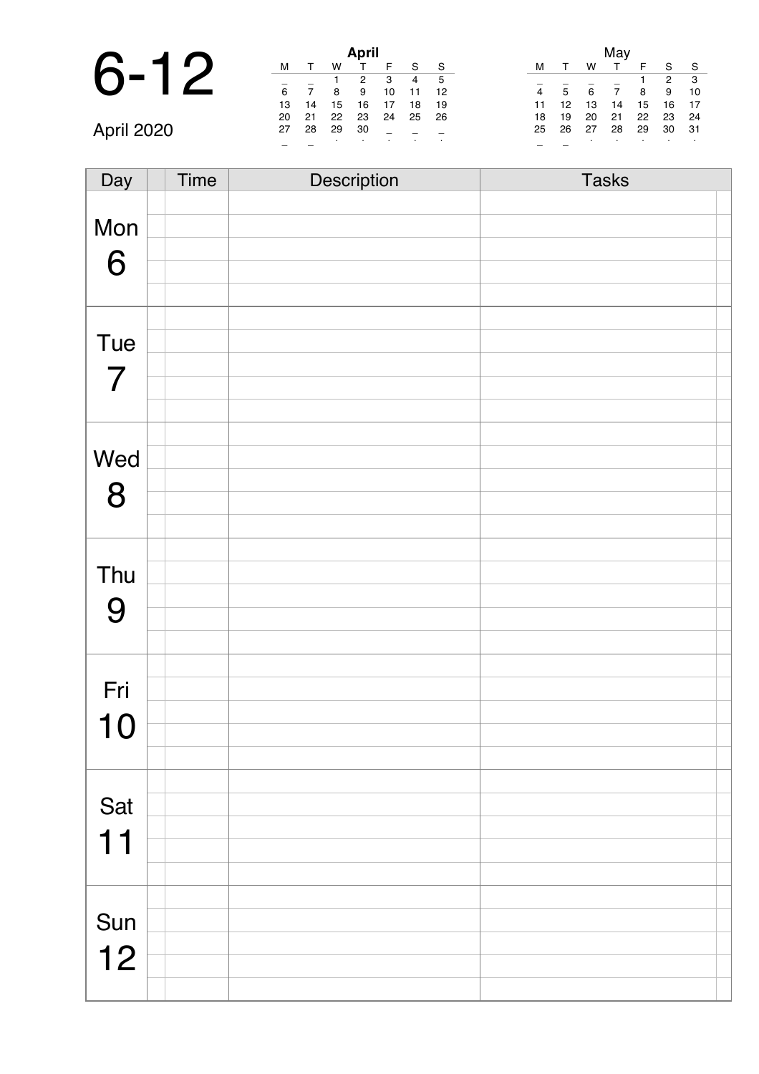## 6-12 **April**

April 2020

| April            |    |    |    |    |    |    |  |  |  |
|------------------|----|----|----|----|----|----|--|--|--|
| м                |    | w  |    | F  | S  | S  |  |  |  |
| 5<br>3<br>2<br>4 |    |    |    |    |    |    |  |  |  |
| 6                |    | 8  | 9  | 10 | 11 | 12 |  |  |  |
| 13               | 14 | 15 | 16 | 17 | 18 | 19 |  |  |  |
| 20               | 21 | 22 | 23 | 24 | 25 | 26 |  |  |  |
| 27               | 28 | 29 | 30 |    |    |    |  |  |  |
| ٠<br>٠<br>٠      |    |    |    |    |    |    |  |  |  |

|    |    |    | May |    |                |    |
|----|----|----|-----|----|----------------|----|
| м  |    | w  |     | F  | S              | S  |
|    |    |    |     |    | $\overline{2}$ | 3  |
| 4  | 5  | 6  | 7   | 8  | 9              | 10 |
| 11 | 12 | 13 | 14  | 15 | 16             | 17 |
| 18 | 19 | 20 | 21  | 22 | 23             | 24 |
| 25 | 26 | 27 | 28  | 29 | 30             | 31 |
|    |    | ٠  |     | ٠  |                | ٠  |

| Day            | <b>Time</b> | Description | <b>Tasks</b> |
|----------------|-------------|-------------|--------------|
|                |             |             |              |
| Mon            |             |             |              |
|                |             |             |              |
| 6              |             |             |              |
|                |             |             |              |
|                |             |             |              |
| Tue            |             |             |              |
|                |             |             |              |
| $\overline{7}$ |             |             |              |
|                |             |             |              |
|                |             |             |              |
| Wed            |             |             |              |
|                |             |             |              |
| 8              |             |             |              |
|                |             |             |              |
|                |             |             |              |
| Thu            |             |             |              |
|                |             |             |              |
| 9              |             |             |              |
|                |             |             |              |
|                |             |             |              |
| Fri            |             |             |              |
|                |             |             |              |
| 10             |             |             |              |
|                |             |             |              |
|                |             |             |              |
| Sat            |             |             |              |
|                |             |             |              |
| 11             |             |             |              |
|                |             |             |              |
|                |             |             |              |
|                |             |             |              |
| Sun            |             |             |              |
| 12             |             |             |              |
|                |             |             |              |
|                |             |             |              |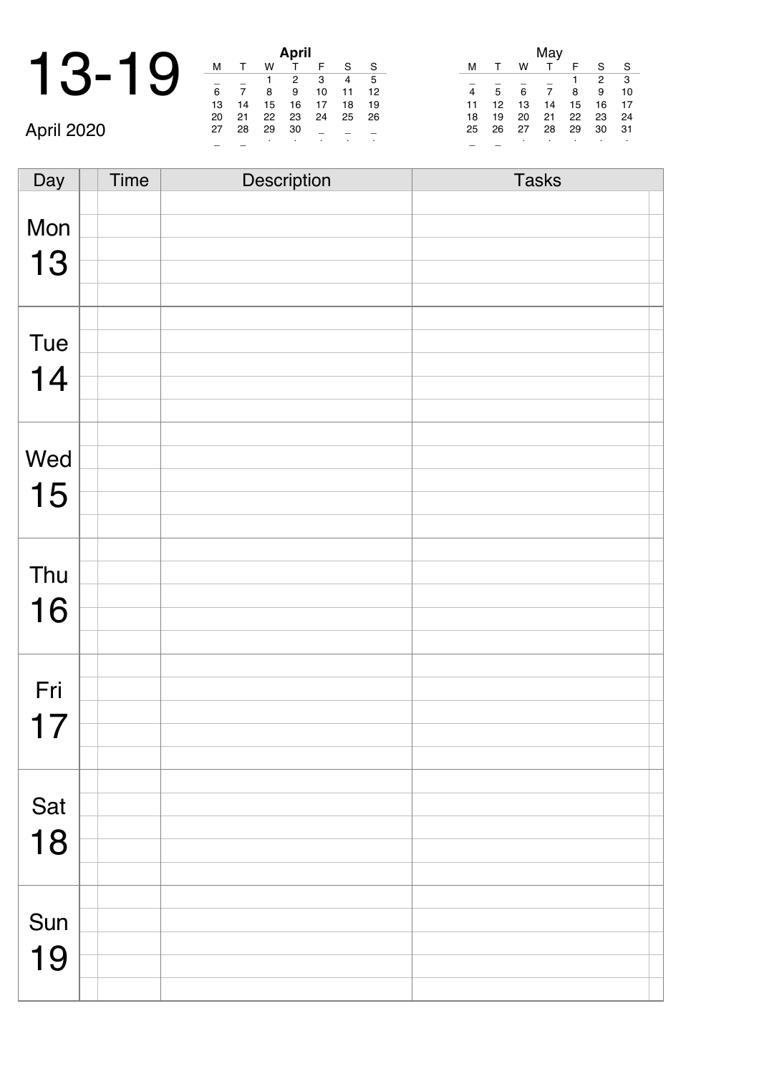| $\blacktriangleleft$ |      |      |               |      | <b>April</b> |  |
|----------------------|------|------|---------------|------|--------------|--|
| $\mathbf{\Omega}$    | -1 Q |      |               |      |              |  |
|                      |      |      |               |      |              |  |
|                      |      | 6    |               |      |              |  |
|                      |      | 13   | 14            | 15   | 16           |  |
|                      |      | $-1$ | $\sim$ $\sim$ | $-1$ | --           |  |

April 2020

|    |    |    | April |    |    |    |
|----|----|----|-------|----|----|----|
| м  |    | w  |       | F  | S  | S  |
|    |    |    | 2     | 3  | 4  | 5  |
| 6  |    | 8  | 9     | 10 | 11 | 12 |
| 13 | 14 | 15 | 16    | 17 | 18 | 19 |
| 20 | 21 | 22 | 23    | 24 | 25 | 26 |
| 27 | 28 | 29 | 30    |    |    |    |
|    |    |    | ٠     |    |    |    |

|    |    |    | May |    |    |    |
|----|----|----|-----|----|----|----|
| м  |    | w  | т   | F  | S  | S  |
|    |    |    |     |    | 2  | 3  |
| 4  | 5  | 6  | 7   | 8  | 9  | 10 |
| 11 | 12 | 13 | 14  | 15 | 16 | 17 |
| 18 | 19 | 20 | 21  | 22 | 23 | 24 |
| 25 | 26 | 27 | 28  | 29 | 30 | 31 |
|    |    | ٠  | ٠   |    |    |    |

Day Time Description Tasks Mon 13 Tue 14 Wed 15 Thu 16 Fri 17 Sat 18 Sun 19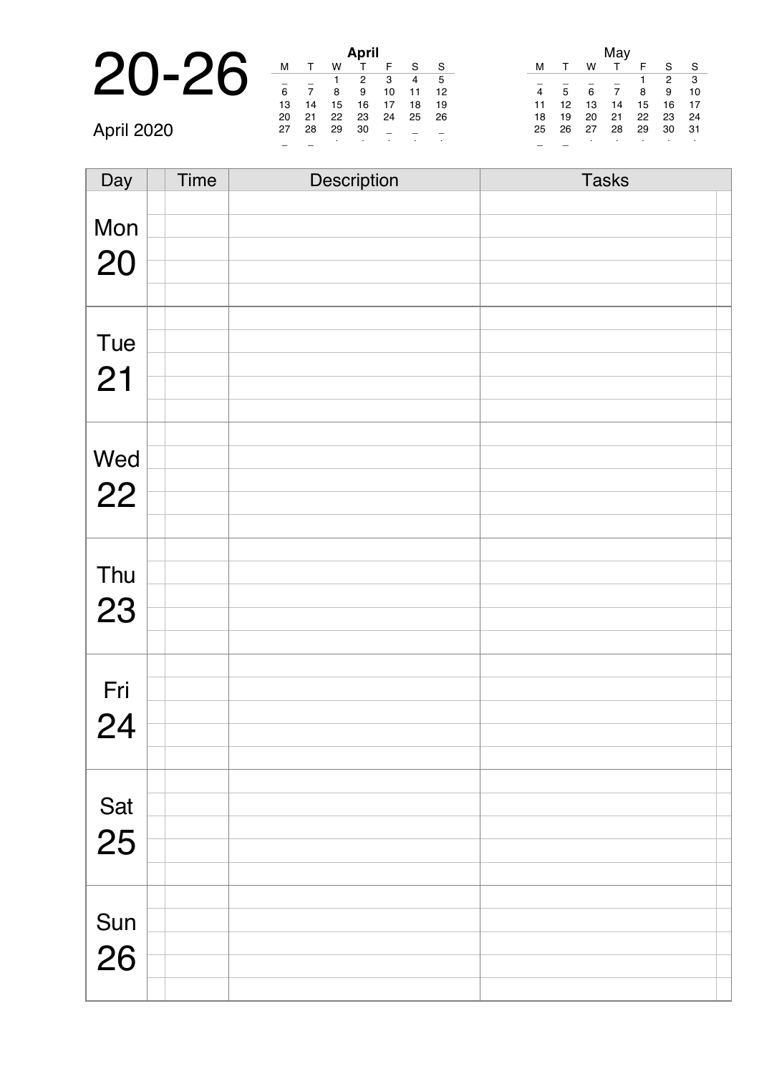|           |    |    |    | <b>April</b> |  |
|-----------|----|----|----|--------------|--|
| $20 - 20$ |    |    |    |              |  |
|           |    |    |    |              |  |
|           | 6  |    |    |              |  |
|           | 13 | 14 | 15 | 16           |  |
|           | 20 |    |    | 23           |  |

| April |    |    |    |    |    |    |  |  |
|-------|----|----|----|----|----|----|--|--|
| м     |    | w  |    | F  | S  | S  |  |  |
|       |    |    | 2  | 3  | 4  | 5  |  |  |
| 6     |    | 8  | 9  | 10 | 11 | 12 |  |  |
| 13    | 14 | 15 | 16 | 17 | 18 | 19 |  |  |
| 20    | 21 | 22 | 23 | 24 | 25 | 26 |  |  |
| 27    | 28 | 29 | 30 |    |    |    |  |  |
|       |    | ٠  | ۰  | ٠  |    | ٠  |  |  |

|    |    |    | May |    |    |    |
|----|----|----|-----|----|----|----|
| м  | -1 | w  |     | F  | S  |    |
|    |    |    |     |    | 2  | 3  |
| 4  | 5  | 6  | 7   | 8  | 9  | 10 |
| 11 | 12 | 13 | 14  | 15 | 16 | 17 |
| 18 | 19 | 20 | 21  | 22 | 23 | 24 |
| 25 | 26 | 27 | 28  | 29 | 30 | 31 |
|    |    | ٠  | ٠   | ٠  | ٠  |    |

April 2020

| Day       | Time | Description | <b>Tasks</b> |
|-----------|------|-------------|--------------|
|           |      |             |              |
| Mon       |      |             |              |
|           |      |             |              |
| 20        |      |             |              |
|           |      |             |              |
|           |      |             |              |
| Tue       |      |             |              |
| 21        |      |             |              |
|           |      |             |              |
|           |      |             |              |
|           |      |             |              |
| Wed       |      |             |              |
| 22        |      |             |              |
|           |      |             |              |
|           |      |             |              |
|           |      |             |              |
| Thu       |      |             |              |
| 23        |      |             |              |
|           |      |             |              |
|           |      |             |              |
|           |      |             |              |
| Fri       |      |             |              |
| 24        |      |             |              |
|           |      |             |              |
|           |      |             |              |
|           |      |             |              |
| Sat<br>25 |      |             |              |
|           |      |             |              |
|           |      |             |              |
|           |      |             |              |
|           |      |             |              |
| Sun       |      |             |              |
| 26        |      |             |              |
|           |      |             |              |
|           |      |             |              |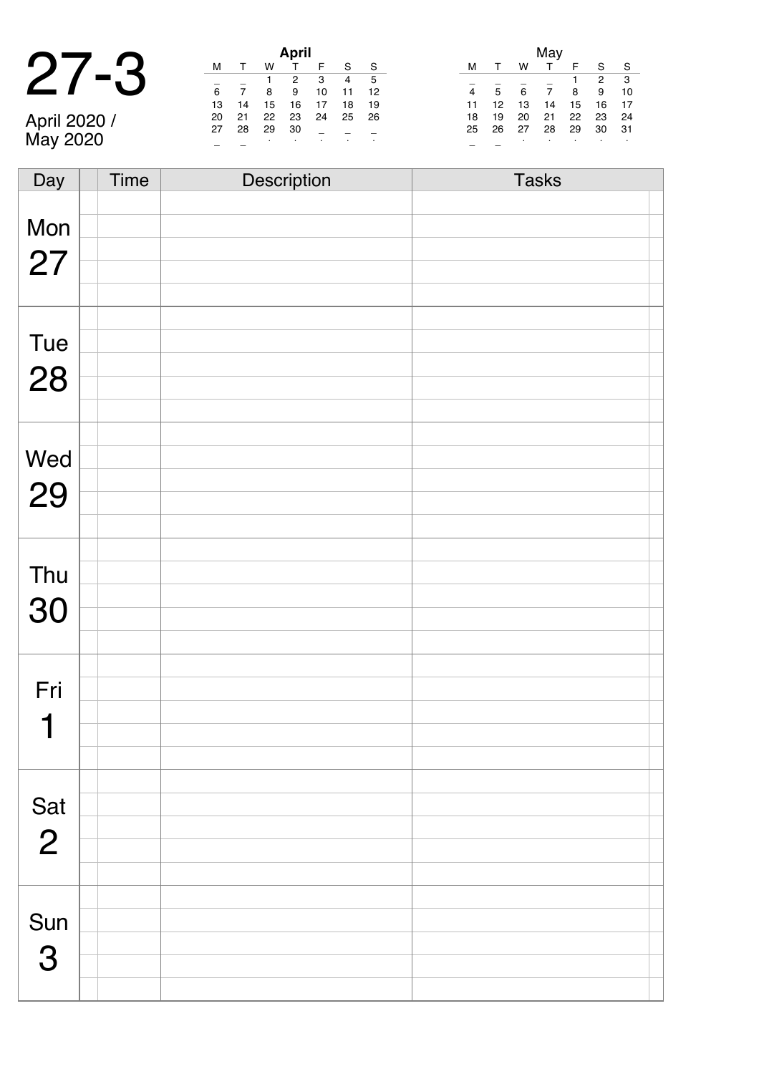|    |   | <b>April</b> |
|----|---|--------------|
|    | w |              |
|    |   |              |
| 6  |   |              |
| 13 | 5 | 16           |

April 2020 / May 2020

|    |    |    | April |    |    |    |
|----|----|----|-------|----|----|----|
| м  |    | w  | т     | F  | S  | S  |
|    |    | 1  | 2     | 3  | 4  | 5  |
| 6  |    | 8  | 9     | 10 | 11 | 12 |
| 13 | 14 | 15 | 16    | 17 | 18 | 19 |
| 20 | 21 | 22 | 23    | 24 | 25 | 26 |
| 27 | 28 | 29 | 30    |    |    |    |
|    |    |    | ٠     |    | ٠  |    |

|    | May |    |    |    |    |    |  |  |
|----|-----|----|----|----|----|----|--|--|
| м  |     | w  | T  | F  | S  | S  |  |  |
|    |     |    |    |    | 2  | 3  |  |  |
| 4  | 5   | 6  | 7  | 8  | 9  | 10 |  |  |
| 11 | 12  | 13 | 14 | 15 | 16 | 17 |  |  |
| 18 | 19  | 20 | 21 | 22 | 23 | 24 |  |  |
| 25 | 26  | 27 | 28 | 29 | 30 | 31 |  |  |
|    |     | ٠  | ٠  | ٠  | ٠  | ٠  |  |  |

| Day            | Time | Description | <b>Tasks</b> |
|----------------|------|-------------|--------------|
|                |      |             |              |
| Mon            |      |             |              |
|                |      |             |              |
| 27             |      |             |              |
|                |      |             |              |
|                |      |             |              |
|                |      |             |              |
| Tue            |      |             |              |
| 28             |      |             |              |
|                |      |             |              |
|                |      |             |              |
|                |      |             |              |
| Wed            |      |             |              |
|                |      |             |              |
| 29             |      |             |              |
|                |      |             |              |
|                |      |             |              |
| Thu            |      |             |              |
|                |      |             |              |
| 30             |      |             |              |
|                |      |             |              |
|                |      |             |              |
|                |      |             |              |
| Fri            |      |             |              |
| 1              |      |             |              |
|                |      |             |              |
|                |      |             |              |
|                |      |             |              |
| Sat            |      |             |              |
|                |      |             |              |
| $\overline{2}$ |      |             |              |
|                |      |             |              |
|                |      |             |              |
|                |      |             |              |
| Sun            |      |             |              |
| 3              |      |             |              |
|                |      |             |              |
|                |      |             |              |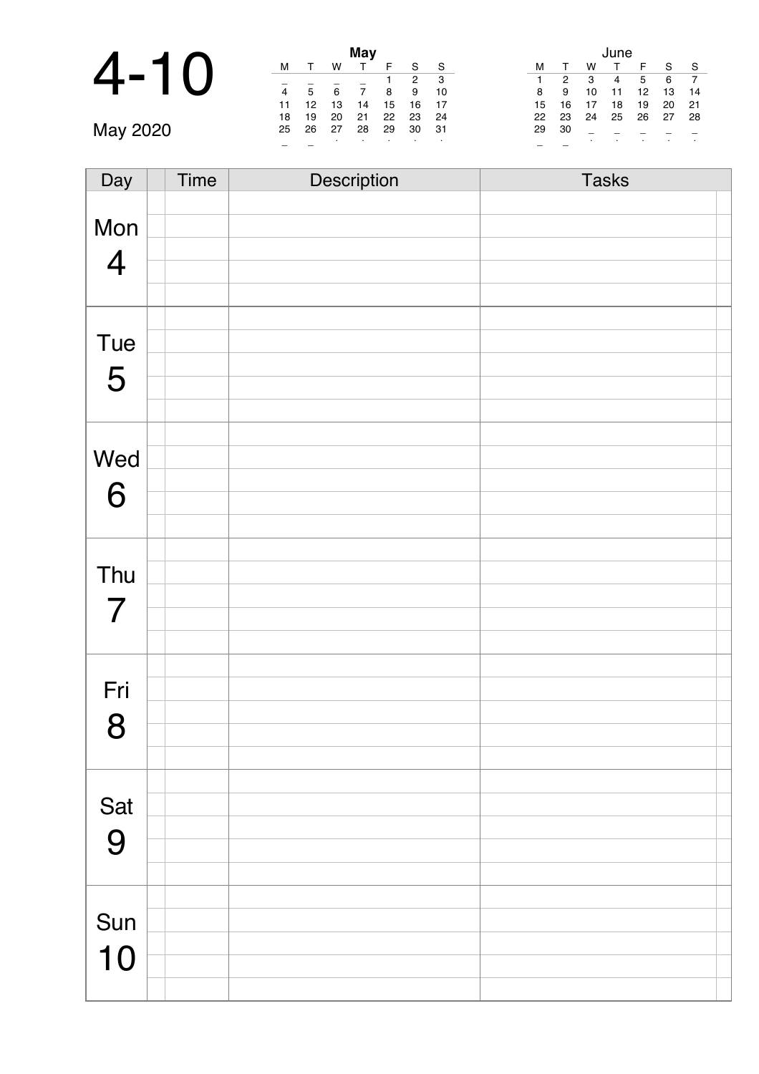### 4-10 **May**

May 2020

|    |              |    | May |    |    |    |
|----|--------------|----|-----|----|----|----|
| м  | $\mathsf{T}$ | w  |     | F  | S  | S  |
|    |              |    |     | 1  | 2  | 3  |
| 4  | 5            | 6  | 7   | 8  | 9  | 10 |
| 11 | 12           | 13 | 14  | 15 | 16 | 17 |
| 18 | 19           | 20 | 21  | 22 | 23 | 24 |
| 25 | 26           | 27 | 28  | 29 | 30 | 31 |
|    |              | ٠  |     |    |    |    |

|    |    |    | June |    |    |    |
|----|----|----|------|----|----|----|
| м  | т  | w  | т    | F  | S  | S  |
| 1  | 2  | 3  | 4    | 5  | 6  |    |
| 8  | 9  | 10 | 11   | 12 | 13 | 14 |
| 15 | 16 | 17 | 18   | 19 | 20 | 21 |
| 22 | 23 | 24 | 25   | 26 | 27 | 28 |
| 29 | 30 |    |      |    |    |    |
|    |    | ٠  | ٠    |    |    | ٠  |

| Day            | Time | Description | <b>Tasks</b> |
|----------------|------|-------------|--------------|
|                |      |             |              |
| Mon            |      |             |              |
|                |      |             |              |
| $\overline{4}$ |      |             |              |
|                |      |             |              |
|                |      |             |              |
| Tue            |      |             |              |
|                |      |             |              |
| 5              |      |             |              |
|                |      |             |              |
|                |      |             |              |
| Wed            |      |             |              |
| 6              |      |             |              |
|                |      |             |              |
|                |      |             |              |
|                |      |             |              |
| Thu            |      |             |              |
|                |      |             |              |
| $\overline{7}$ |      |             |              |
|                |      |             |              |
|                |      |             |              |
| Fri            |      |             |              |
| 8              |      |             |              |
|                |      |             |              |
|                |      |             |              |
|                |      |             |              |
| Sat            |      |             |              |
| 9              |      |             |              |
|                |      |             |              |
|                |      |             |              |
|                |      |             |              |
| Sun            |      |             |              |
| 10             |      |             |              |
|                |      |             |              |
|                |      |             |              |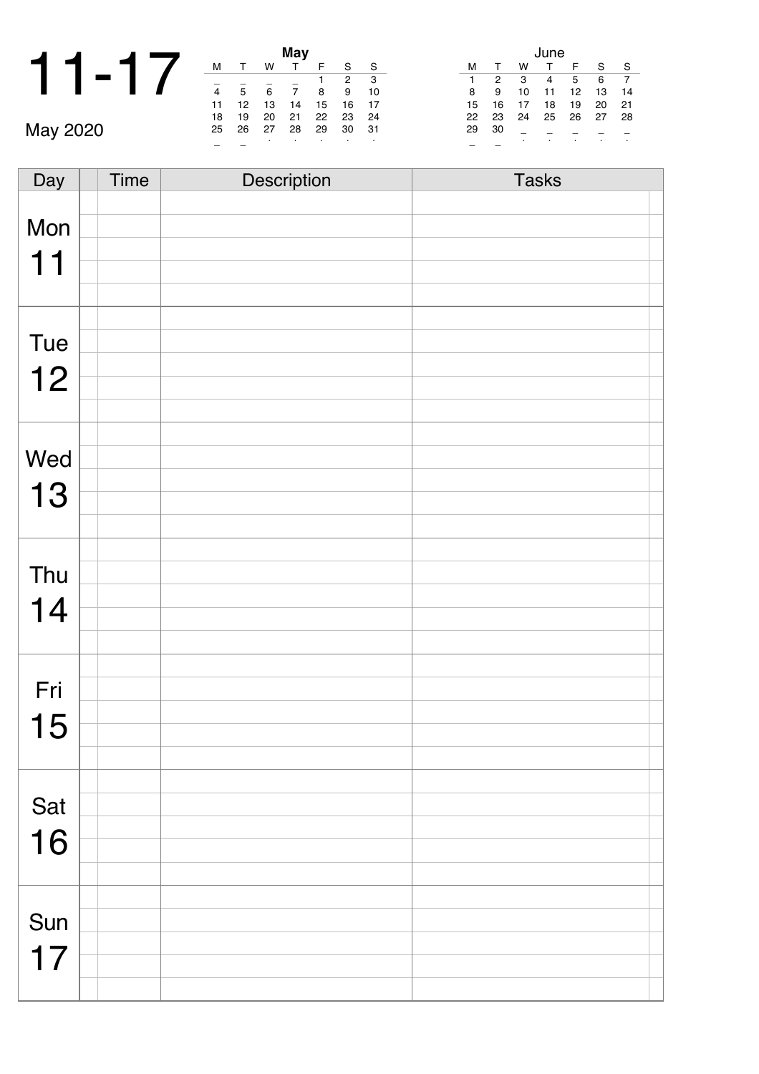|  |  |                |                |        | May    |
|--|--|----------------|----------------|--------|--------|
|  |  | м              |                | w      |        |
|  |  |                |                |        |        |
|  |  | 4              | 5              | 6      |        |
|  |  | 11             | 12             | 13     | 14     |
|  |  | $\overline{ }$ | $\overline{a}$ | $\sim$ | $\sim$ |

|    |    |    | May |    |    |    |
|----|----|----|-----|----|----|----|
| м  | т  | w  |     | F  | S  | S  |
|    |    |    |     | 1  | 2  | 3  |
| 4  | 5  | 6  | 7   | 8  | 9  | 10 |
| 11 | 12 | 13 | 14  | 15 | 16 | 17 |
| 18 | 19 | 20 | 21  | 22 | 23 | 24 |
| 25 | 26 | 27 | 28  | 29 | 30 | 31 |
|    |    | ٠  |     | ٠  |    | ٠  |

|    |    |    | June |    |    |    |
|----|----|----|------|----|----|----|
| м  | т  | w  | т    | F  | S  | S  |
| 1  | 2  | 3  | 4    | 5  | 6  | 7  |
| 8  | 9  | 10 | 11   | 12 | 13 | 14 |
| 15 | 16 | 17 | 18   | 19 | 20 | 21 |
| 22 | 23 | 24 | 25   | 26 | 27 | 28 |
| 29 | 30 |    |      |    |    |    |
|    |    | ċ  | ٠    | ٠  |    | ٠  |

May 2020

| Day | Time | Description | <b>Tasks</b> |  |
|-----|------|-------------|--------------|--|
|     |      |             |              |  |
| Mon |      |             |              |  |
| 11  |      |             |              |  |
|     |      |             |              |  |
|     |      |             |              |  |
|     |      |             |              |  |
| Tue |      |             |              |  |
| 12  |      |             |              |  |
|     |      |             |              |  |
|     |      |             |              |  |
| Wed |      |             |              |  |
|     |      |             |              |  |
| 13  |      |             |              |  |
|     |      |             |              |  |
|     |      |             |              |  |
| Thu |      |             |              |  |
| 14  |      |             |              |  |
|     |      |             |              |  |
|     |      |             |              |  |
|     |      |             |              |  |
| Fri |      |             |              |  |
| 15  |      |             |              |  |
|     |      |             |              |  |
|     |      |             |              |  |
| Sat |      |             |              |  |
|     |      |             |              |  |
| 16  |      |             |              |  |
|     |      |             |              |  |
|     |      |             |              |  |
| Sun |      |             |              |  |
|     |      |             |              |  |
| 17  |      |             |              |  |
|     |      |             |              |  |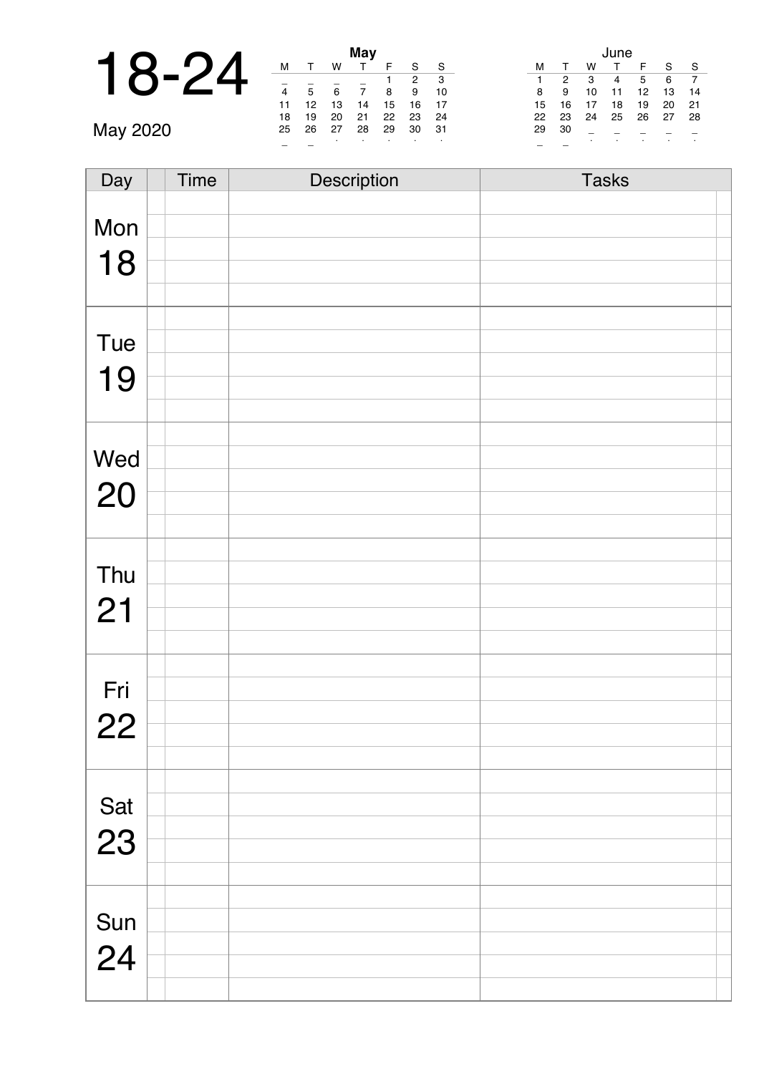|          |    |    |                      | May    |  |
|----------|----|----|----------------------|--------|--|
|          | м  |    | W                    |        |  |
|          |    |    |                      |        |  |
|          | 4  | 5  | 6                    |        |  |
|          | 11 | 12 | 13                   | 14     |  |
|          | 18 | 19 | 20                   | 21     |  |
| May 2020 | 25 | 26 | 27                   | 28     |  |
|          |    |    | $\sim$ $\sim$ $\sim$ | $\sim$ |  |

|    |    |    | May |    |    |    |
|----|----|----|-----|----|----|----|
| м  |    | w  |     | F  | S  | S  |
|    |    |    |     |    | 2  | 3  |
| 4  | 5  | 6  | 7   | 8  | 9  | 10 |
| 11 | 12 | 13 | 14  | 15 | 16 | 17 |
| 18 | 19 | 20 | 21  | 22 | 23 | 24 |
| 25 | 26 | 27 | 28  | 29 | 30 | 31 |
|    |    |    |     |    |    |    |
|    |    |    |     |    |    |    |

|    |              |    | June |    |    |    |
|----|--------------|----|------|----|----|----|
| м  | $\mathsf{T}$ | w  | т    | F  | S  | S  |
| 1  | 2            | 3  | 4    | 5  | 6  |    |
| 8  | 9            | 10 | 11   | 12 | 13 | 14 |
| 15 | 16           | 17 | 18   | 19 | 20 | 21 |
| 22 | 23           | 24 | 25   | 26 | 27 | 28 |
| 29 | 30           |    |      |    |    |    |
|    |              | ٠  | ٠    | ٠  |    |    |

| Day | <b>Time</b> | Description | <b>Tasks</b> |
|-----|-------------|-------------|--------------|
|     |             |             |              |
| Mon |             |             |              |
|     |             |             |              |
| 18  |             |             |              |
|     |             |             |              |
|     |             |             |              |
| Tue |             |             |              |
|     |             |             |              |
| 19  |             |             |              |
|     |             |             |              |
|     |             |             |              |
| Wed |             |             |              |
|     |             |             |              |
| 20  |             |             |              |
|     |             |             |              |
|     |             |             |              |
| Thu |             |             |              |
|     |             |             |              |
| 21  |             |             |              |
|     |             |             |              |
|     |             |             |              |
| Fri |             |             |              |
|     |             |             |              |
| 22  |             |             |              |
|     |             |             |              |
|     |             |             |              |
| Sat |             |             |              |
| 23  |             |             |              |
|     |             |             |              |
|     |             |             |              |
|     |             |             |              |
| Sun |             |             |              |
|     |             |             |              |
| 24  |             |             |              |
|     |             |             |              |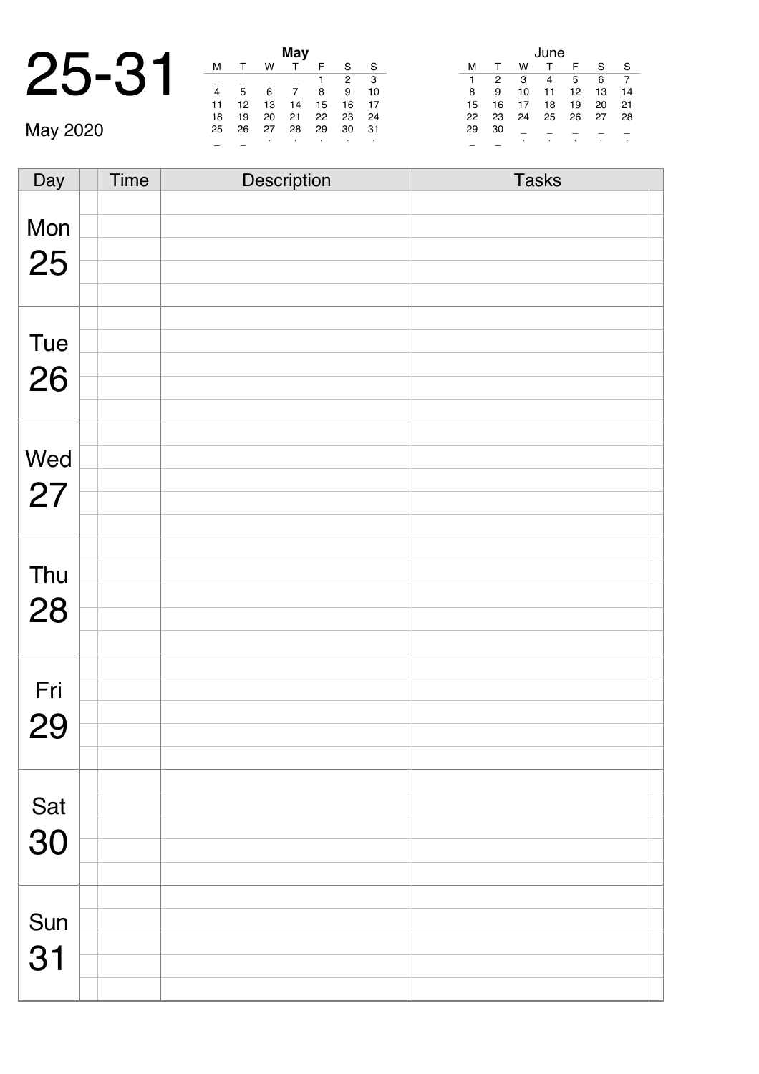|      |    |    | <b>May</b> |
|------|----|----|------------|
| つに_つ |    |    |            |
|      | 12 | 13 | 14         |

|    |    |    | May |    |    |    |
|----|----|----|-----|----|----|----|
| м  |    | w  |     | F  | S  | S  |
|    |    |    |     | 1  | 2  | 3  |
| 4  | 5  | 6  | 7   | 8  | 9  | 10 |
| 11 | 12 | 13 | 14  | 15 | 16 | 17 |
| 18 | 19 | 20 | 21  | 22 | 23 | 24 |
| 25 | 26 | 27 | 28  | 29 | 30 | 31 |
|    |    | ٠  |     | ٠  |    | ٠  |

|    |    |    | June |    |    |    |
|----|----|----|------|----|----|----|
| м  | т  | w  | т    | F  | S  | S  |
| 1  | 2  | 3  | 4    | 5  | 6  |    |
| 8  | 9  | 10 | 11   | 12 | 13 | 14 |
| 15 | 16 | 17 | 18   | 19 | 20 | 21 |
| 22 | 23 | 24 | 25   | 26 | 27 | 28 |
| 29 | 30 |    |      |    |    |    |
|    |    | ٠  | ٠    |    | ٠  | ٠  |

May 2020

| Day       | Time | Description | <b>Tasks</b> |
|-----------|------|-------------|--------------|
|           |      |             |              |
| Mon       |      |             |              |
| 25        |      |             |              |
|           |      |             |              |
|           |      |             |              |
|           |      |             |              |
| Tue       |      |             |              |
| 26        |      |             |              |
|           |      |             |              |
|           |      |             |              |
| Wed       |      |             |              |
| 27        |      |             |              |
|           |      |             |              |
|           |      |             |              |
|           |      |             |              |
| Thu       |      |             |              |
| 28        |      |             |              |
|           |      |             |              |
|           |      |             |              |
| Fri       |      |             |              |
|           |      |             |              |
| 29        |      |             |              |
|           |      |             |              |
|           |      |             |              |
|           |      |             |              |
| Sat<br>30 |      |             |              |
|           |      |             |              |
|           |      |             |              |
| Sun       |      |             |              |
|           |      |             |              |
| 31        |      |             |              |
|           |      |             |              |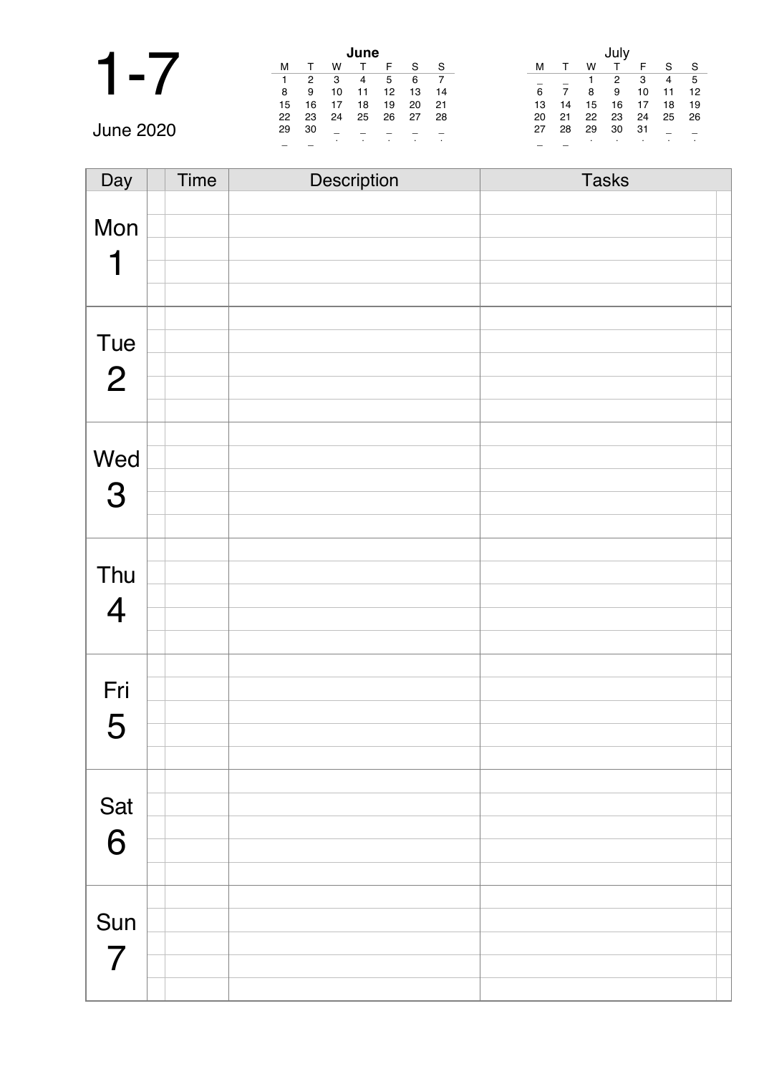|                  |    |    |    | June |    |    |     |    |    |    |    |     |    |     |
|------------------|----|----|----|------|----|----|-----|----|----|----|----|-----|----|-----|
|                  | м  |    | w  |      |    | S  | S   | м  |    | W  |    |     | e  | `S  |
|                  |    | 2  | 3  | 4    | 5  | 6  |     |    |    |    | 2  | 3   | 4  | - 5 |
|                  | 8  | 9  | 10 |      | 12 | 13 | 14  | 6  |    |    | 9  | 10  |    | 12  |
|                  | 15 | 16 |    | 18   | 19 | 20 | -21 | 13 | 14 | 15 | 16 |     | 18 | 19  |
|                  | 22 | 23 | 24 | 25   | 26 | 27 | 28  | 20 | 21 | 22 | 23 | 24  | 25 | -26 |
| <b>June 2020</b> | 29 | 30 |    |      |    |    |     | 27 | 28 | 29 | 30 | -31 |    |     |
|                  |    |    |    |      |    |    |     |    |    |    |    |     |    |     |

| Day            | Time | Description | <b>Tasks</b> |
|----------------|------|-------------|--------------|
|                |      |             |              |
| Mon            |      |             |              |
|                |      |             |              |
| 1              |      |             |              |
|                |      |             |              |
|                |      |             |              |
| Tue            |      |             |              |
| $\overline{2}$ |      |             |              |
|                |      |             |              |
|                |      |             |              |
|                |      |             |              |
| Wed            |      |             |              |
| 3              |      |             |              |
|                |      |             |              |
|                |      |             |              |
|                |      |             |              |
| Thu            |      |             |              |
| $\overline{4}$ |      |             |              |
|                |      |             |              |
|                |      |             |              |
|                |      |             |              |
| Fri            |      |             |              |
| 5              |      |             |              |
|                |      |             |              |
|                |      |             |              |
|                |      |             |              |
| Sat            |      |             |              |
| 6              |      |             |              |
|                |      |             |              |
|                |      |             |              |
|                |      |             |              |
| Sun            |      |             |              |
| $\overline{7}$ |      |             |              |
|                |      |             |              |
|                |      |             |              |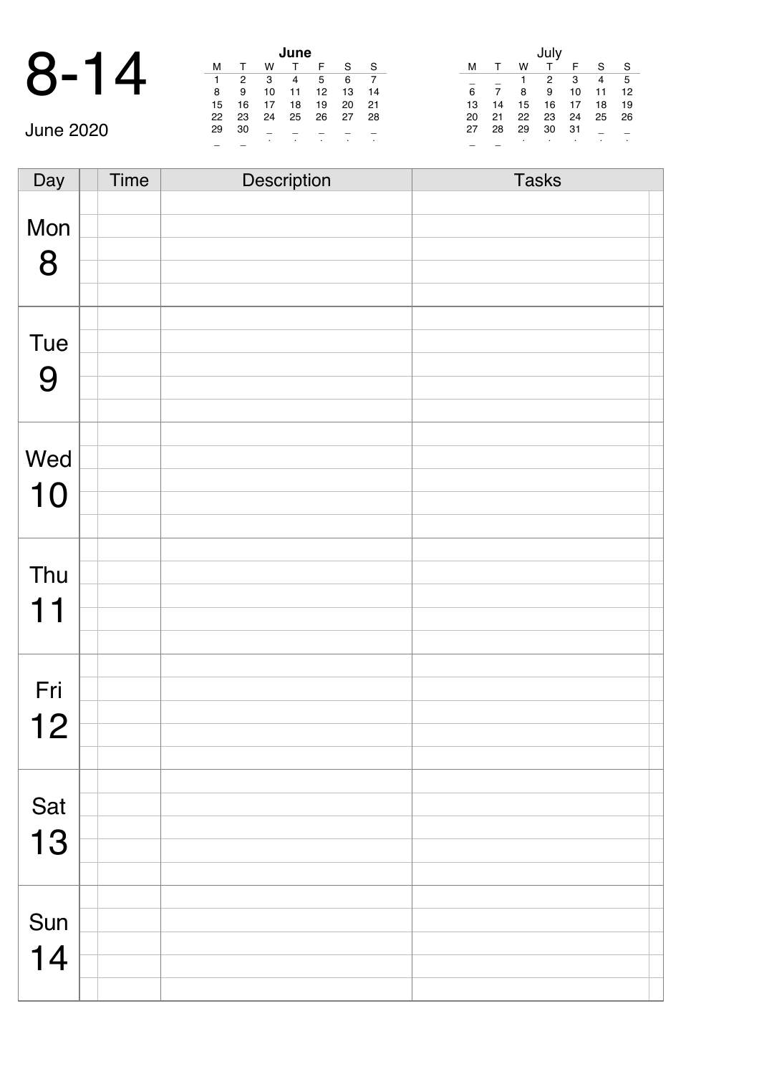|      |    |               |    | June |
|------|----|---------------|----|------|
| 8-14 | м  |               | w  |      |
|      |    | $\mathcal{P}$ | 3  |      |
|      | 8  | 9             | 10 | 11   |
|      | 15 | 16            | 17 | 18   |

|                  |    |    |    | June |    |    |     |    |    |    |    |     |              |                |
|------------------|----|----|----|------|----|----|-----|----|----|----|----|-----|--------------|----------------|
| C                | M  |    | W  |      |    | c  | S   |    |    | W  |    |     | $\mathbf{C}$ | ŗ.             |
| C                |    | 2  | 3  | 4    | 5  | 6  |     |    |    |    |    | 3   | 4            | E              |
|                  | 8  | 9  | 10 | 11   | 12 | 13 | 14  | 6  |    | 8  | 9  | 10  | 11           | $\blacksquare$ |
|                  | 15 | 16 | 17 | 18   | 19 | 20 | -21 | 13 | 14 | 15 | 16 | 17  | 18           | $\blacksquare$ |
|                  | 22 | 23 | 24 | 25   | 26 | 27 | 28  | 20 | 21 | 22 | 23 | 24  | 25 2         |                |
| <b>June 2020</b> | 29 | 30 |    |      |    |    |     | 27 | 28 | 29 | 30 | -31 |              |                |
|                  |    |    |    |      |    |    |     |    |    |    |    |     |              |                |

|    |    |    | July |    |    |    |
|----|----|----|------|----|----|----|
| м  | т  | w  | т    | F  | S  | S  |
|    |    | 1  | 2    | 3  | 4  | 5  |
| 6  |    | 8  | 9    | 10 | 11 | 12 |
| 13 | 14 | 15 | 16   | 17 | 18 | 19 |
| 20 | 21 | 22 | 23   | 24 | 25 | 26 |
| 27 | 28 | 29 | 30   | 31 |    |    |
|    |    | ċ  | ٠    | ٠  |    | ۰  |

| Day | Time | Description | <b>Tasks</b> |  |
|-----|------|-------------|--------------|--|
|     |      |             |              |  |
| Mon |      |             |              |  |
| 8   |      |             |              |  |
|     |      |             |              |  |
|     |      |             |              |  |
|     |      |             |              |  |
| Tue |      |             |              |  |
| 9   |      |             |              |  |
|     |      |             |              |  |
|     |      |             |              |  |
| Wed |      |             |              |  |
|     |      |             |              |  |
| 10  |      |             |              |  |
|     |      |             |              |  |
|     |      |             |              |  |
| Thu |      |             |              |  |
| 11  |      |             |              |  |
|     |      |             |              |  |
|     |      |             |              |  |
| Fri |      |             |              |  |
|     |      |             |              |  |
| 12  |      |             |              |  |
|     |      |             |              |  |
|     |      |             |              |  |
| Sat |      |             |              |  |
| 13  |      |             |              |  |
|     |      |             |              |  |
|     |      |             |              |  |
|     |      |             |              |  |
| Sun |      |             |              |  |
| 14  |      |             |              |  |
|     |      |             |              |  |
|     |      |             |              |  |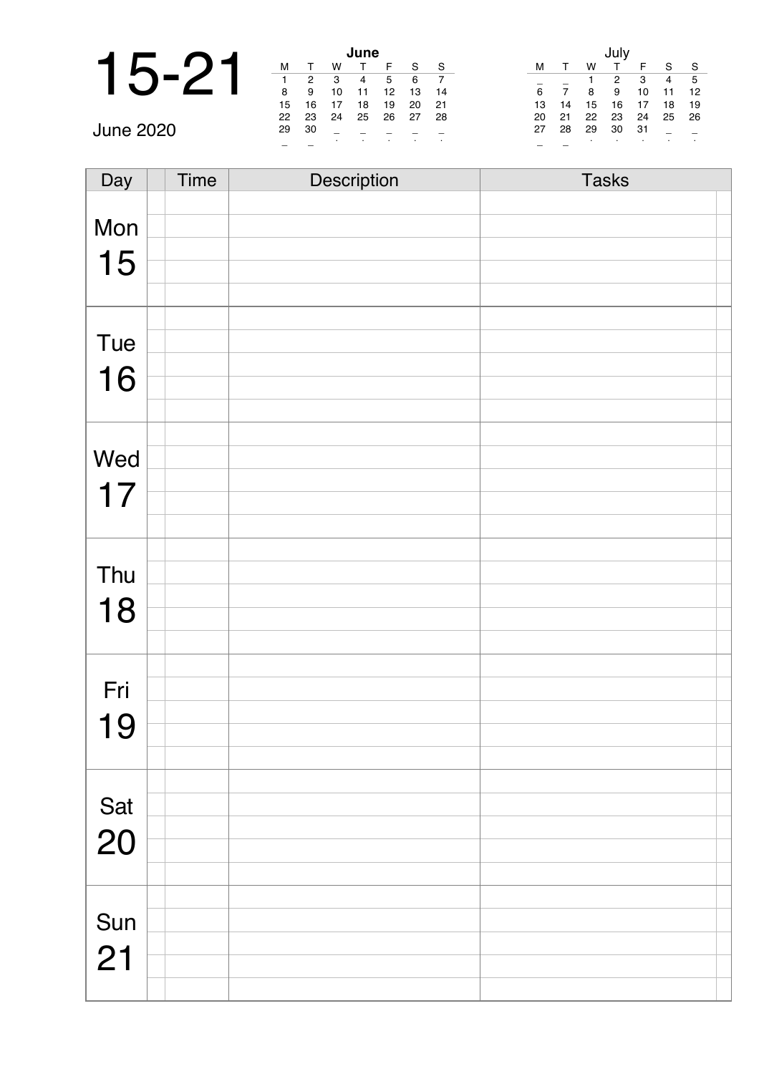|           |    |     |    | June |    |    |      |    |    |    |    |    |    |           |
|-----------|----|-----|----|------|----|----|------|----|----|----|----|----|----|-----------|
|           | M  |     | W  |      |    | S  | - S  | м  |    | W  |    |    | S  | - S       |
|           |    | 2   | 3  | 4    | 5  | 6  |      |    |    |    | 2  | -3 | -4 | - 5       |
|           | 8  | 9   | 10 | 11   | 12 | 13 | 14   | 6  |    | 8  | 9  | 10 | 11 | 12        |
|           | 15 | 16  | 17 | 18   | 19 | 20 | - 21 | 13 | 14 | 15 | 16 | 17 | 18 | 19        |
|           | 22 | 23  | 24 | 25   | 26 | 27 | -28  | 20 | 21 | 22 | 23 | 24 | 25 | 26        |
| June 2020 | 29 | -30 |    |      |    |    |      | 27 | 28 | 29 | 30 | 31 |    |           |
|           |    |     |    |      |    |    |      |    |    |    |    |    |    | $\bullet$ |

| Day       | Time | Description | <b>Tasks</b> |
|-----------|------|-------------|--------------|
|           |      |             |              |
| Mon       |      |             |              |
| 15        |      |             |              |
|           |      |             |              |
|           |      |             |              |
| Tue       |      |             |              |
|           |      |             |              |
| 16        |      |             |              |
|           |      |             |              |
|           |      |             |              |
| Wed       |      |             |              |
| 17        |      |             |              |
|           |      |             |              |
|           |      |             |              |
| Thu       |      |             |              |
|           |      |             |              |
| 18        |      |             |              |
|           |      |             |              |
|           |      |             |              |
| Fri       |      |             |              |
| 19        |      |             |              |
|           |      |             |              |
|           |      |             |              |
|           |      |             |              |
| Sat<br>20 |      |             |              |
|           |      |             |              |
|           |      |             |              |
|           |      |             |              |
| Sun       |      |             |              |
| 21        |      |             |              |
|           |      |             |              |
|           |      |             |              |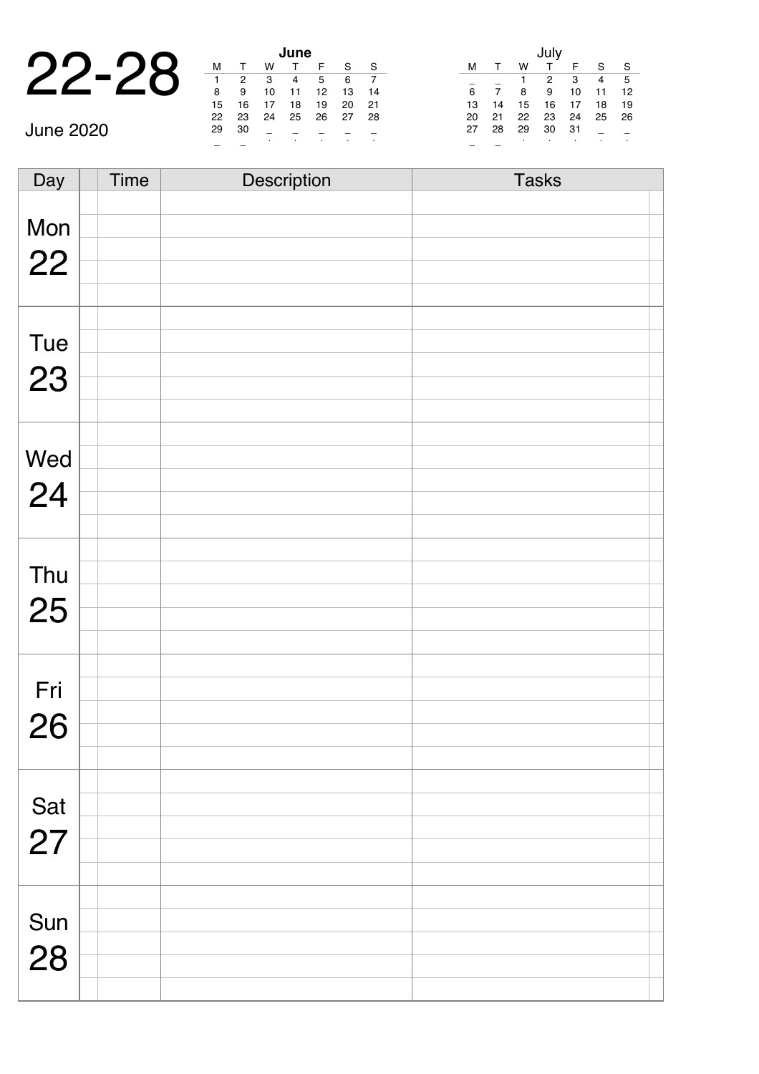|         |    |   |    | une |
|---------|----|---|----|-----|
| $22-28$ |    |   |    |     |
|         |    |   | 3  |     |
|         | я  |   | 10 |     |
|         | 15 | 6 |    | 18  |

|                  |    |     |    | June |    |    |      |    |    |    |    |     |      |                |
|------------------|----|-----|----|------|----|----|------|----|----|----|----|-----|------|----------------|
| n                | M  |     | W  |      |    | S  | -S   | M  |    | w  |    |     | S.   | $\cdot$        |
|                  |    | 2   | 3  |      | 5  | 6  |      |    |    |    | 2  | 3   | 4    | ξ              |
|                  | 8  | 9   | 10 |      | 12 | 13 | 14   | 6  |    | 8  | 9  | 10  | 11   | $\blacksquare$ |
|                  | 15 | 16  | 17 | 18   | 19 | 20 | - 21 | 13 | 14 | 15 | 16 | 17  | 18   | $\blacksquare$ |
|                  | 22 | 23  | 24 | -25  | 26 | 27 | -28  | 20 | 21 | 22 | 23 | 24  | 25 2 |                |
| <b>June 2020</b> | 29 | -30 |    |      |    |    |      | 27 | 28 | 29 | 30 | -31 |      |                |
|                  |    |     |    |      |    |    |      |    |    |    |    |     |      |                |

|    |    |    | July |    |    |    |
|----|----|----|------|----|----|----|
| м  | т  | w  |      | F  | S  | S  |
|    |    |    | 2    | 3  | 4  | 5  |
| 6  | 7  | 8  | 9    | 10 | 11 | 12 |
| 13 | 14 | 15 | 16   | 17 | 18 | 19 |
| 20 | 21 | 22 | 23   | 24 | 25 | 26 |
| 27 | 28 | 29 | 30   | 31 |    |    |
|    |    | ٠  |      | ٠  |    | ٠  |

Day Time Description Tasks Mon 22 Tue 23 Wed 24 Thu 25 Fri 26 Sat 27 Sun 28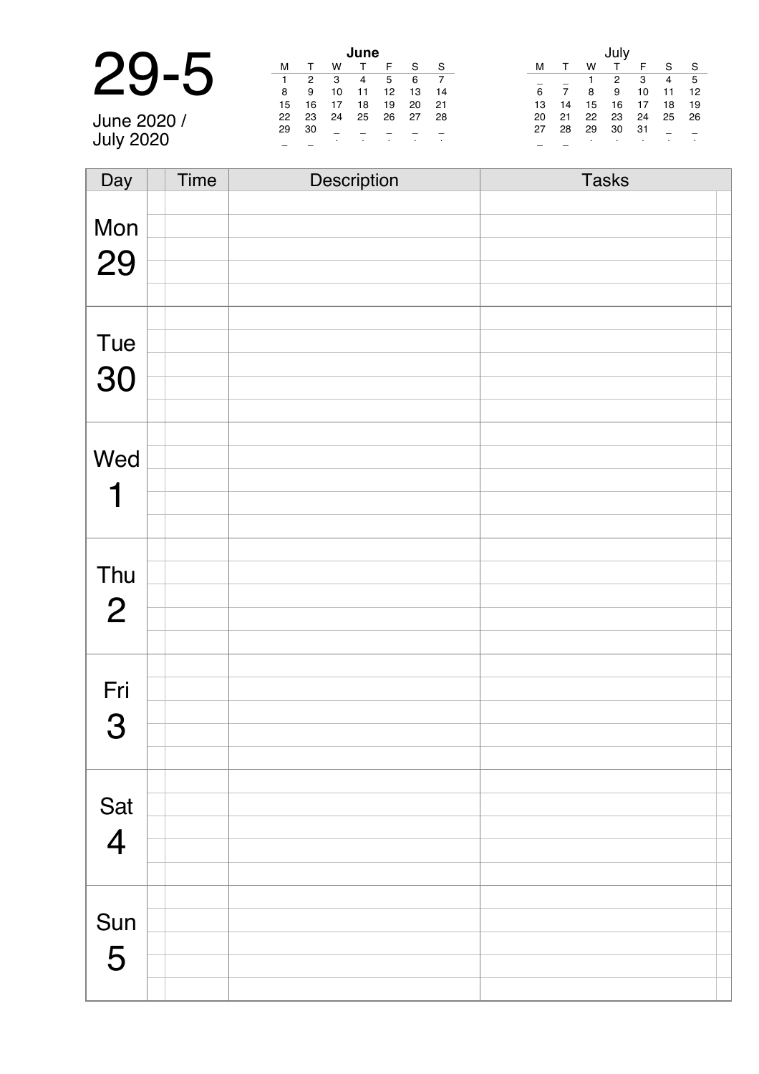|                  | June |    |    |    |    |    |     |    |    |    |    |     |                |      |  |
|------------------|------|----|----|----|----|----|-----|----|----|----|----|-----|----------------|------|--|
| n                | М    |    | W  |    |    | S  | - S | м  |    | W  |    |     | S              | -S   |  |
| <b>ZU</b>        |      | 2  | -3 | 4  | -5 | 6  |     |    |    |    | 2  | -3  | $\overline{4}$ | - 5  |  |
|                  | 8    | 9  | 10 | 11 | 12 | 13 | -14 | 6  |    | 8  | 9  | 10  |                | -12  |  |
|                  | 15   | 16 |    | 18 | 19 | 20 | -21 | 13 | 14 | 15 | 16 | 17  | 18             | -19  |  |
| June 2020 /      | 22   | 23 | 24 | 25 | 26 | 27 | -28 | 20 | 21 | 22 | 23 | 24  | 25             | - 26 |  |
|                  | 29   | 30 |    |    |    |    |     | 27 | 28 | 29 | 30 | -31 |                |      |  |
| <b>July 2020</b> |      |    |    |    |    |    |     |    |    |    |    |     |                |      |  |

| Day            | <b>Time</b> | Description | <b>Tasks</b> |
|----------------|-------------|-------------|--------------|
|                |             |             |              |
| Mon            |             |             |              |
|                |             |             |              |
| 29             |             |             |              |
|                |             |             |              |
|                |             |             |              |
| Tue            |             |             |              |
| 30             |             |             |              |
|                |             |             |              |
|                |             |             |              |
|                |             |             |              |
| Wed            |             |             |              |
| 1              |             |             |              |
|                |             |             |              |
|                |             |             |              |
|                |             |             |              |
| Thu            |             |             |              |
| $\overline{2}$ |             |             |              |
|                |             |             |              |
|                |             |             |              |
|                |             |             |              |
| Fri            |             |             |              |
| 3              |             |             |              |
|                |             |             |              |
|                |             |             |              |
|                |             |             |              |
| Sat            |             |             |              |
| $\overline{4}$ |             |             |              |
|                |             |             |              |
|                |             |             |              |
|                |             |             |              |
| Sun            |             |             |              |
| 5              |             |             |              |
|                |             |             |              |
|                |             |             |              |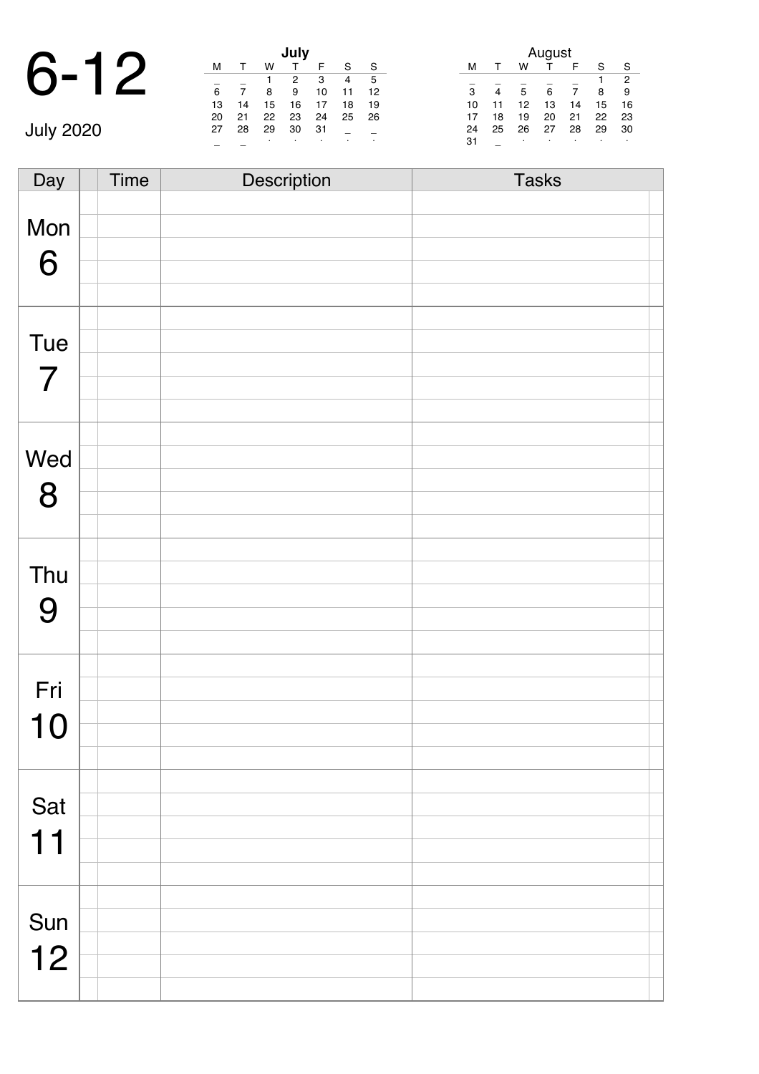#### 6-12 **July** July 2020

|    |    |    | July |    |    |    |
|----|----|----|------|----|----|----|
| м  |    | w  |      | F  | S  | S  |
|    |    |    | 2    | 3  | 4  | 5  |
| 6  | 7  | 8  | 9    | 10 | 11 | 12 |
| 13 | 14 | 15 | 16   | 17 | 18 | 19 |
| 20 | 21 | 22 | 23   | 24 | 25 | 26 |
| 27 | 28 | 29 | 30   | 31 |    |    |
|    |    |    |      | ٠  |    |    |

|    |              |    | August |    |    |                |
|----|--------------|----|--------|----|----|----------------|
| м  | $\mathbf{r}$ | w  |        | F  | S  | S              |
|    |              |    |        |    |    | $\overline{2}$ |
| 3  | 4            | 5  | 6      |    | 8  | 9              |
| 10 | 11           | 12 | 13     | 14 | 15 | 16             |
| 17 | 18           | 19 | 20     | 21 | 22 | 23             |
| 24 | 25           | 26 | 27     | 28 | 29 | 30             |
| 31 |              | ٠  |        | ٠  |    | ٠              |

Day Time Description Tasks Mon 6 Tue 7 Wed 8 Thu 9 Fri 10 Sat 11 Sun 12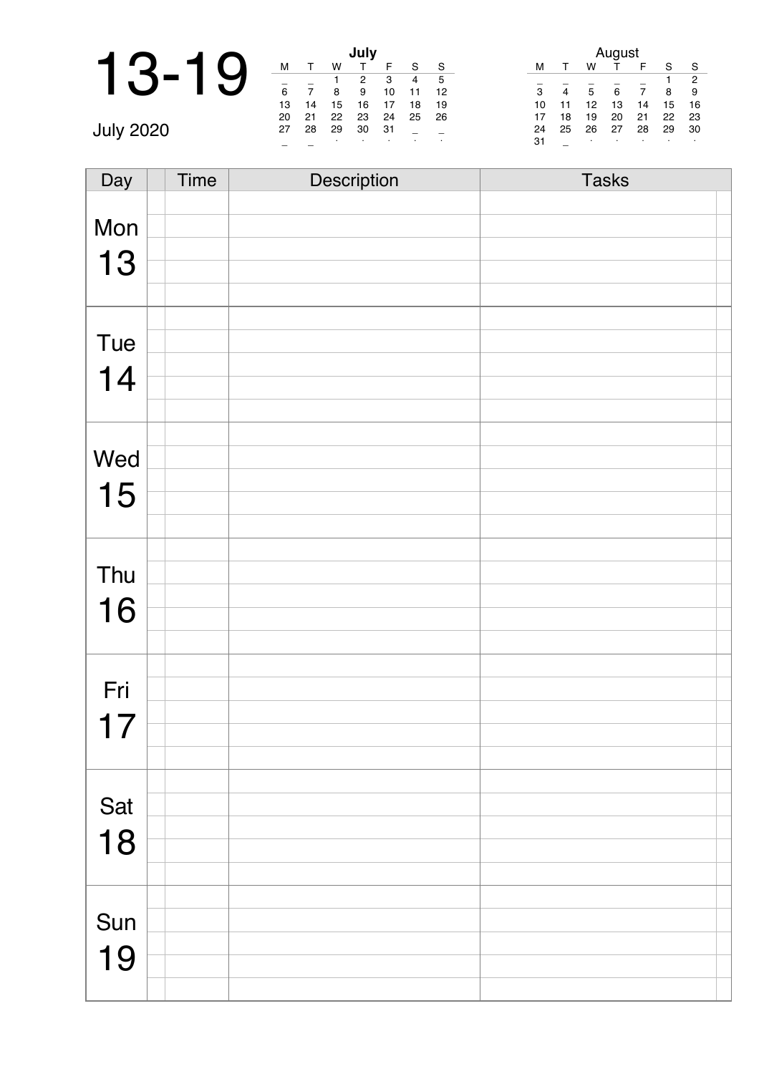|                  |    |    |    | July |    |    |    |    |    |    | August |    |    |
|------------------|----|----|----|------|----|----|----|----|----|----|--------|----|----|
|                  | M  |    | W  |      |    | S  | S  | м  |    | W  |        | E  | S  |
|                  |    |    |    | 2    | 3  | 4  | 5  |    |    |    |        |    |    |
|                  | 6  |    | 8  | 9    | 10 |    | 12 | 3  | 4  | 5  | 6      |    | 8  |
|                  | 13 | 14 | 15 | 16   | 17 | 18 | 19 | 10 | 11 | 12 | 13     | 14 | 15 |
|                  | 20 | 21 | 22 | 23   | 24 | 25 | 26 | 17 | 18 | 19 | 20     | 21 | 22 |
| <b>July 2020</b> | 27 | 28 | 29 | 30   | 31 |    |    | 24 | 25 | 26 | 27     | 28 | 29 |
|                  |    |    |    |      |    |    |    | 31 |    |    |        |    |    |

| Day | <b>Time</b> | Description | <b>Tasks</b> |
|-----|-------------|-------------|--------------|
|     |             |             |              |
| Mon |             |             |              |
|     |             |             |              |
| 13  |             |             |              |
|     |             |             |              |
|     |             |             |              |
| Tue |             |             |              |
| 14  |             |             |              |
|     |             |             |              |
|     |             |             |              |
|     |             |             |              |
| Wed |             |             |              |
| 15  |             |             |              |
|     |             |             |              |
|     |             |             |              |
|     |             |             |              |
| Thu |             |             |              |
| 16  |             |             |              |
|     |             |             |              |
|     |             |             |              |
|     |             |             |              |
| Fri |             |             |              |
| 17  |             |             |              |
|     |             |             |              |
|     |             |             |              |
|     |             |             |              |
| Sat |             |             |              |
| 18  |             |             |              |
|     |             |             |              |
|     |             |             |              |
|     |             |             |              |
| Sun |             |             |              |
| 19  |             |             |              |
|     |             |             |              |
|     |             |             |              |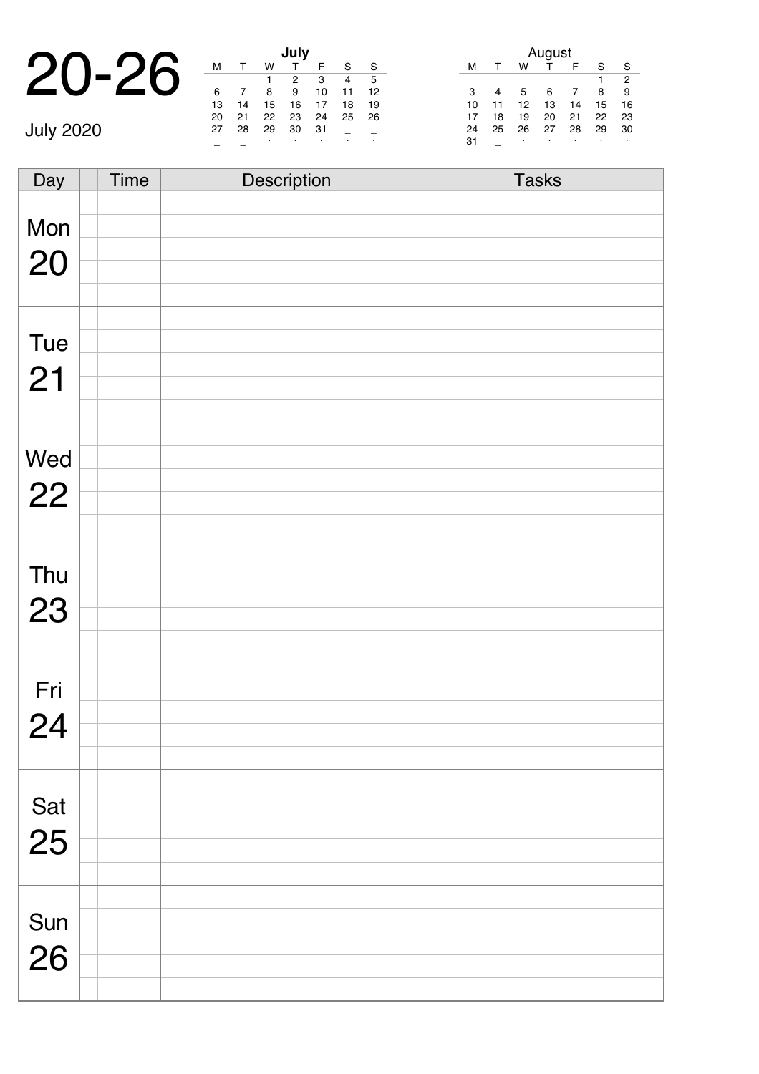|                         |    |    |    | July |
|-------------------------|----|----|----|------|
| $20 - 26$ $\frac{M}{6}$ |    |    |    |      |
|                         |    |    |    |      |
|                         |    |    |    |      |
|                         | 13 | 14 | 15 | 16   |

July 2020

|    |    |    | July |    |    |    |
|----|----|----|------|----|----|----|
| м  |    | w  |      | F  | S  | S  |
|    |    | 1  | 2    | 3  | 4  | 5  |
| 6  |    | 8  | 9    | 10 | 11 | 12 |
| 13 | 14 | 15 | 16   | 17 | 18 | 19 |
| 20 | 21 | 22 | 23   | 24 | 25 | 26 |
| 27 | 28 | 29 | 30   | 31 |    |    |
|    |    |    |      |    | ٠  | ٠  |

|    |    |    | August |    |    |    |
|----|----|----|--------|----|----|----|
| м  |    | w  |        | F  | S  | S  |
|    |    |    |        |    |    | 2  |
| 3  |    | 5  | 6      |    | 8  | 9  |
| 10 | 11 | 12 | 13     | 14 | 15 | 16 |
| 17 | 18 | 19 | 20     | 21 | 22 | 23 |
| 24 | 25 | 26 | 27     | 28 | 29 | 30 |
| 31 |    | ٠  |        | ٠  | ٠  | ٠  |

Day Time Description Tasks Mon 20 Tue 21 Wed 22 Thu 23 Fri 24 Sat 25 Sun 26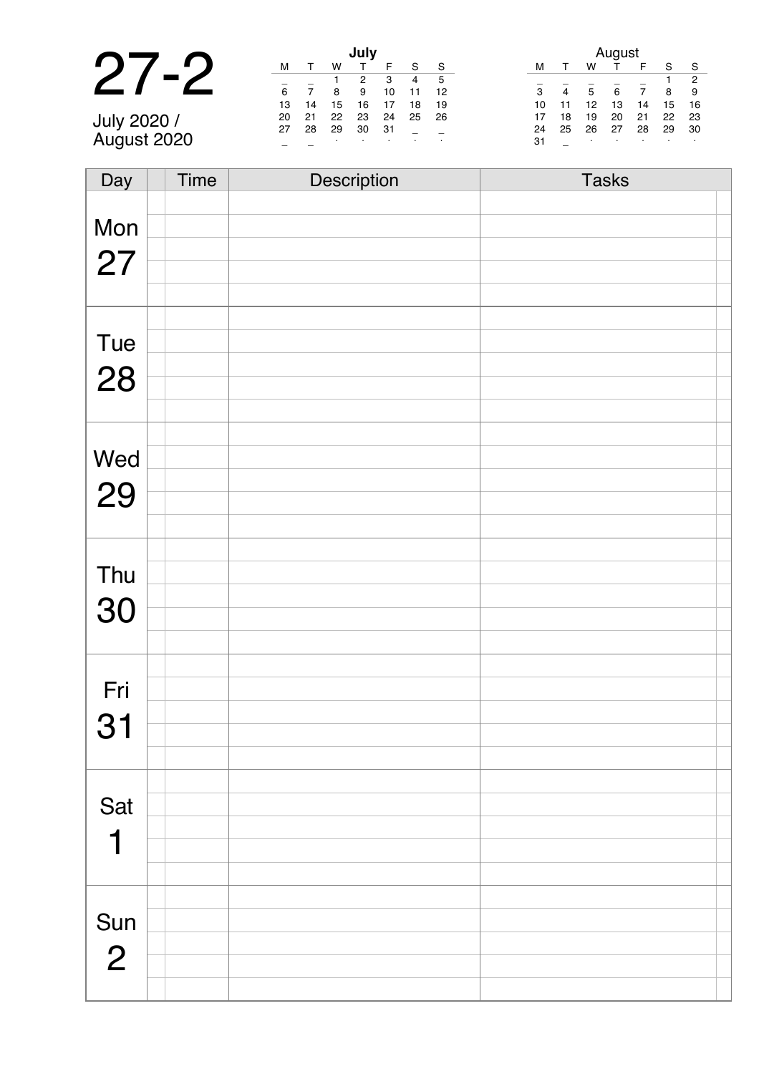|                            |    |                |    |    |    |    | August       |    |                |    |    |    |    |                |
|----------------------------|----|----------------|----|----|----|----|--------------|----|----------------|----|----|----|----|----------------|
| $\blacksquare$             | м  |                | W  |    |    | c  | <sub>S</sub> |    |                | W  |    |    | S  | S.             |
|                            |    |                |    |    | з  | 4  | - 5          |    |                |    |    |    |    | $\overline{2}$ |
|                            | 6  | $\overline{ }$ | 8  | 9  | 10 |    | -12          | 3  | $\overline{4}$ | 5  | 6  |    | 8  | - 9            |
|                            | 13 | 14             | 15 | 16 | 17 | 18 | 19           | 10 | 11             | 12 | 13 | 14 | 15 | 16             |
|                            | 20 | 21             | 22 | 23 | 24 | 25 | -26          |    | 18             | 19 | 20 | 21 | 22 | 23             |
|                            | 27 | 28             | 29 | 30 | 31 |    |              | 24 | 25             | 26 | 27 | 28 | 29 | 30             |
| July 2020 /<br>August 2020 |    |                |    |    |    |    |              | 31 |                |    |    |    |    |                |

| Day            | Time | Description | <b>Tasks</b> |
|----------------|------|-------------|--------------|
|                |      |             |              |
| Mon            |      |             |              |
|                |      |             |              |
| 27             |      |             |              |
|                |      |             |              |
|                |      |             |              |
| Tue            |      |             |              |
| 28             |      |             |              |
|                |      |             |              |
|                |      |             |              |
|                |      |             |              |
| Wed            |      |             |              |
| 29             |      |             |              |
|                |      |             |              |
|                |      |             |              |
|                |      |             |              |
| Thu            |      |             |              |
| 30             |      |             |              |
|                |      |             |              |
|                |      |             |              |
|                |      |             |              |
| Fri            |      |             |              |
| 31             |      |             |              |
|                |      |             |              |
|                |      |             |              |
|                |      |             |              |
| Sat            |      |             |              |
| 1              |      |             |              |
|                |      |             |              |
|                |      |             |              |
|                |      |             |              |
| Sun            |      |             |              |
| $\overline{2}$ |      |             |              |
|                |      |             |              |
|                |      |             |              |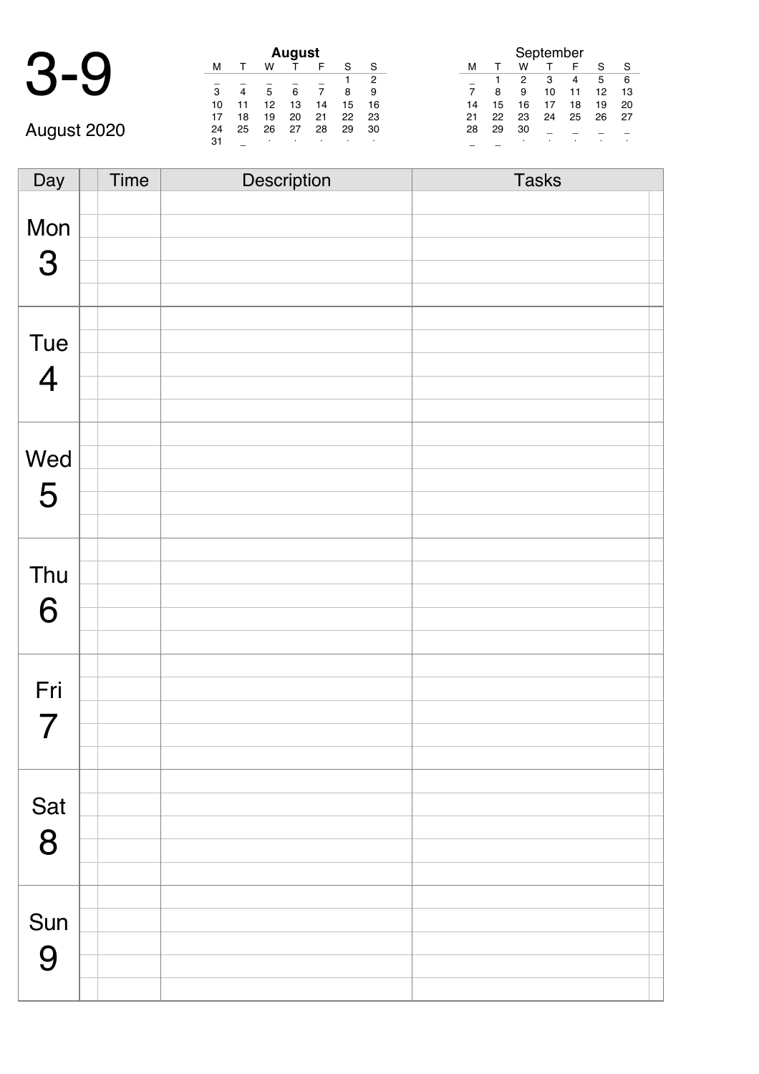| August 2020 |
|-------------|

|             | M  |    | w  | <b>August</b> | F  |    | S  |
|-------------|----|----|----|---------------|----|----|----|
|             |    |    |    |               |    |    | 2  |
|             | 3  | 4  | 5  | 6             |    | 8  | 9  |
|             | 10 |    | 12 | 13            | 14 | 15 | 16 |
|             | 17 | 18 | 19 | 20            | 21 | 22 | 23 |
| August 2020 | 24 | 25 | 26 | 27            | 28 | 29 | 30 |
|             | 31 |    | ٠  | ٠             | ٠  | ٠  | ٠  |
|             |    |    |    |               |    |    |    |

| September |    |    |    |    |    |    |  |  |  |
|-----------|----|----|----|----|----|----|--|--|--|
| м         |    | w  |    | F  | S  | S  |  |  |  |
|           |    | 2  | з  | 4  | 5  | 6  |  |  |  |
|           | 8  | 9  | 10 | 11 | 12 | 13 |  |  |  |
| 14        | 15 | 16 | 17 | 18 | 19 | 20 |  |  |  |
| 21        | 22 | 23 | 24 | 25 | 26 | 27 |  |  |  |
| 28        | 29 | 30 |    |    |    |    |  |  |  |
|           |    | ٠  |    |    |    |    |  |  |  |

Day Time Description Tasks Mon 3 Tue 4 Wed 5 Thu 6 Fri 7 Sat 8 Sun 9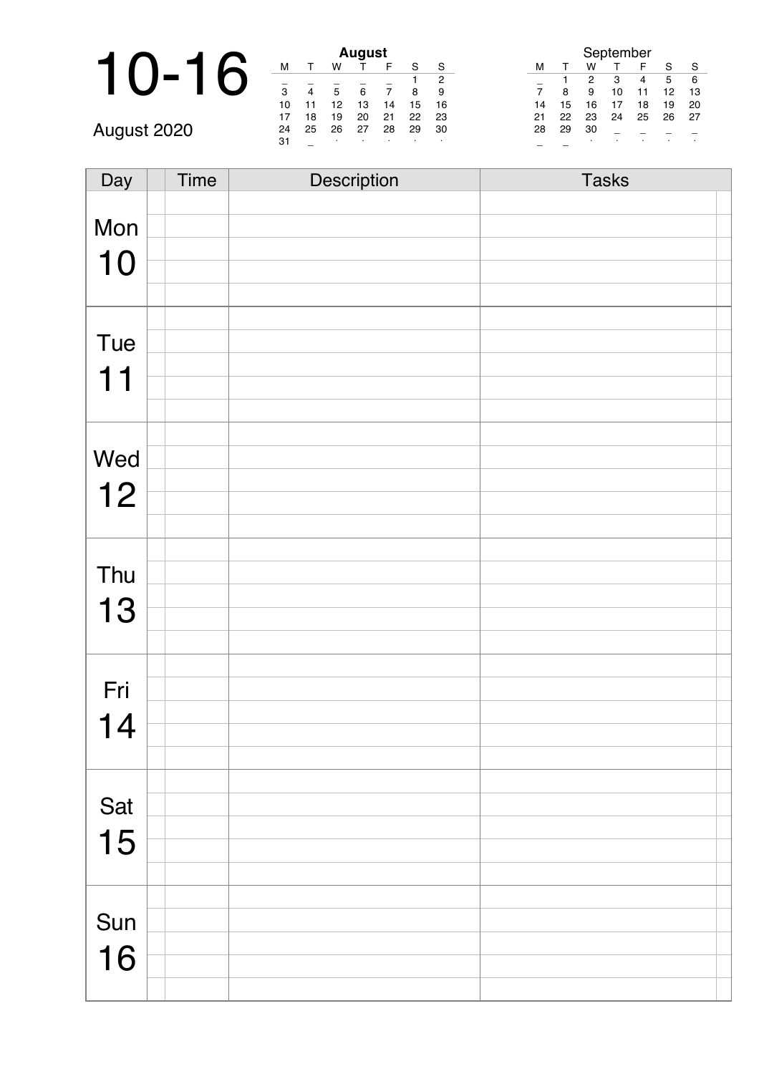|             |    | <b>August</b>  |    |    |    |    |         | September                               |
|-------------|----|----------------|----|----|----|----|---------|-----------------------------------------|
|             | M  |                | w  |    |    | c  | S       | w<br>S<br>S<br>м                        |
|             |    |                |    |    |    |    |         | 2<br>3<br>5<br>-6<br>4                  |
|             | 3  | $\overline{4}$ | 5  |    |    | я  |         | 9<br>13<br>12<br>8<br>10                |
|             | 10 | 11             | 12 | 13 | 14 | 15 | 16      | 19<br>20<br>15<br>16<br>18<br>14        |
|             |    | 18             | 19 | 20 | 21 | 22 | 23      | 22<br>23<br>24<br>26<br>-27<br>25<br>21 |
| August 2020 | 24 | 25             | 26 | 27 | 28 | 29 | 30      | 29<br>30<br>28                          |
|             | 31 |                |    |    |    |    | $\cdot$ |                                         |

| Day | Time | Description | <b>Tasks</b> |
|-----|------|-------------|--------------|
|     |      |             |              |
| Mon |      |             |              |
|     |      |             |              |
| 10  |      |             |              |
|     |      |             |              |
|     |      |             |              |
| Tue |      |             |              |
| 11  |      |             |              |
|     |      |             |              |
|     |      |             |              |
|     |      |             |              |
| Wed |      |             |              |
| 12  |      |             |              |
|     |      |             |              |
|     |      |             |              |
|     |      |             |              |
| Thu |      |             |              |
| 13  |      |             |              |
|     |      |             |              |
|     |      |             |              |
|     |      |             |              |
| Fri |      |             |              |
| 14  |      |             |              |
|     |      |             |              |
|     |      |             |              |
|     |      |             |              |
| Sat |      |             |              |
| 15  |      |             |              |
|     |      |             |              |
|     |      |             |              |
|     |      |             |              |
| Sun |      |             |              |
| 16  |      |             |              |
|     |      |             |              |
|     |      |             |              |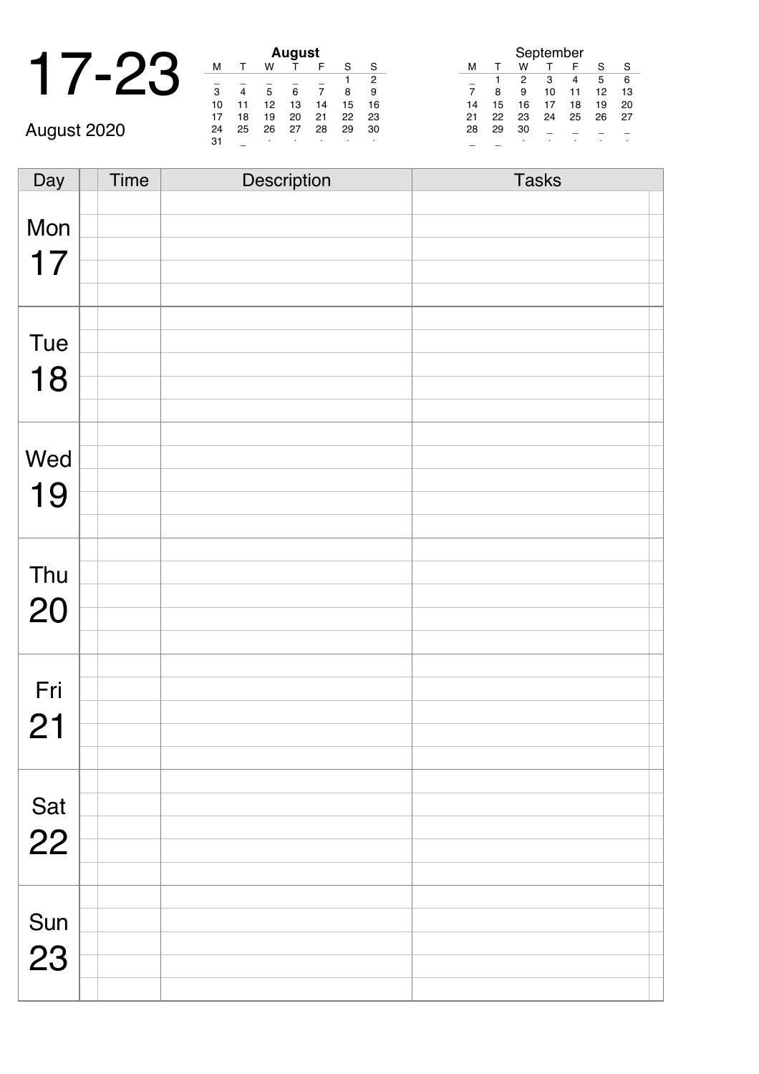|  |    |    | <b>August</b> |  |
|--|----|----|---------------|--|
|  |    | W  |               |  |
|  | 3  |    |               |  |
|  | 10 | 10 | 13            |  |

\_ \_ · · · · · August 2020

|    | August |    |    |    |    |    |  |  |  |  |  |
|----|--------|----|----|----|----|----|--|--|--|--|--|
| м  |        | w  |    | F  | S  | S  |  |  |  |  |  |
|    |        |    |    |    |    | 2  |  |  |  |  |  |
| 3  |        | 5  | 6  |    | 8  | 9  |  |  |  |  |  |
| 10 | 11     | 12 | 13 | 14 | 15 | 16 |  |  |  |  |  |
| 17 | 18     | 19 | 20 | 21 | 22 | 23 |  |  |  |  |  |
| 24 | 25     | 26 | 27 | 28 | 29 | 30 |  |  |  |  |  |
| 31 |        | ٠  | ٠  | ٠  | ٠  | ٠  |  |  |  |  |  |

| September      |    |    |    |    |    |    |  |  |  |
|----------------|----|----|----|----|----|----|--|--|--|
| м              | т  | w  | т  | F  | S  | S  |  |  |  |
|                |    | 2  | 3  | 4  | 5  | 6  |  |  |  |
| $\overline{7}$ | 8  | 9  | 10 | 11 | 12 | 13 |  |  |  |
| 14             | 15 | 16 | 17 | 18 | 19 | 20 |  |  |  |
| 21             | 22 | 23 | 24 | 25 | 26 | 27 |  |  |  |
| 28             | 29 | 30 |    |    |    |    |  |  |  |
|                |    |    |    |    |    |    |  |  |  |

Day Time Description Tasks Mon 17 Tue 18 Wed 19 Thu 20 Fri 21 Sat 22 Sun 23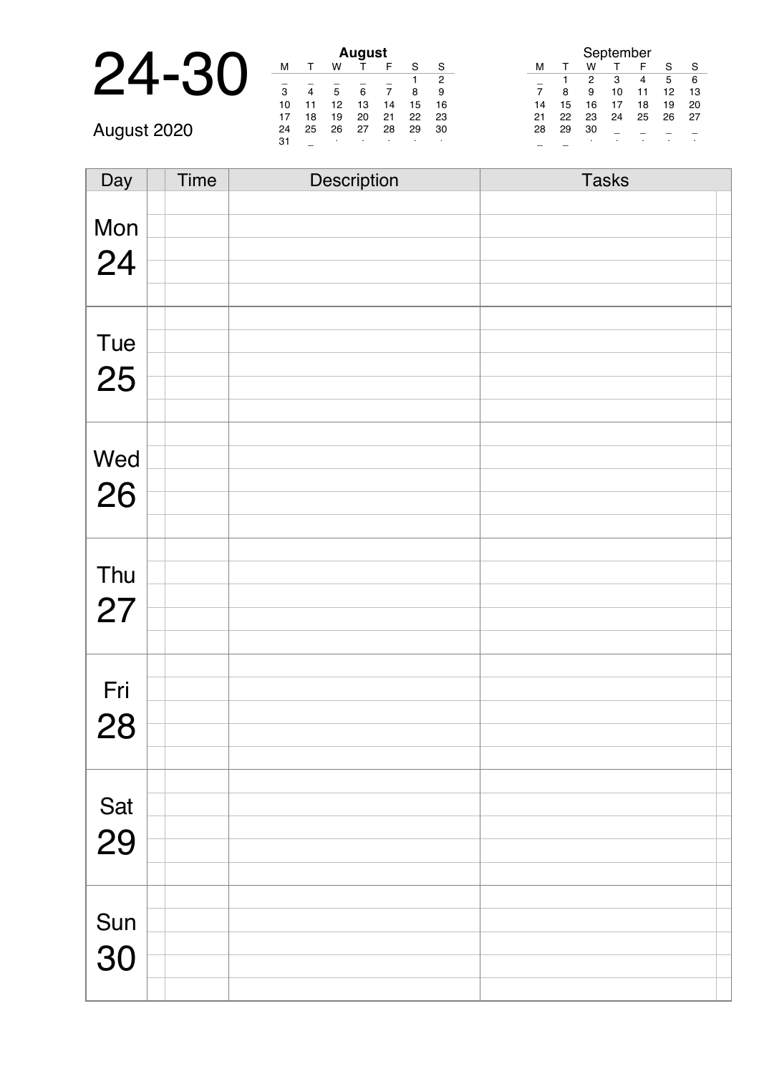|    |                          |        |        | <b>August</b> |   |
|----|--------------------------|--------|--------|---------------|---|
| ₹. |                          |        | w      |               |   |
|    | Ω                        |        |        |               |   |
|    | 10                       |        | 12     | 13            |   |
|    | $\overline{\phantom{0}}$ | $\sim$ | $\sim$ | $-1$          | ۰ |

\_ \_ · · · · · August 2020

| <b>August</b>  |              |    |    |    |    |    |  |  |  |  |
|----------------|--------------|----|----|----|----|----|--|--|--|--|
| м              | $\mathsf{T}$ | w  |    | F  | S  | S  |  |  |  |  |
|                |              |    |    |    |    | 2  |  |  |  |  |
| $\overline{3}$ | 4            | 5  | 6  | 7  | 8  | 9  |  |  |  |  |
| 10             | 11           | 12 | 13 | 14 | 15 | 16 |  |  |  |  |
| 17             | 18           | 19 | 20 | 21 | 22 | 23 |  |  |  |  |
| 24             | 25           | 26 | 27 | 28 | 29 | 30 |  |  |  |  |
| 31             |              | ٠  | ٠  | ٠  | ٠  | ٠  |  |  |  |  |

| September |    |    |    |    |    |    |  |  |  |
|-----------|----|----|----|----|----|----|--|--|--|
| м         | т  | w  |    | F  | S  | S  |  |  |  |
|           |    | 2  | 3  | 4  | 5  | 6  |  |  |  |
| 7         | 8  | 9  | 10 | 11 | 12 | 13 |  |  |  |
| 14        | 15 | 16 | 17 | 18 | 19 | 20 |  |  |  |
| 21        | 22 | 23 | 24 | 25 | 26 | 27 |  |  |  |
| 28        | 29 | 30 |    |    |    |    |  |  |  |
|           |    |    |    | ٠  |    |    |  |  |  |

| Day       | <b>Time</b> | Description | <b>Tasks</b> |
|-----------|-------------|-------------|--------------|
|           |             |             |              |
| Mon       |             |             |              |
|           |             |             |              |
| 24        |             |             |              |
|           |             |             |              |
|           |             |             |              |
| Tue       |             |             |              |
|           |             |             |              |
| 25        |             |             |              |
|           |             |             |              |
|           |             |             |              |
| Wed       |             |             |              |
|           |             |             |              |
| 26        |             |             |              |
|           |             |             |              |
|           |             |             |              |
| Thu       |             |             |              |
|           |             |             |              |
| 27        |             |             |              |
|           |             |             |              |
|           |             |             |              |
| Fri       |             |             |              |
|           |             |             |              |
| 28        |             |             |              |
|           |             |             |              |
|           |             |             |              |
| Sat<br>29 |             |             |              |
|           |             |             |              |
|           |             |             |              |
|           |             |             |              |
|           |             |             |              |
| Sun       |             |             |              |
| 30        |             |             |              |
|           |             |             |              |
|           |             |             |              |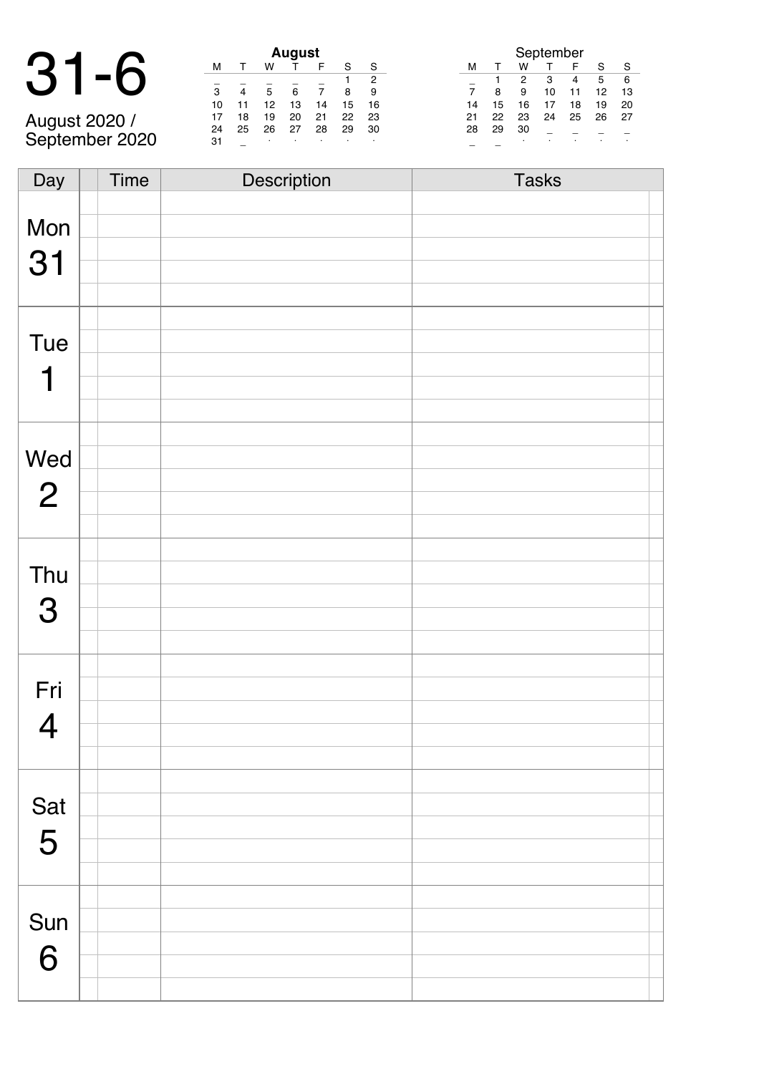### 31-6 **August**

August 2020 / September 2020

|    |    |    | August |    |    |    |
|----|----|----|--------|----|----|----|
| м  |    | w  |        | F  | S  | S  |
|    |    |    |        |    | 1  | 2  |
| 3  |    | 5  | 6      |    | 8  | 9  |
| 10 | 11 | 12 | 13     | 14 | 15 | 16 |
| 17 | 18 | 19 | 20     | 21 | 22 | 23 |
| 24 | 25 | 26 | 27     | 28 | 29 | 30 |
| 31 |    | ٠  | ٠      |    | ٠  |    |

| September |    |    |    |    |    |    |  |  |  |
|-----------|----|----|----|----|----|----|--|--|--|
| м         |    | w  |    | F  | S  | S  |  |  |  |
|           |    | 2  | 3  | 4  | 5  | 6  |  |  |  |
|           | 8  | 9  | 10 | 11 | 12 | 13 |  |  |  |
| 14        | 15 | 16 | 17 | 18 | 19 | 20 |  |  |  |
| 21        | 22 | 23 | 24 | 25 | 26 | 27 |  |  |  |
| 28        | 29 | 30 |    |    |    |    |  |  |  |
|           |    |    |    |    |    |    |  |  |  |

| Day            | Time | Description | <b>Tasks</b> |
|----------------|------|-------------|--------------|
|                |      |             |              |
| Mon            |      |             |              |
|                |      |             |              |
| 31             |      |             |              |
|                |      |             |              |
|                |      |             |              |
|                |      |             |              |
| <b>Tue</b>     |      |             |              |
|                |      |             |              |
| 1              |      |             |              |
|                |      |             |              |
|                |      |             |              |
| Wed            |      |             |              |
|                |      |             |              |
| $\overline{2}$ |      |             |              |
|                |      |             |              |
|                |      |             |              |
|                |      |             |              |
| Thu            |      |             |              |
|                |      |             |              |
| 3              |      |             |              |
|                |      |             |              |
|                |      |             |              |
| Fri            |      |             |              |
|                |      |             |              |
| $\overline{4}$ |      |             |              |
|                |      |             |              |
|                |      |             |              |
|                |      |             |              |
| Sat            |      |             |              |
|                |      |             |              |
| 5              |      |             |              |
|                |      |             |              |
|                |      |             |              |
|                |      |             |              |
| Sun            |      |             |              |
| 6              |      |             |              |
|                |      |             |              |
|                |      |             |              |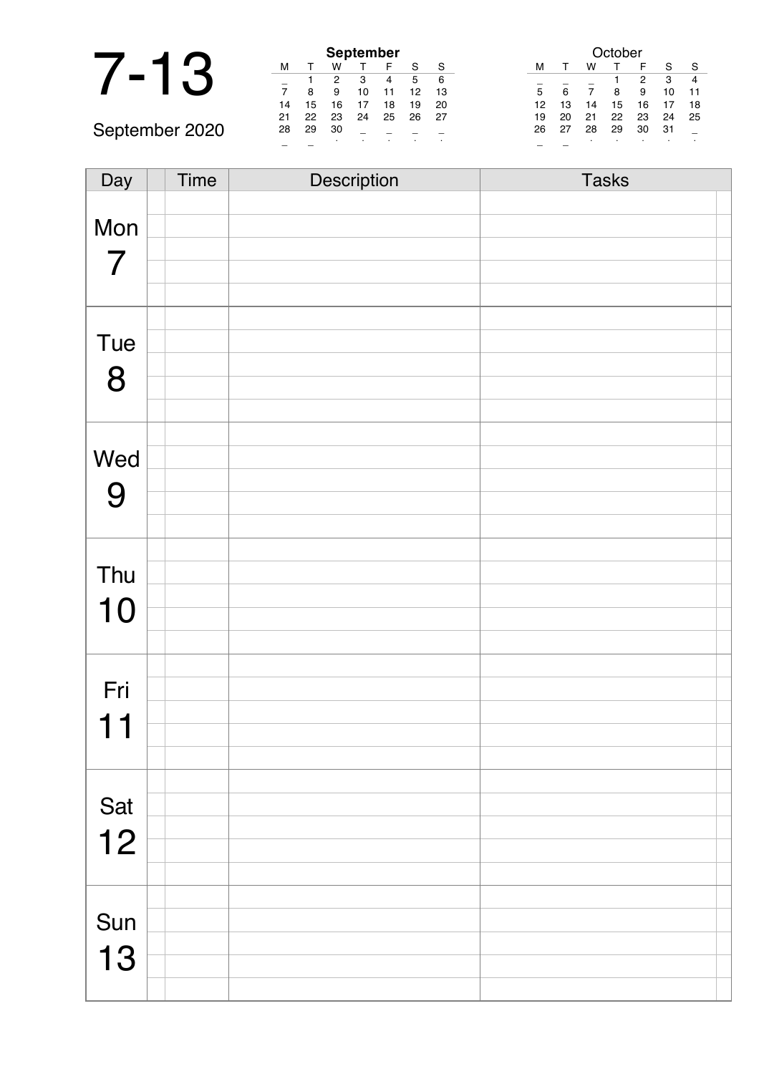| 1<br>۹ |
|--------|
|        |

|                | <b>September</b> |    |    |    |    |    |    |
|----------------|------------------|----|----|----|----|----|----|
|                | м                |    | w  |    |    |    |    |
|                |                  |    | 2  | 3  |    | 5  | -6 |
|                |                  | 8  | 9  | 10 | 11 | 12 | 13 |
|                | 14               | 15 | 16 | 17 | 18 | 19 | 20 |
|                | 21               | 22 | 23 | 24 | 25 | 26 | 27 |
| September 2020 | 28               | 29 | 30 |    |    |    |    |
|                |                  |    |    |    |    |    |    |

|    |    |    |    |    | October |    |    |    |
|----|----|----|----|----|---------|----|----|----|
| S  |    | м  |    | w  |         | F  | S  | S  |
| 5  | 6  |    |    |    |         | 2  | 3  | 4  |
| 12 | 13 | 5  | 6  |    | 8       | 9  | 10 | 11 |
| 19 | 20 | 12 | 13 | 14 | 15      | 16 | 17 | 18 |
| 26 | 27 | 19 | 20 | 21 | 22      | 23 | 24 | 25 |
|    |    | 26 | 27 | 28 | 29      | 30 | 31 |    |
|    | ٠  |    |    | ٠  |         | ٠  |    |    |

| Day            | Time | Description | <b>Tasks</b> |
|----------------|------|-------------|--------------|
|                |      |             |              |
| Mon            |      |             |              |
|                |      |             |              |
| $\overline{7}$ |      |             |              |
|                |      |             |              |
|                |      |             |              |
| Tue            |      |             |              |
|                |      |             |              |
| 8              |      |             |              |
|                |      |             |              |
|                |      |             |              |
| Wed            |      |             |              |
|                |      |             |              |
| 9              |      |             |              |
|                |      |             |              |
|                |      |             |              |
| Thu            |      |             |              |
|                |      |             |              |
| 10             |      |             |              |
|                |      |             |              |
|                |      |             |              |
| Fri            |      |             |              |
|                |      |             |              |
| 11             |      |             |              |
|                |      |             |              |
|                |      |             |              |
| Sat            |      |             |              |
| 12             |      |             |              |
|                |      |             |              |
|                |      |             |              |
|                |      |             |              |
| Sun            |      |             |              |
|                |      |             |              |
| 13             |      |             |              |
|                |      |             |              |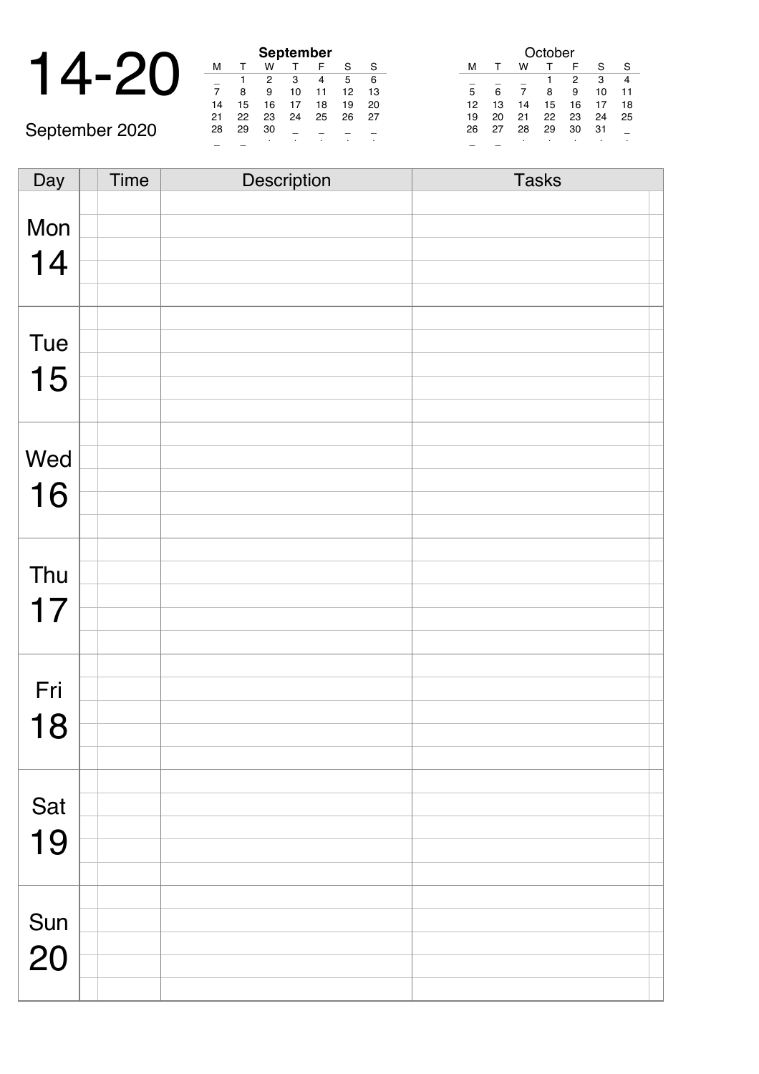|  |  |  | September |  |
|--|--|--|-----------|--|
|  |  |  |           |  |
|  |  |  |           |  |
|  |  |  | 10        |  |
|  |  |  |           |  |

September 2020

| <b>September</b> |    |    |    |    |    |    |  |  |  |  |
|------------------|----|----|----|----|----|----|--|--|--|--|
| м                |    | w  |    | F  | S  | S  |  |  |  |  |
|                  |    | 2  | з  | 4  | 5  | 6  |  |  |  |  |
| $\overline{7}$   | 8  | 9  | 10 | 11 | 12 | 13 |  |  |  |  |
| 14               | 15 | 16 | 17 | 18 | 19 | 20 |  |  |  |  |
| 21               | 22 | 23 | 24 | 25 | 26 | 27 |  |  |  |  |
| 28               | 29 | 30 |    |    |    |    |  |  |  |  |
|                  |    |    |    | ٠  |    |    |  |  |  |  |

| October |    |    |    |    |    |    |  |  |  |  |
|---------|----|----|----|----|----|----|--|--|--|--|
| м       |    | w  |    | F  | S  | S  |  |  |  |  |
|         |    |    |    | 2  | 3  |    |  |  |  |  |
| 5       | 6  |    | 8  | 9  | 10 | 11 |  |  |  |  |
| 12      | 13 | 14 | 15 | 16 | 17 | 18 |  |  |  |  |
| 19      | 20 | 21 | 22 | 23 | 24 | 25 |  |  |  |  |
| 26      | 27 | 28 | 29 | 30 | 31 |    |  |  |  |  |
|         |    | ٠  |    |    |    |    |  |  |  |  |

| Day | <b>Time</b> | Description | <b>Tasks</b> |
|-----|-------------|-------------|--------------|
|     |             |             |              |
| Mon |             |             |              |
|     |             |             |              |
| 14  |             |             |              |
|     |             |             |              |
|     |             |             |              |
|     |             |             |              |
| Tue |             |             |              |
| 15  |             |             |              |
|     |             |             |              |
|     |             |             |              |
|     |             |             |              |
| Wed |             |             |              |
|     |             |             |              |
| 16  |             |             |              |
|     |             |             |              |
|     |             |             |              |
| Thu |             |             |              |
|     |             |             |              |
| 17  |             |             |              |
|     |             |             |              |
|     |             |             |              |
|     |             |             |              |
| Fri |             |             |              |
| 18  |             |             |              |
|     |             |             |              |
|     |             |             |              |
|     |             |             |              |
| Sat |             |             |              |
|     |             |             |              |
| 19  |             |             |              |
|     |             |             |              |
|     |             |             |              |
|     |             |             |              |
| Sun |             |             |              |
| 20  |             |             |              |
|     |             |             |              |
|     |             |             |              |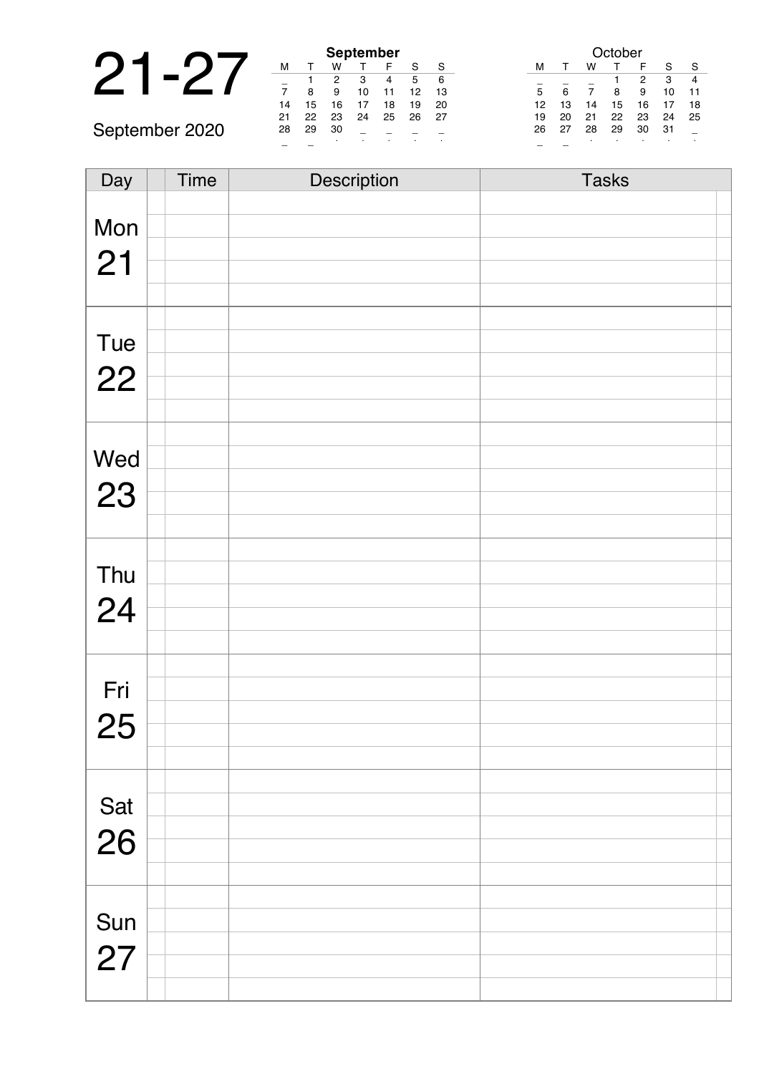|                |    |    |               | September |    |
|----------------|----|----|---------------|-----------|----|
|                | м  |    | w             |           |    |
|                |    |    |               |           |    |
|                |    |    | 9             | 10        | 11 |
|                | 14 | 15 | 16            | 17        | 18 |
|                | 21 | 22 | 23            | 24        | 25 |
| September 2020 | 28 | 29 | 30            |           |    |
|                |    |    | $\sim$ $\sim$ |           |    |

| <b>September</b> |    |    |    |    |    |    |  |  |
|------------------|----|----|----|----|----|----|--|--|
| м                |    | w  |    | F  | S  | S  |  |  |
|                  |    | 2  | з  |    | 5  | 6  |  |  |
| 7                | 8  | 9  | 10 | 11 | 12 | 13 |  |  |
| 14               | 15 | 16 | 17 | 18 | 19 | 20 |  |  |
| 21               | 22 | 23 | 24 | 25 | 26 | 27 |  |  |
| 28               | 29 | 30 |    |    |    |    |  |  |
|                  |    |    |    |    |    |    |  |  |

|    | October |    |    |    |    |    |  |  |  |
|----|---------|----|----|----|----|----|--|--|--|
| м  |         | w  |    | F  | S  | S  |  |  |  |
|    |         |    |    | 2  | 3  |    |  |  |  |
| 5  | 6       |    | 8  | 9  | 10 | 11 |  |  |  |
| 12 | 13      | 14 | 15 | 16 | 17 | 18 |  |  |  |
| 19 | 20      | 21 | 22 | 23 | 24 | 25 |  |  |  |
| 26 | 27      | 28 | 29 | 30 | 31 |    |  |  |  |
|    |         | ٠  |    |    |    |    |  |  |  |

| Day       | <b>Time</b> | Description | <b>Tasks</b> |
|-----------|-------------|-------------|--------------|
|           |             |             |              |
| Mon       |             |             |              |
|           |             |             |              |
| 21        |             |             |              |
|           |             |             |              |
|           |             |             |              |
| Tue       |             |             |              |
|           |             |             |              |
| 22        |             |             |              |
|           |             |             |              |
|           |             |             |              |
| Wed       |             |             |              |
|           |             |             |              |
| 23        |             |             |              |
|           |             |             |              |
|           |             |             |              |
|           |             |             |              |
| Thu       |             |             |              |
| 24        |             |             |              |
|           |             |             |              |
|           |             |             |              |
|           |             |             |              |
| Fri       |             |             |              |
| 25        |             |             |              |
|           |             |             |              |
|           |             |             |              |
|           |             |             |              |
| Sat<br>26 |             |             |              |
|           |             |             |              |
|           |             |             |              |
|           |             |             |              |
|           |             |             |              |
| Sun       |             |             |              |
| 27        |             |             |              |
|           |             |             |              |
|           |             |             |              |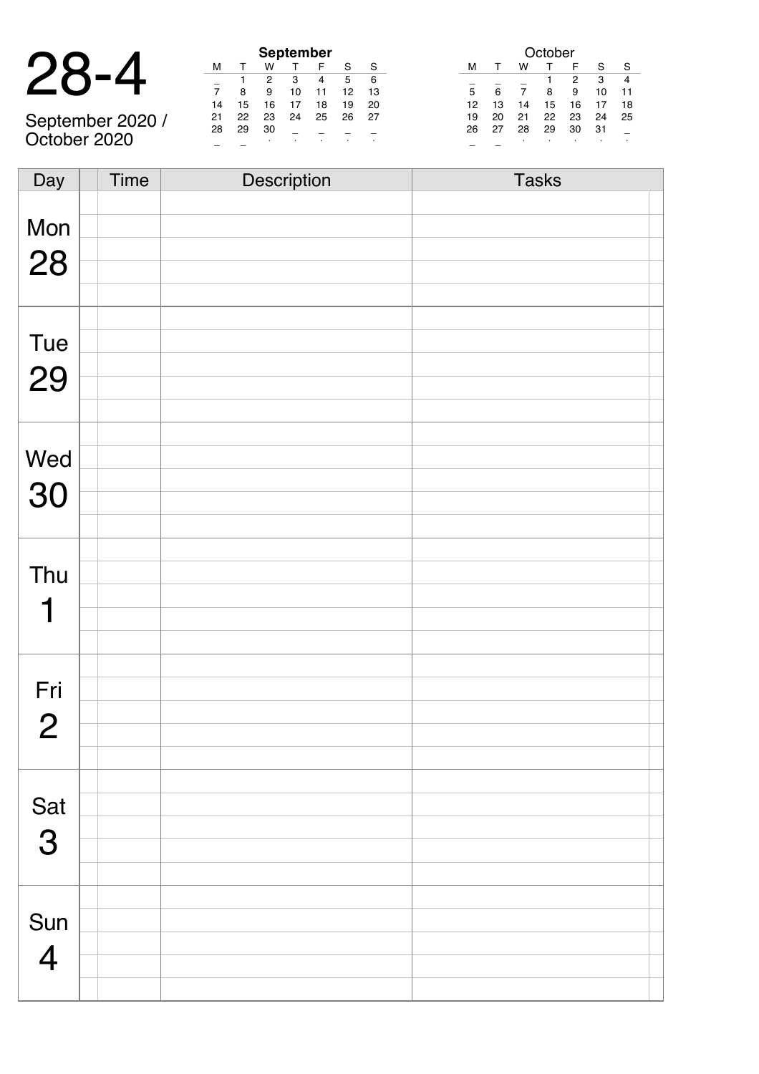| $\mathbf{u}$<br>$\blacksquare$<br>$\blacktriangledown$ |
|--------------------------------------------------------|
|--------------------------------------------------------|

|                  | <b>September</b> |    |    |    |    |    |    |  |  |  |
|------------------|------------------|----|----|----|----|----|----|--|--|--|
|                  | м                |    | w  |    |    |    |    |  |  |  |
|                  |                  |    |    | з  |    | 5  |    |  |  |  |
|                  |                  | 8  | 9  | 10 |    | 12 | 13 |  |  |  |
|                  | 14               | 15 | 16 |    | 18 | 19 | 20 |  |  |  |
| September 2020 / | 21               | 22 | 23 | 24 | 25 | 26 | 27 |  |  |  |
|                  | 28               | 29 | 30 |    |    |    |    |  |  |  |
| October 2020     |                  |    |    |    |    |    |    |  |  |  |

|    | October |    |    |    |    |    |  |  |  |
|----|---------|----|----|----|----|----|--|--|--|
| м  |         | w  |    | F  | S  | S  |  |  |  |
|    |         |    |    | 2  | 3  | 4  |  |  |  |
| 5  | 6       |    | 8  | 9  | 10 | 11 |  |  |  |
| 12 | 13      | 14 | 15 | 16 | 17 | 18 |  |  |  |
| 19 | 20      | 21 | 22 | 23 | 24 | 25 |  |  |  |
| 26 | 27      | 28 | 29 | 30 | 31 |    |  |  |  |
|    |         | ٠  |    |    |    |    |  |  |  |

| Day            | <b>Time</b> | Description | <b>Tasks</b> |
|----------------|-------------|-------------|--------------|
|                |             |             |              |
| Mon            |             |             |              |
|                |             |             |              |
| 28             |             |             |              |
|                |             |             |              |
|                |             |             |              |
|                |             |             |              |
| Tue            |             |             |              |
|                |             |             |              |
| 29             |             |             |              |
|                |             |             |              |
|                |             |             |              |
| Wed            |             |             |              |
|                |             |             |              |
| 30             |             |             |              |
|                |             |             |              |
|                |             |             |              |
|                |             |             |              |
| Thu            |             |             |              |
|                |             |             |              |
| 1              |             |             |              |
|                |             |             |              |
|                |             |             |              |
| Fri            |             |             |              |
|                |             |             |              |
| $\overline{2}$ |             |             |              |
|                |             |             |              |
|                |             |             |              |
|                |             |             |              |
| Sat            |             |             |              |
| 3              |             |             |              |
|                |             |             |              |
|                |             |             |              |
|                |             |             |              |
| Sun            |             |             |              |
|                |             |             |              |
| $\overline{4}$ |             |             |              |
|                |             |             |              |
|                |             |             |              |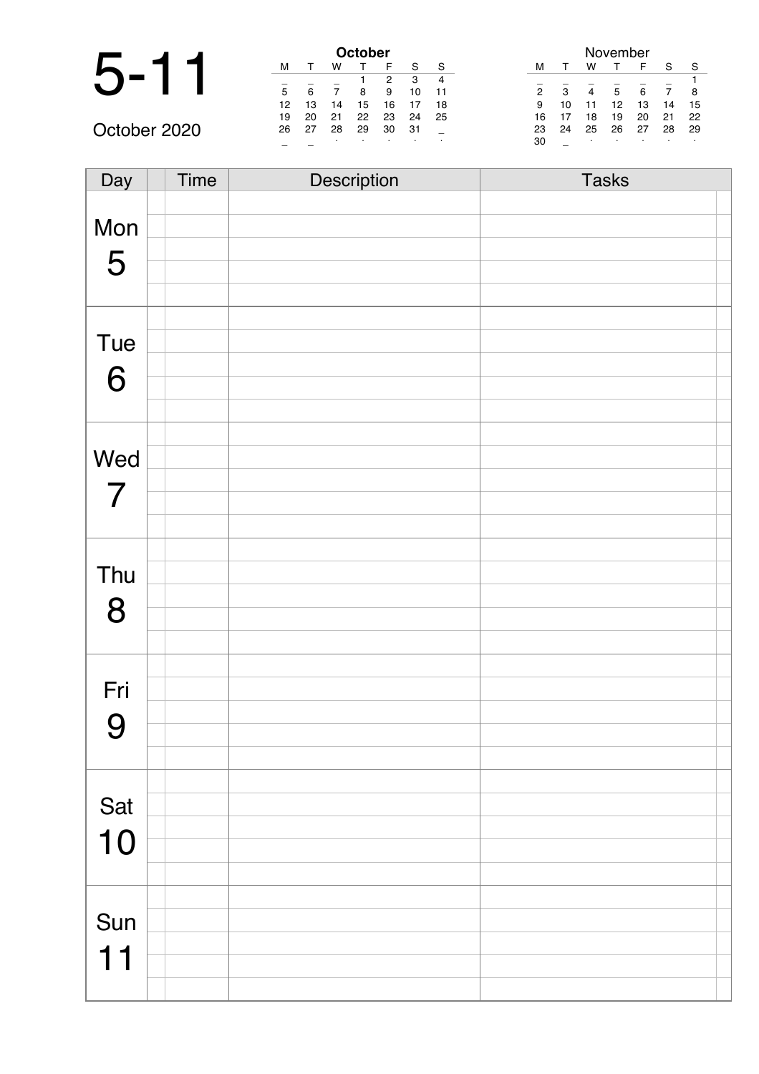|              |    |    |    | October |    |     |    |    |    |    | November |    |    |    |
|--------------|----|----|----|---------|----|-----|----|----|----|----|----------|----|----|----|
|              | M  |    | w  |         |    | S   | S  | м  |    | w  |          | ⊢  | S  | S  |
|              |    |    |    |         | 2  | з   | 4  |    |    |    |          |    |    |    |
|              | 5  | 6  | -  | 8       | 9  | 10  | 11 | 2  | з  | 4  | 5        | 6  |    |    |
|              | 12 | 13 | 14 | 15      | 16 |     | 18 | 9  | 10 |    | 12       | 13 |    | 15 |
|              | 19 | 20 | 21 | 22      | 23 | 24  | 25 | 16 |    | 18 | 19       | 20 | 21 | 22 |
| October 2020 | 26 | 27 | 28 | 29      | 30 | -31 |    | 23 | 24 | 25 | 26       | 27 | 28 | 29 |
|              |    |    |    |         |    |     |    | 30 |    |    |          |    |    |    |

| Day            | Time | Description | <b>Tasks</b> |
|----------------|------|-------------|--------------|
|                |      |             |              |
| Mon            |      |             |              |
| 5              |      |             |              |
|                |      |             |              |
|                |      |             |              |
|                |      |             |              |
| Tue            |      |             |              |
| 6              |      |             |              |
|                |      |             |              |
|                |      |             |              |
| Wed            |      |             |              |
|                |      |             |              |
| $\overline{7}$ |      |             |              |
|                |      |             |              |
|                |      |             |              |
| Thu            |      |             |              |
| 8              |      |             |              |
|                |      |             |              |
|                |      |             |              |
|                |      |             |              |
| Fri            |      |             |              |
| 9              |      |             |              |
|                |      |             |              |
|                |      |             |              |
| Sat            |      |             |              |
|                |      |             |              |
| 10             |      |             |              |
|                |      |             |              |
|                |      |             |              |
| Sun            |      |             |              |
| 11             |      |             |              |
|                |      |             |              |
|                |      |             |              |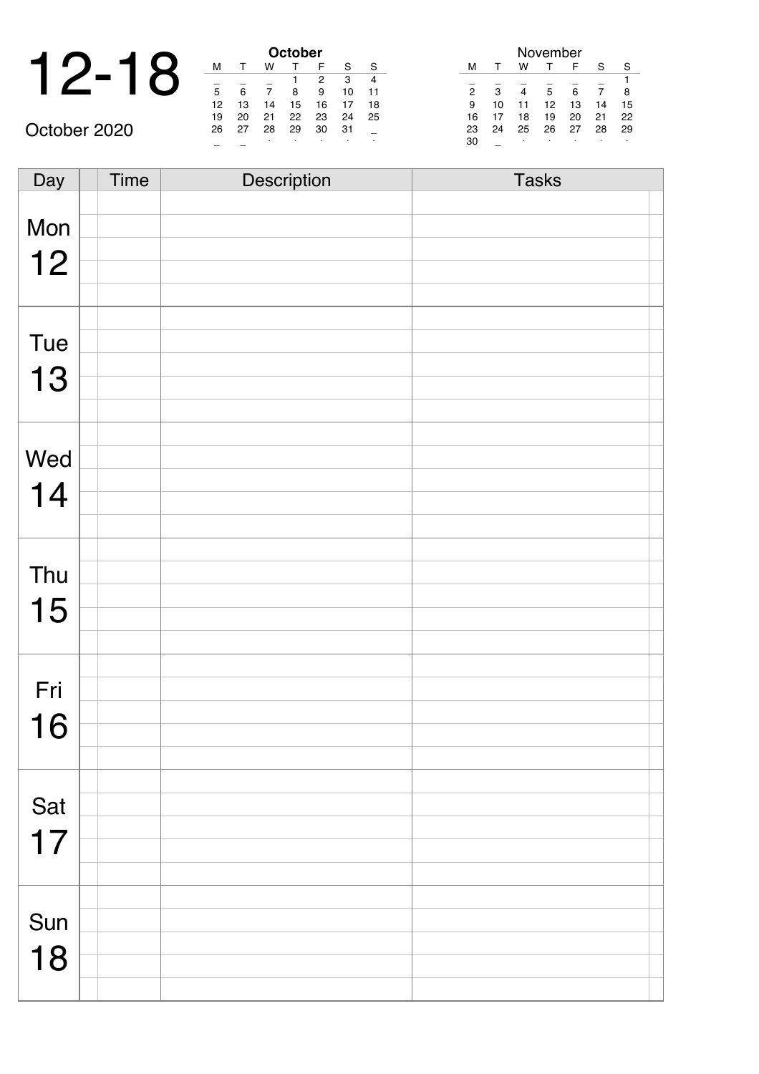| ◢ |  |               |    |     | October |   |
|---|--|---------------|----|-----|---------|---|
|   |  |               |    |     |         |   |
|   |  |               |    |     |         |   |
|   |  | 5             |    |     |         |   |
|   |  | 12            | 13 | 14  | 15      | 1 |
|   |  | $\sim$ $\sim$ |    | . . |         |   |

October 2020

| October |    |             |    |    |    |    |  |  |
|---------|----|-------------|----|----|----|----|--|--|
| м       |    | F<br>S<br>w |    |    |    |    |  |  |
|         |    |             |    | 2  | 3  |    |  |  |
| 5       | 6  |             | 8  | 9  | 10 | 11 |  |  |
| 12      | 13 | 14          | 15 | 16 | 17 | 18 |  |  |
| 19      | 20 | 21          | 22 | 23 | 24 | 25 |  |  |
| 26      | 27 | 28          | 29 | 30 | 31 |    |  |  |
|         |    | ٠           | ٠  | ٠  | ٠  | ٠  |  |  |

| November       |    |    |    |    |    |    |  |  |
|----------------|----|----|----|----|----|----|--|--|
| м              |    | w  |    | F  | S  | S  |  |  |
|                |    |    |    |    |    |    |  |  |
| $\overline{2}$ | 3  |    | 5  | 6  |    | 8  |  |  |
| 9              | 10 | 11 | 12 | 13 | 14 | 15 |  |  |
| 16             | 17 | 18 | 19 | 20 | 21 | 22 |  |  |
| 23             | 24 | 25 | 26 | 27 | 28 | 29 |  |  |
| 30             |    | ٠  | ٠  |    |    |    |  |  |

Day Time Description Tasks Mon 12 Tue 13 Wed 14 Thu 15 Fri 16 Sat 17 Sun 18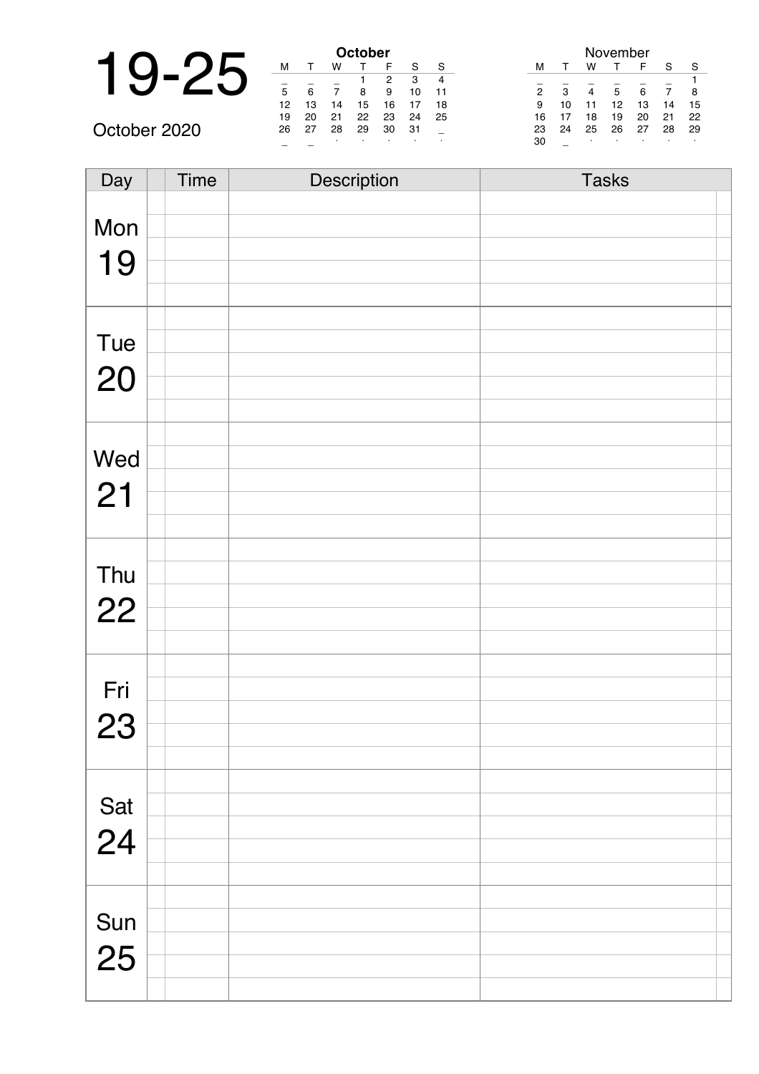|              |    |    | October |    |                |  |
|--------------|----|----|---------|----|----------------|--|
|              | м  |    | w       |    |                |  |
|              |    |    |         |    |                |  |
|              | 5  |    |         | 8  | ς              |  |
|              | 12 | 13 | 14      | 15 | 1              |  |
|              | 19 | 20 | 21      | 22 | $\overline{2}$ |  |
| October 2020 | 26 | 27 | 28      | 29 | 3              |  |

| October |    |    |    |    |    |    |  |  |
|---------|----|----|----|----|----|----|--|--|
| м       |    | w  |    | F  | S  | S  |  |  |
|         |    |    |    | 2  | 3  |    |  |  |
| 5       | 6  |    | 8  | 9  | 10 | 11 |  |  |
| 12      | 13 | 14 | 15 | 16 | 17 | 18 |  |  |
| 19      | 20 | 21 | 22 | 23 | 24 | 25 |  |  |
| 26      | 27 | 28 | 29 | 30 | 31 |    |  |  |
|         |    | ٠  | ٠  |    | ٠  | ٠  |  |  |

| November       |    |    |    |    |    |    |  |  |
|----------------|----|----|----|----|----|----|--|--|
| м              | т  | w  |    | F  | S  | S  |  |  |
|                |    |    |    |    |    | 1  |  |  |
| $\overline{2}$ | 3  | 4  | 5  | 6  |    | 8  |  |  |
| 9              | 10 | 11 | 12 | 13 | 14 | 15 |  |  |
| 16             | 17 | 18 | 19 | 20 | 21 | 22 |  |  |
| 23             | 24 | 25 | 26 | 27 | 28 | 29 |  |  |
| 30             |    | ٠  | ٠  |    |    |    |  |  |

| Day       | <b>Time</b> | Description | <b>Tasks</b> |
|-----------|-------------|-------------|--------------|
|           |             |             |              |
| Mon       |             |             |              |
|           |             |             |              |
| 19        |             |             |              |
|           |             |             |              |
|           |             |             |              |
| Tue       |             |             |              |
|           |             |             |              |
| 20        |             |             |              |
|           |             |             |              |
|           |             |             |              |
| Wed       |             |             |              |
|           |             |             |              |
| 21        |             |             |              |
|           |             |             |              |
|           |             |             |              |
| Thu       |             |             |              |
|           |             |             |              |
| 22        |             |             |              |
|           |             |             |              |
|           |             |             |              |
| Fri       |             |             |              |
|           |             |             |              |
| 23        |             |             |              |
|           |             |             |              |
|           |             |             |              |
| Sat<br>24 |             |             |              |
|           |             |             |              |
|           |             |             |              |
|           |             |             |              |
|           |             |             |              |
| Sun       |             |             |              |
|           |             |             |              |
| 25        |             |             |              |
|           |             |             |              |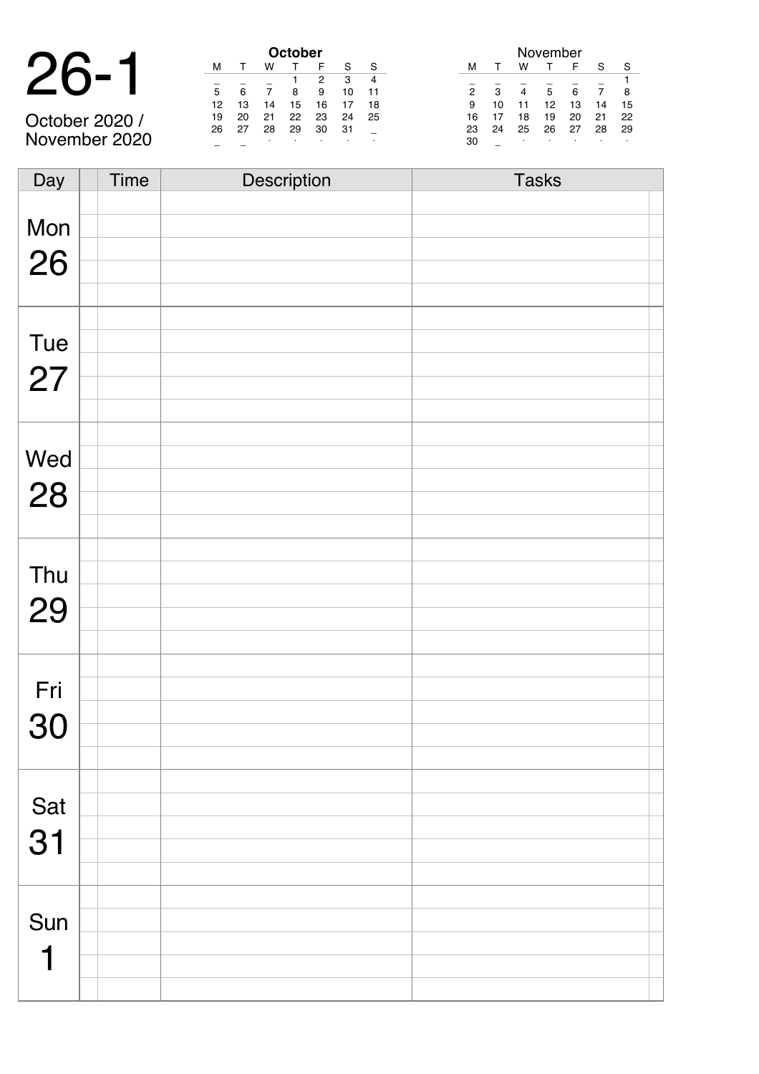| 26-<br>$\mathbf{r}$ | 1 |
|---------------------|---|
|---------------------|---|

|                | <b>October</b> |    |    |    |    |    |    |
|----------------|----------------|----|----|----|----|----|----|
|                | м              |    | w  |    |    |    |    |
|                |                |    |    |    | 2  | з  |    |
|                | 5              | 6  |    | 8  | 9  | 10 |    |
|                | 12             | 13 | 14 | 15 | 16 |    | 18 |
| October 2020 / | 19             | 20 | 21 | 22 | 23 | 24 | 25 |
|                | 26             |    | 28 | 29 | 30 | 31 |    |
| November 2020  |                |    |    |    |    |    |    |

| November       |    |    |    |    |    |    |  |  |
|----------------|----|----|----|----|----|----|--|--|
| м              |    | w  |    | F  | S  | S  |  |  |
|                |    |    |    |    |    |    |  |  |
| $\overline{2}$ | 3  |    | 5  | 6  |    | 8  |  |  |
| 9              | 10 | 11 | 12 | 13 | 14 | 15 |  |  |
| 16             | 17 | 18 | 19 | 20 | 21 | 22 |  |  |
| 23             | 24 | 25 | 26 | 27 | 28 | 29 |  |  |
| 30             |    | ٠  |    |    |    |    |  |  |

| Day | <b>Time</b> | Description | <b>Tasks</b> |
|-----|-------------|-------------|--------------|
|     |             |             |              |
| Mon |             |             |              |
|     |             |             |              |
| 26  |             |             |              |
|     |             |             |              |
|     |             |             |              |
|     |             |             |              |
| Tue |             |             |              |
| 27  |             |             |              |
|     |             |             |              |
|     |             |             |              |
|     |             |             |              |
| Wed |             |             |              |
|     |             |             |              |
| 28  |             |             |              |
|     |             |             |              |
|     |             |             |              |
|     |             |             |              |
| Thu |             |             |              |
| 29  |             |             |              |
|     |             |             |              |
|     |             |             |              |
|     |             |             |              |
| Fri |             |             |              |
|     |             |             |              |
| 30  |             |             |              |
|     |             |             |              |
|     |             |             |              |
| Sat |             |             |              |
|     |             |             |              |
| 31  |             |             |              |
|     |             |             |              |
|     |             |             |              |
|     |             |             |              |
| Sun |             |             |              |
| ┪   |             |             |              |
|     |             |             |              |
|     |             |             |              |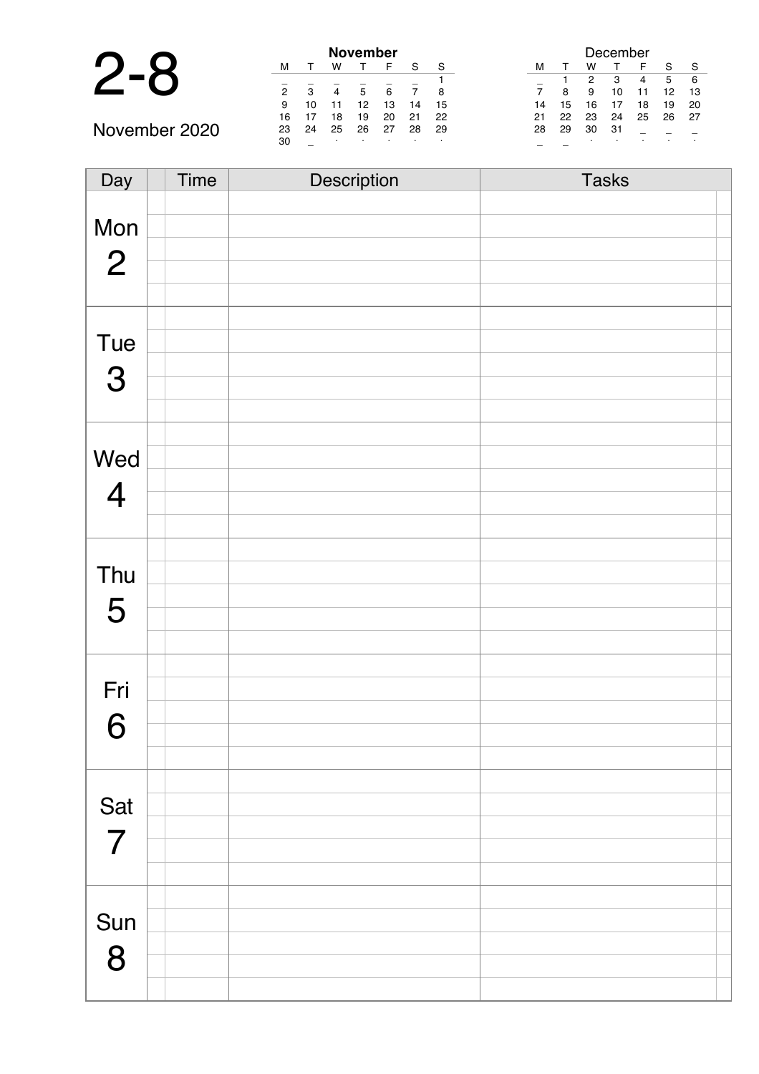|               | <b>November</b> |    |    |    |    |    |    |
|---------------|-----------------|----|----|----|----|----|----|
|               | м               |    | w  |    | F  | S  |    |
|               |                 |    |    |    |    |    |    |
|               | 2               | з  | 4  | 5  | 6  |    | 8  |
|               | 9               | 10 |    | 12 | 13 | 14 | 15 |
|               | 16              |    | 18 | 19 | 20 | 21 | 22 |
| November 2020 | 23              | 24 | 25 | 26 | 27 | 28 | 29 |
|               | 30              |    |    |    |    |    |    |

| December       |    |    |    |    |    |    |
|----------------|----|----|----|----|----|----|
| м              |    | w  |    | F  | S  | S  |
|                |    | 2  | 3  | 4  | 5  | 6  |
| $\overline{7}$ | 8  | 9  | 10 | 11 | 12 | 13 |
| 14             | 15 | 16 | 17 | 18 | 19 | 20 |
| 21             | 22 | 23 | 24 | 25 | 26 | 27 |
| 28             | 29 | 30 | 31 |    |    |    |
|                |    |    |    | ٠  |    |    |

| Day            | Time | Description | <b>Tasks</b> |
|----------------|------|-------------|--------------|
|                |      |             |              |
| Mon            |      |             |              |
|                |      |             |              |
| $\overline{2}$ |      |             |              |
|                |      |             |              |
|                |      |             |              |
| Tue            |      |             |              |
|                |      |             |              |
| 3              |      |             |              |
|                |      |             |              |
|                |      |             |              |
|                |      |             |              |
| Wed            |      |             |              |
| $\overline{4}$ |      |             |              |
|                |      |             |              |
|                |      |             |              |
|                |      |             |              |
| Thu            |      |             |              |
| 5              |      |             |              |
|                |      |             |              |
|                |      |             |              |
|                |      |             |              |
| Fri            |      |             |              |
|                |      |             |              |
| 6              |      |             |              |
|                |      |             |              |
|                |      |             |              |
| Sat            |      |             |              |
|                |      |             |              |
| $\overline{7}$ |      |             |              |
|                |      |             |              |
|                |      |             |              |
| Sun            |      |             |              |
|                |      |             |              |
| 8              |      |             |              |
|                |      |             |              |
|                |      |             |              |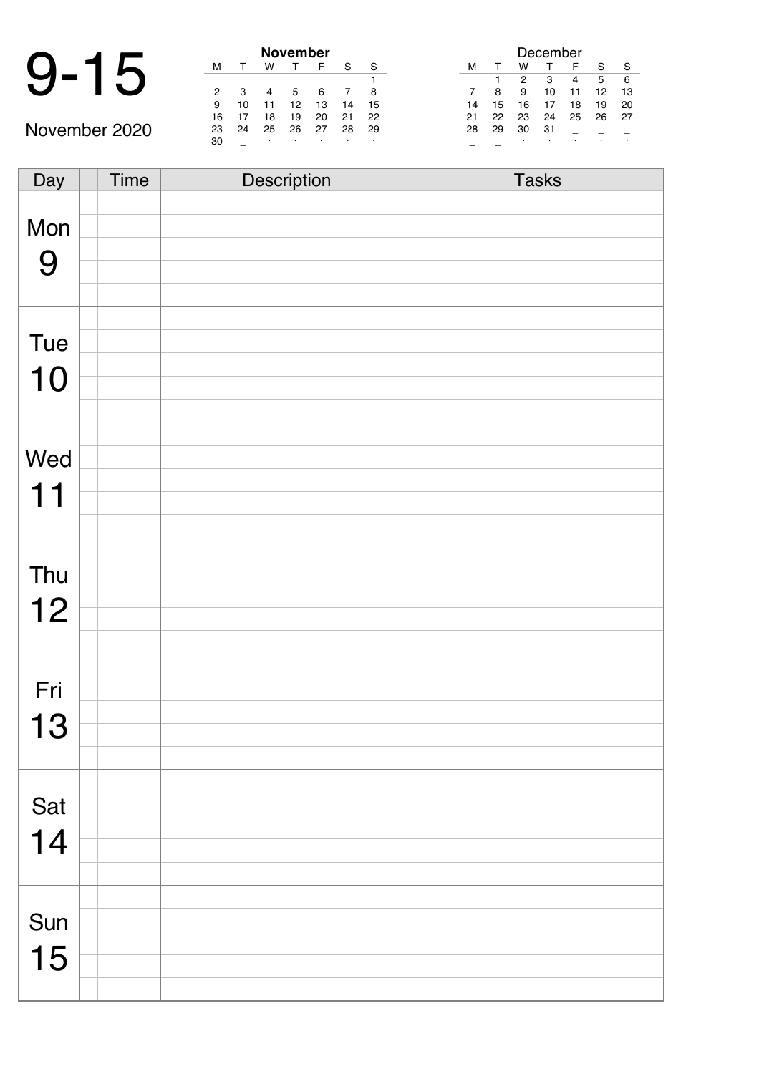## 9-15 **November**

November 2020

| November       |    |    |    |    |    |    |  |
|----------------|----|----|----|----|----|----|--|
| м              |    | w  |    | F  | S  | S  |  |
|                |    |    |    |    |    |    |  |
| $\overline{2}$ | 3  | 4  | 5  | 6  |    | 8  |  |
| 9              | 10 | 11 | 12 | 13 | 14 | 15 |  |
| 16             | 17 | 18 | 19 | 20 | 21 | 22 |  |
| 23             | 24 | 25 | 26 | 27 | 28 | 29 |  |
| 30             |    | ٠  |    | ٠  | ٠  | ٠  |  |

|                |    |    | December |    |    |    |
|----------------|----|----|----------|----|----|----|
| м              | т  | w  |          | F  | S  | S  |
|                |    | 2  | 3        | 4  | 5  | 6  |
| $\overline{7}$ | 8  | 9  | 10       | 11 | 12 | 13 |
| 14             | 15 | 16 | 17       | 18 | 19 | 20 |
| 21             | 22 | 23 | 24       | 25 | 26 | 27 |
| 28             | 29 | 30 | 31       |    |    |    |
|                |    |    |          |    |    |    |

Day Time Description Tasks Mon 9 Tue 10 Wed 11 Thu 12 Fri 13 Sat 14 Sun 15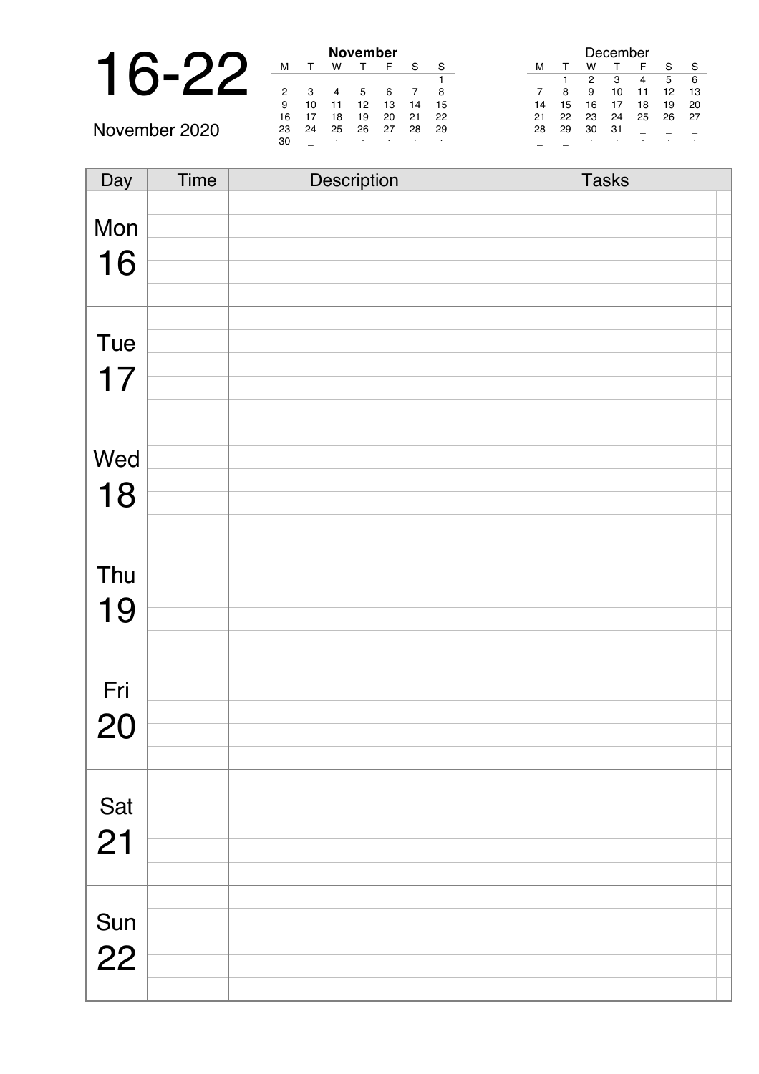|  |    |    |    | <b>November</b> |    |
|--|----|----|----|-----------------|----|
|  | м  |    |    |                 |    |
|  | 2  | -2 |    | 5               | 6  |
|  | 9  | 10 |    | 12              | 13 |
|  | 16 |    | 18 | 19              | 20 |

November 2020

| November       |    |    |    |    |    |    |  |
|----------------|----|----|----|----|----|----|--|
| м              |    | w  |    | F  | S  | S  |  |
|                |    |    |    |    |    |    |  |
| $\overline{2}$ | 3  |    | 5  | 6  |    | 8  |  |
| 9              | 10 | 11 | 12 | 13 | 14 | 15 |  |
| 16             | 17 | 18 | 19 | 20 | 21 | 22 |  |
| 23             | 24 | 25 | 26 | 27 | 28 | 29 |  |
| 30             |    | ٠  |    |    |    |    |  |

| December |    |    |    |    |    |    |
|----------|----|----|----|----|----|----|
| м        | т  | w  |    | F  | S  | S  |
|          |    | 2  | 3  | 4  | 5  | 6  |
| 7        | 8  | 9  | 10 | 11 | 12 | 13 |
| 14       | 15 | 16 | 17 | 18 | 19 | 20 |
| 21       | 22 | 23 | 24 | 25 | 26 | 27 |
| 28       | 29 | 30 | 31 |    |    |    |
|          |    | ٠  |    | ٠  |    | ٠  |

| Day | <b>Time</b> | Description | <b>Tasks</b> |
|-----|-------------|-------------|--------------|
|     |             |             |              |
| Mon |             |             |              |
|     |             |             |              |
| 16  |             |             |              |
|     |             |             |              |
|     |             |             |              |
| Tue |             |             |              |
|     |             |             |              |
| 17  |             |             |              |
|     |             |             |              |
|     |             |             |              |
| Wed |             |             |              |
|     |             |             |              |
| 18  |             |             |              |
|     |             |             |              |
|     |             |             |              |
| Thu |             |             |              |
|     |             |             |              |
| 19  |             |             |              |
|     |             |             |              |
|     |             |             |              |
| Fri |             |             |              |
|     |             |             |              |
| 20  |             |             |              |
|     |             |             |              |
|     |             |             |              |
| Sat |             |             |              |
| 21  |             |             |              |
|     |             |             |              |
|     |             |             |              |
|     |             |             |              |
| Sun |             |             |              |
| 22  |             |             |              |
|     |             |             |              |
|     |             |             |              |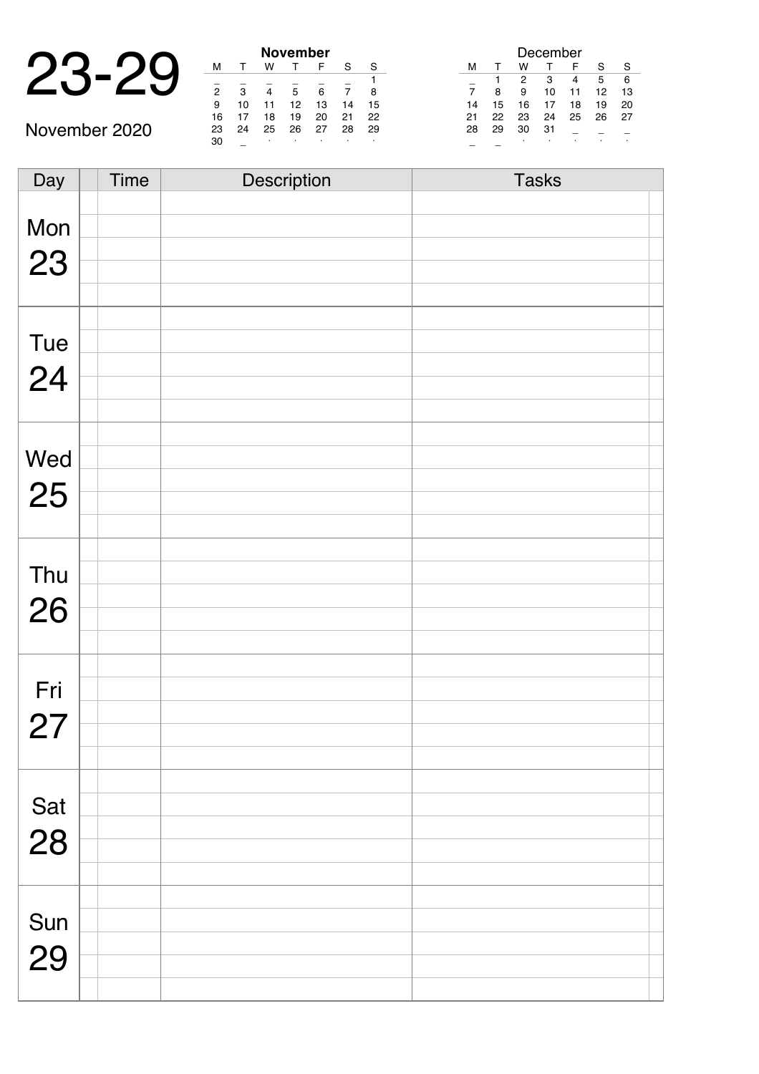|     |   |    | <b>November</b> |    |
|-----|---|----|-----------------|----|
| . . |   |    |                 |    |
|     | 2 | ີ  |                 |    |
|     | q | ۱n |                 | IЗ |

November 2020

 $\overline{\phantom{a}}$ 

| November |    |    |    |    |    |    |  |
|----------|----|----|----|----|----|----|--|
| м        |    | w  |    | F  | S  | S  |  |
|          |    |    |    |    |    |    |  |
| 2        | 3  |    | 5  | 6  |    | 8  |  |
| 9        | 10 | 11 | 12 | 13 | 14 | 15 |  |
| 16       | 17 | 18 | 19 | 20 | 21 | 22 |  |
| 23       | 24 | 25 | 26 | 27 | 28 | 29 |  |
| 30       |    | ٠  |    |    |    | ٠  |  |

|                |    |    | December |    |    |    |
|----------------|----|----|----------|----|----|----|
| м              |    | w  |          | F  | S  | S  |
|                |    | 2  | 3        | 4  | 5  | 6  |
| $\overline{7}$ | 8  | 9  | 10       | 11 | 12 | 13 |
| 14             | 15 | 16 | 17       | 18 | 19 | 20 |
| 21             | 22 | 23 | 24       | 25 | 26 | 27 |
| 28             | 29 | 30 | 31       |    |    |    |
|                |    | ٠  |          |    |    |    |

| Day       | <b>Time</b> | Description | <b>Tasks</b> |
|-----------|-------------|-------------|--------------|
|           |             |             |              |
| Mon       |             |             |              |
|           |             |             |              |
| 23        |             |             |              |
|           |             |             |              |
|           |             |             |              |
|           |             |             |              |
| Tue       |             |             |              |
|           |             |             |              |
| 24        |             |             |              |
|           |             |             |              |
|           |             |             |              |
| Wed       |             |             |              |
|           |             |             |              |
| 25        |             |             |              |
|           |             |             |              |
|           |             |             |              |
|           |             |             |              |
| Thu       |             |             |              |
|           |             |             |              |
| 26        |             |             |              |
|           |             |             |              |
|           |             |             |              |
|           |             |             |              |
| Fri       |             |             |              |
| 27        |             |             |              |
|           |             |             |              |
|           |             |             |              |
|           |             |             |              |
| Sat       |             |             |              |
|           |             |             |              |
| 28        |             |             |              |
|           |             |             |              |
|           |             |             |              |
|           |             |             |              |
| Sun<br>29 |             |             |              |
|           |             |             |              |
|           |             |             |              |
|           |             |             |              |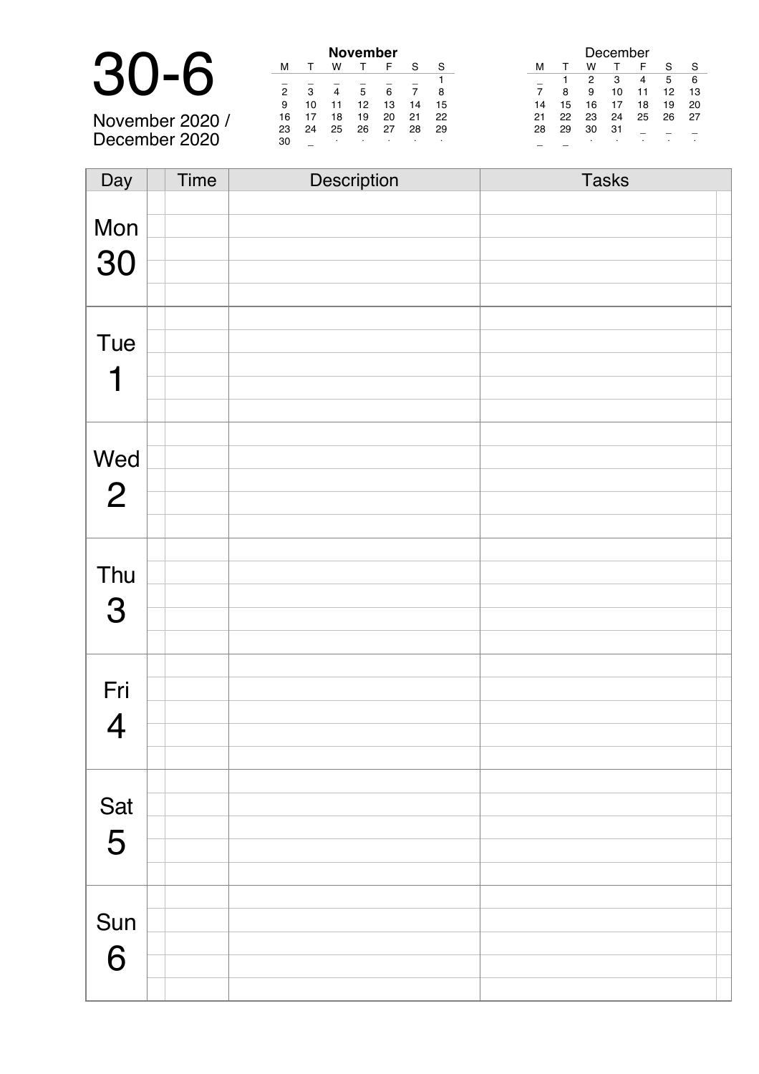|                 |     |    |    | <b>November</b> |    |
|-----------------|-----|----|----|-----------------|----|
|                 |     |    |    |                 |    |
| 30-6            |     | З  |    | 5               |    |
|                 |     | 10 |    | 12              | 13 |
| November 2020 / | 16. |    | 18 | 19              | 20 |

November 2020 / December 2020

|    |    |    | November |    |    |    |
|----|----|----|----------|----|----|----|
| м  |    | w  |          | F  | S  | S  |
|    |    |    |          |    |    |    |
| 2  | з  |    | 5        | 6  |    | 8  |
| 9  | 10 | 11 | 12       | 13 | 14 | 15 |
| 16 | 17 | 18 | 19       | 20 | 21 | 22 |
| 23 | 24 | 25 | 26       | 27 | 28 | 29 |
| 30 |    | ٠  | ٠        |    |    |    |

|    |    |    |    | December |    |    |    |
|----|----|----|----|----------|----|----|----|
| S  | м  |    | w  |          | F  | S  |    |
|    |    |    | 2  | з        | 4  | 5  | 6  |
| 8  |    | 8  | 9  | 10       | 11 | 12 | 13 |
| 15 | 14 | 15 | 16 | 17       | 18 | 19 | 20 |
| 22 | 21 | 22 | 23 | 24       | 25 | 26 | 27 |
| 29 | 28 | 29 | 30 | 31       |    |    |    |
| ٠  |    |    |    | ٠        |    |    |    |

| Day            | Time | Description | <b>Tasks</b> |
|----------------|------|-------------|--------------|
|                |      |             |              |
| Mon            |      |             |              |
|                |      |             |              |
| 30             |      |             |              |
|                |      |             |              |
|                |      |             |              |
| Tue            |      |             |              |
|                |      |             |              |
| 1              |      |             |              |
|                |      |             |              |
|                |      |             |              |
|                |      |             |              |
| Wed            |      |             |              |
| $\overline{2}$ |      |             |              |
|                |      |             |              |
|                |      |             |              |
|                |      |             |              |
| Thu            |      |             |              |
| 3              |      |             |              |
|                |      |             |              |
|                |      |             |              |
|                |      |             |              |
| Fri            |      |             |              |
|                |      |             |              |
| $\overline{4}$ |      |             |              |
|                |      |             |              |
|                |      |             |              |
| Sat            |      |             |              |
|                |      |             |              |
| 5              |      |             |              |
|                |      |             |              |
|                |      |             |              |
| Sun            |      |             |              |
|                |      |             |              |
| 6              |      |             |              |
|                |      |             |              |
|                |      |             |              |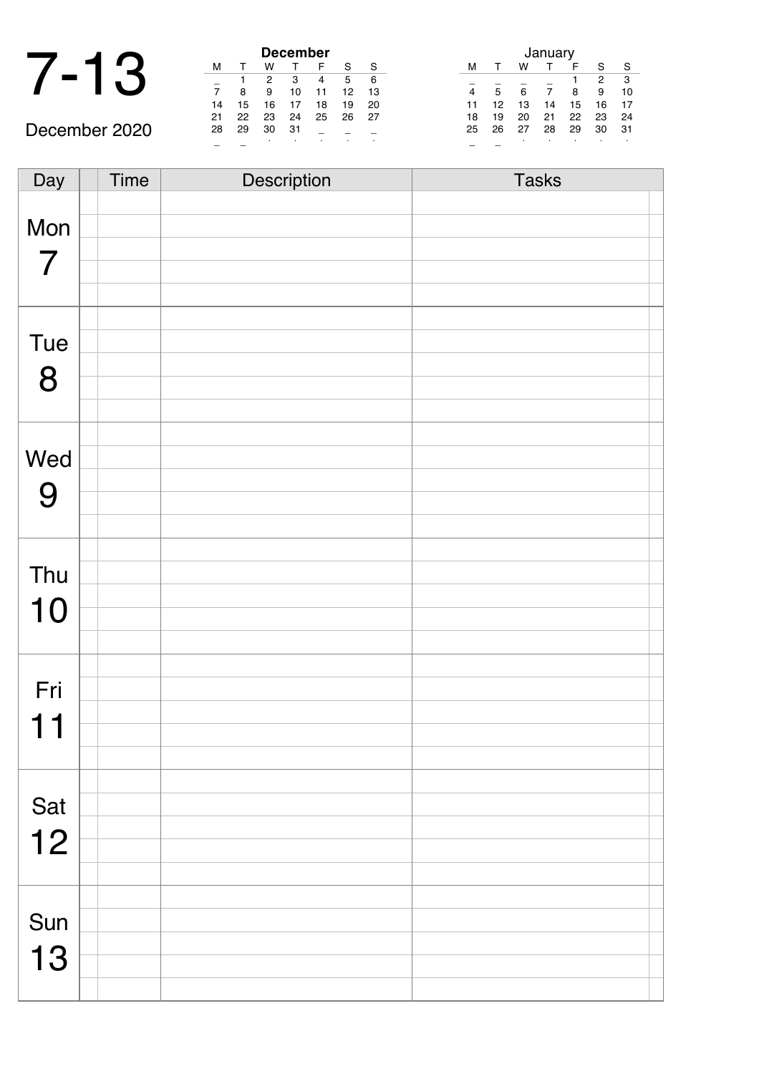### 7-13 **December**

| December       |    |    |    |    |    |    |
|----------------|----|----|----|----|----|----|
| м              |    | w  |    | F  | S  | S  |
|                |    | 2  | 3  | 4  | 5  | 6  |
| $\overline{7}$ | 8  | 9  | 10 | 11 | 12 | 13 |
| 14             | 15 | 16 | 17 | 18 | 19 | 20 |
| 21             | 22 | 23 | 24 | 25 | 26 | 27 |
| 28             | 29 | 30 | 31 |    |    |    |
|                |    |    |    |    | ٠  |    |

| January |    |    |    |    |    |    |
|---------|----|----|----|----|----|----|
| м       |    | w  |    | F  | S  | S  |
|         |    |    |    |    | 2  | 3  |
|         | 5  | 6  |    | 8  | 9  | 10 |
| 11      | 12 | 13 | 14 | 15 | 16 | 17 |
| 18      | 19 | 20 | 21 | 22 | 23 | 24 |
| 25      | 26 | 27 | 28 | 29 | 30 | 31 |
|         |    | ٠  | ٠  | ٠  |    | ٠  |

December 2020

| Day            | Time | Description | <b>Tasks</b> |  |
|----------------|------|-------------|--------------|--|
|                |      |             |              |  |
| Mon            |      |             |              |  |
| $\overline{7}$ |      |             |              |  |
|                |      |             |              |  |
|                |      |             |              |  |
|                |      |             |              |  |
| Tue            |      |             |              |  |
| 8              |      |             |              |  |
|                |      |             |              |  |
|                |      |             |              |  |
| Wed            |      |             |              |  |
|                |      |             |              |  |
| 9              |      |             |              |  |
|                |      |             |              |  |
|                |      |             |              |  |
| Thu            |      |             |              |  |
| 10             |      |             |              |  |
|                |      |             |              |  |
|                |      |             |              |  |
| Fri            |      |             |              |  |
|                |      |             |              |  |
| 11             |      |             |              |  |
|                |      |             |              |  |
|                |      |             |              |  |
| Sat            |      |             |              |  |
| 12             |      |             |              |  |
|                |      |             |              |  |
|                |      |             |              |  |
|                |      |             |              |  |
| Sun            |      |             |              |  |
| 13             |      |             |              |  |
|                |      |             |              |  |
|                |      |             |              |  |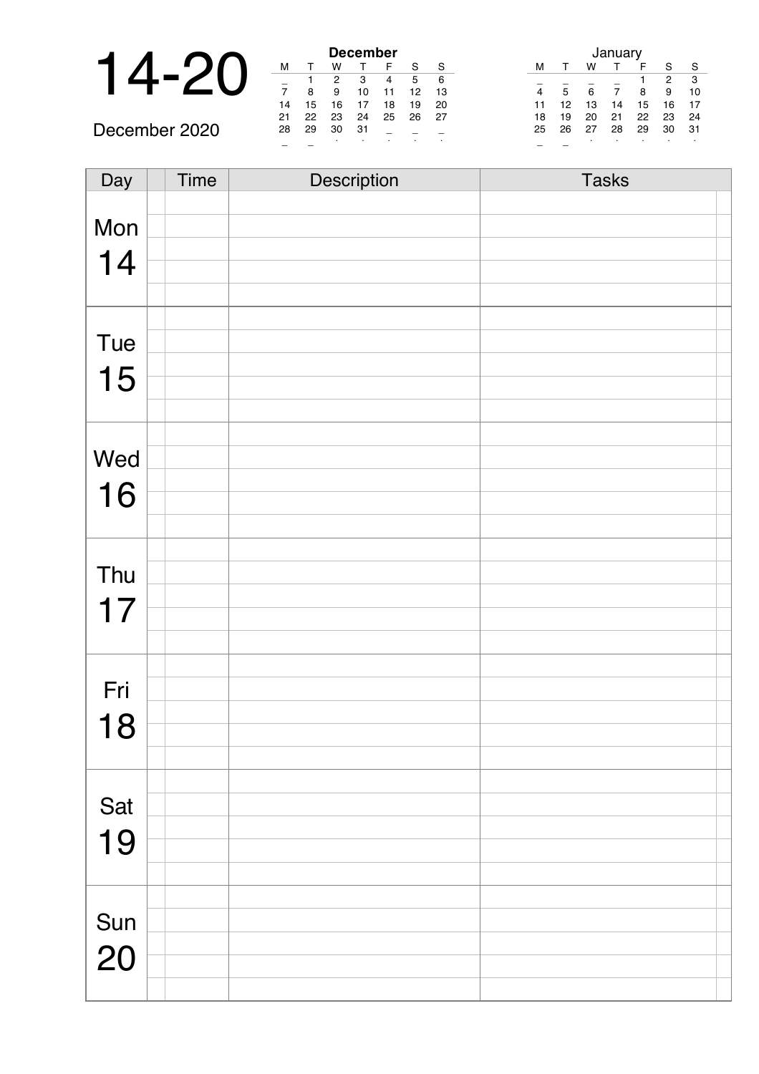|  |    |    |    | <b>December</b> |    |
|--|----|----|----|-----------------|----|
|  |    |    |    |                 |    |
|  |    |    |    | з               |    |
|  |    |    |    | 10              |    |
|  | 14 | 15 | 16 |                 | 18 |
|  | つ1 | າາ | າຈ | ウイ              | つに |

December 2020

| <b>December</b> |    |    |    |    |    |    |
|-----------------|----|----|----|----|----|----|
| м               |    | w  |    | F  | S  | S  |
|                 |    | 2  | З  | 4  | 5  | 6  |
| 7               | 8  | 9  | 10 | 11 | 12 | 13 |
| 14              | 15 | 16 | 17 | 18 | 19 | 20 |
| 21              | 22 | 23 | 24 | 25 | 26 | 27 |
| 28              | 29 | 30 | 31 |    |    |    |
|                 |    |    |    | ٠  |    |    |

|   |    |    |    | January |    |    |    |
|---|----|----|----|---------|----|----|----|
|   | м  |    | w  |         |    | S  |    |
|   |    |    |    |         |    | 2  | 3  |
| 3 |    | 5  | 6  |         | 8  | 9  | 10 |
| 0 | 11 | 12 | 13 | 14      | 15 | 16 | 17 |
| 7 | 18 | 19 | 20 | 21      | 22 | 23 | 24 |
|   | 25 | 26 | 27 | 28      | 29 | 30 | 31 |
|   |    |    | ٠  |         | ٠  | ٠  |    |

| Day | <b>Time</b> | Description | <b>Tasks</b> |
|-----|-------------|-------------|--------------|
|     |             |             |              |
| Mon |             |             |              |
|     |             |             |              |
| 14  |             |             |              |
|     |             |             |              |
|     |             |             |              |
| Tue |             |             |              |
|     |             |             |              |
| 15  |             |             |              |
|     |             |             |              |
|     |             |             |              |
| Wed |             |             |              |
|     |             |             |              |
| 16  |             |             |              |
|     |             |             |              |
|     |             |             |              |
| Thu |             |             |              |
|     |             |             |              |
| 17  |             |             |              |
|     |             |             |              |
|     |             |             |              |
|     |             |             |              |
| Fri |             |             |              |
| 18  |             |             |              |
|     |             |             |              |
|     |             |             |              |
|     |             |             |              |
| Sat |             |             |              |
| 19  |             |             |              |
|     |             |             |              |
|     |             |             |              |
|     |             |             |              |
| Sun |             |             |              |
| 20  |             |             |              |
|     |             |             |              |
|     |             |             |              |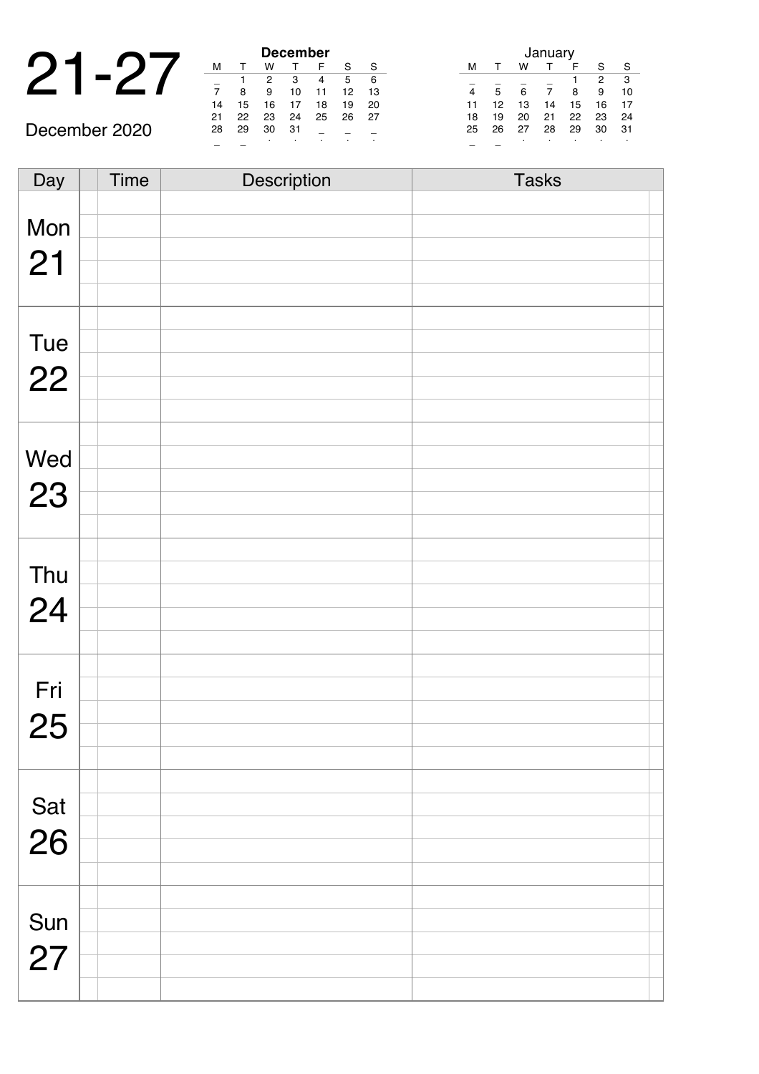|  |        |        |        | <b>December</b> |          |
|--|--------|--------|--------|-----------------|----------|
|  |        |        |        |                 |          |
|  |        |        |        |                 |          |
|  |        |        | 9      |                 |          |
|  | 14     | 15     | 16     |                 | 18       |
|  | $\sim$ | $\sim$ | $\sim$ | $\sim$ $\sim$   | $\Gamma$ |

December 2020

| <b>December</b> |    |    |    |    |    |    |  |
|-----------------|----|----|----|----|----|----|--|
| м               |    | w  |    | F  | S  | S  |  |
|                 |    | 2  | 3  | 4  | 5  | 6  |  |
| 7               | 8  | 9  | 10 | 11 | 12 | 13 |  |
| 14              | 15 | 16 | 17 | 18 | 19 | 20 |  |
| 21              | 22 | 23 | 24 | 25 | 26 | 27 |  |
| 28              | 29 | 30 | 31 |    |    |    |  |
|                 |    |    |    | ٠  | ٠  |    |  |

| January |    |    |    |    |    |    |  |
|---------|----|----|----|----|----|----|--|
| м       | т  | w  |    | F  | S  | S  |  |
|         |    |    |    | 1  | 2  | 3  |  |
|         | 5  | 6  | 7  | 8  | 9  | 10 |  |
| 11      | 12 | 13 | 14 | 15 | 16 | 17 |  |
| 18      | 19 | 20 | 21 | 22 | 23 | 24 |  |
| 25      | 26 | 27 | 28 | 29 | 30 | 31 |  |
|         |    |    |    |    |    |    |  |

Day Time Description Tasks Mon 21 Tue 22 Wed 23 Thu 24 Fri 25 Sat 26 Sun 27